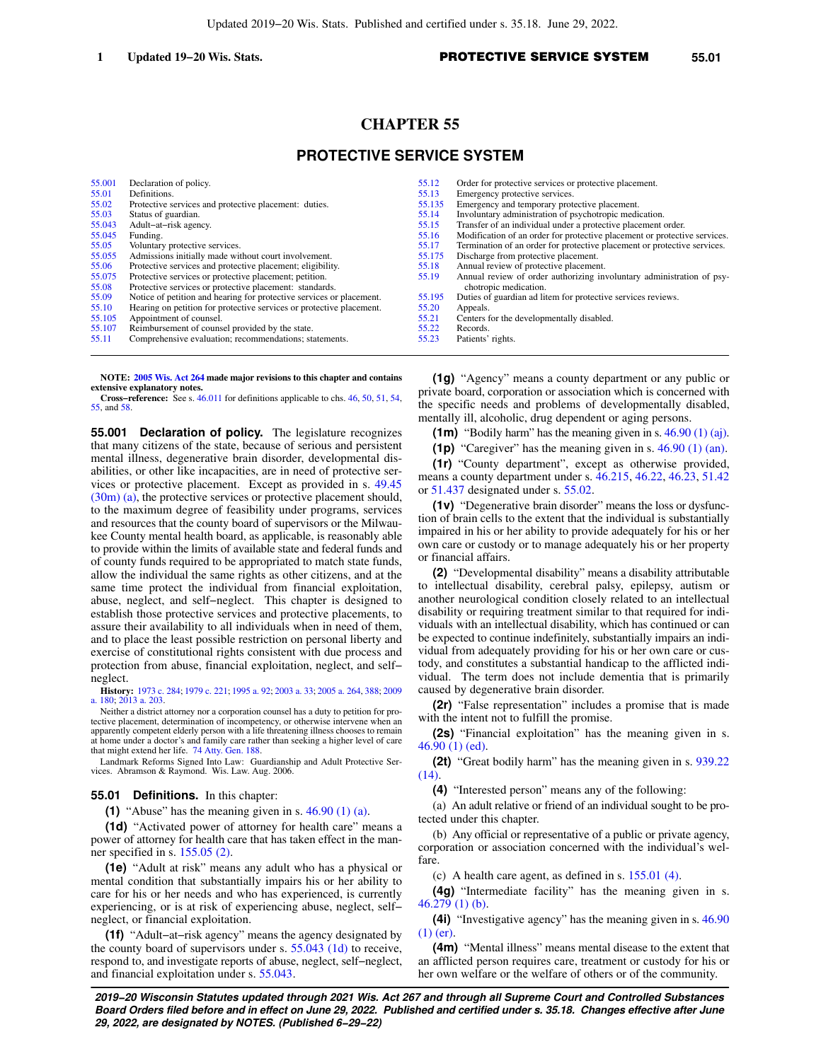# **CHAPTER 55**

# **PROTECTIVE SERVICE SYSTEM**

| 55,001 | Declaration of policy.                                               | 55.12  | Order for protective services or protective placement.                    |
|--------|----------------------------------------------------------------------|--------|---------------------------------------------------------------------------|
| 55.01  | Definitions.                                                         | 55.13  | Emergency protective services.                                            |
| 55.02  | Protective services and protective placement: duties.                | 55.135 | Emergency and temporary protective placement.                             |
| 55.03  | Status of guardian.                                                  | 55.14  | Involuntary administration of psychotropic medication.                    |
| 55.043 | Adult-at-risk agency.                                                | 55.15  | Transfer of an individual under a protective placement order.             |
| 55.045 | Funding.                                                             | 55.16  | Modification of an order for protective placement or protective services. |
| 55.05  | Voluntary protective services.                                       | 55.17  | Termination of an order for protective placement or protective services.  |
| 55.055 | Admissions initially made without court involvement.                 | 55.175 | Discharge from protective placement.                                      |
| 55.06  | Protective services and protective placement; eligibility.           | 55.18  | Annual review of protective placement.                                    |
| 55.075 | Protective services or protective placement; petition.               | 55.19  | Annual review of order authorizing involuntary administration of psy-     |
| 55.08  | Protective services or protective placement: standards.              |        | chotropic medication.                                                     |
| 55.09  | Notice of petition and hearing for protective services or placement. | 55.195 | Duties of guardian ad litem for protective services reviews.              |
| 55.10  | Hearing on petition for protective services or protective placement. | 55.20  | Appeals.                                                                  |
| 55.105 | Appointment of counsel.                                              | 55.21  | Centers for the developmentally disabled.                                 |
| 55.107 | Reimbursement of counsel provided by the state.                      | 55.22  | Records.                                                                  |
| 55.11  | Comprehensive evaluation; recommendations; statements.               | 55.23  | Patients' rights.                                                         |

**NOTE: [2005 Wis. Act 264](https://docs.legis.wisconsin.gov/document/acts/2005/264) made major revisions to this chapter and contains extensive explanatory notes.**

**Cross−reference:** See s. [46.011](https://docs.legis.wisconsin.gov/document/statutes/46.011) for definitions applicable to chs. [46,](https://docs.legis.wisconsin.gov/document/statutes/ch.%2046) [50](https://docs.legis.wisconsin.gov/document/statutes/ch.%2050), [51,](https://docs.legis.wisconsin.gov/document/statutes/ch.%2051) [54](https://docs.legis.wisconsin.gov/document/statutes/ch.%2054), [55,](https://docs.legis.wisconsin.gov/document/statutes/ch.%2055) and [58](https://docs.legis.wisconsin.gov/document/statutes/ch.%2058).

**55.001 Declaration of policy.** The legislature recognizes that many citizens of the state, because of serious and persistent mental illness, degenerative brain disorder, developmental disabilities, or other like incapacities, are in need of protective services or protective placement. Except as provided in s. [49.45](https://docs.legis.wisconsin.gov/document/statutes/49.45(30m)(a)) [\(30m\) \(a\),](https://docs.legis.wisconsin.gov/document/statutes/49.45(30m)(a)) the protective services or protective placement should, to the maximum degree of feasibility under programs, services and resources that the county board of supervisors or the Milwaukee County mental health board, as applicable, is reasonably able to provide within the limits of available state and federal funds and of county funds required to be appropriated to match state funds, allow the individual the same rights as other citizens, and at the same time protect the individual from financial exploitation, abuse, neglect, and self−neglect. This chapter is designed to establish those protective services and protective placements, to assure their availability to all individuals when in need of them, and to place the least possible restriction on personal liberty and exercise of constitutional rights consistent with due process and protection from abuse, financial exploitation, neglect, and self− neglect.

**History:** [1973 c. 284;](https://docs.legis.wisconsin.gov/document/acts/1973/284) [1979 c. 221;](https://docs.legis.wisconsin.gov/document/acts/1979/221) [1995 a. 92;](https://docs.legis.wisconsin.gov/document/acts/1995/92) [2003 a. 33;](https://docs.legis.wisconsin.gov/document/acts/2003/33) [2005 a. 264](https://docs.legis.wisconsin.gov/document/acts/2005/264), [388;](https://docs.legis.wisconsin.gov/document/acts/2005/388) [2009](https://docs.legis.wisconsin.gov/document/acts/2009/180) [a. 180;](https://docs.legis.wisconsin.gov/document/acts/2009/180) [2013 a. 203.](https://docs.legis.wisconsin.gov/document/acts/2013/203)

Neither a district attorney nor a corporation counsel has a duty to petition for protective placement, determination of incompetency, or otherwise intervene when an apparently competent elderly person with a life threatening illness chooses to remain at home under a doctor's and family care rather than seeking a higher level of care that might extend her life. [74 Atty. Gen. 188.](https://docs.legis.wisconsin.gov/document/oag/vol74-188)

Landmark Reforms Signed Into Law: Guardianship and Adult Protective Services. Abramson & Raymond. Wis. Law. Aug. 2006.

### **55.01 Definitions.** In this chapter:

**(1)** "Abuse" has the meaning given in s. [46.90 \(1\) \(a\).](https://docs.legis.wisconsin.gov/document/statutes/46.90(1)(a))

**(1d)** "Activated power of attorney for health care" means a power of attorney for health care that has taken effect in the manner specified in s. [155.05 \(2\).](https://docs.legis.wisconsin.gov/document/statutes/155.05(2))

**(1e)** "Adult at risk" means any adult who has a physical or mental condition that substantially impairs his or her ability to care for his or her needs and who has experienced, is currently experiencing, or is at risk of experiencing abuse, neglect, self− neglect, or financial exploitation.

**(1f)** "Adult−at−risk agency" means the agency designated by the county board of supervisors under s. [55.043 \(1d\)](https://docs.legis.wisconsin.gov/document/statutes/55.043(1d)) to receive, respond to, and investigate reports of abuse, neglect, self−neglect, and financial exploitation under s. [55.043](https://docs.legis.wisconsin.gov/document/statutes/55.043).

**(1g)** "Agency" means a county department or any public or private board, corporation or association which is concerned with the specific needs and problems of developmentally disabled, mentally ill, alcoholic, drug dependent or aging persons.

**(1m)** "Bodily harm" has the meaning given in s. [46.90 \(1\) \(aj\).](https://docs.legis.wisconsin.gov/document/statutes/46.90(1)(aj))

**(1p)** "Caregiver" has the meaning given in s. [46.90 \(1\) \(an\).](https://docs.legis.wisconsin.gov/document/statutes/46.90(1)(an))

**(1r)** "County department", except as otherwise provided, means a county department under s. [46.215](https://docs.legis.wisconsin.gov/document/statutes/46.215), [46.22](https://docs.legis.wisconsin.gov/document/statutes/46.22), [46.23](https://docs.legis.wisconsin.gov/document/statutes/46.23), [51.42](https://docs.legis.wisconsin.gov/document/statutes/51.42) or [51.437](https://docs.legis.wisconsin.gov/document/statutes/51.437) designated under s. [55.02](https://docs.legis.wisconsin.gov/document/statutes/55.02).

**(1v)** "Degenerative brain disorder" means the loss or dysfunction of brain cells to the extent that the individual is substantially impaired in his or her ability to provide adequately for his or her own care or custody or to manage adequately his or her property or financial affairs.

**(2)** "Developmental disability" means a disability attributable to intellectual disability, cerebral palsy, epilepsy, autism or another neurological condition closely related to an intellectual disability or requiring treatment similar to that required for individuals with an intellectual disability, which has continued or can be expected to continue indefinitely, substantially impairs an individual from adequately providing for his or her own care or custody, and constitutes a substantial handicap to the afflicted individual. The term does not include dementia that is primarily caused by degenerative brain disorder.

**(2r)** "False representation" includes a promise that is made with the intent not to fulfill the promise.

**(2s)** "Financial exploitation" has the meaning given in s. [46.90 \(1\) \(ed\)](https://docs.legis.wisconsin.gov/document/statutes/46.90(1)(ed)).

**(2t)** "Great bodily harm" has the meaning given in s. [939.22](https://docs.legis.wisconsin.gov/document/statutes/939.22(14)) [\(14\)](https://docs.legis.wisconsin.gov/document/statutes/939.22(14)).

**(4)** "Interested person" means any of the following:

(a) An adult relative or friend of an individual sought to be protected under this chapter.

(b) Any official or representative of a public or private agency, corporation or association concerned with the individual's welfare.

(c) A health care agent, as defined in s. [155.01 \(4\)](https://docs.legis.wisconsin.gov/document/statutes/155.01(4)).

**(4g)** "Intermediate facility" has the meaning given in s. [46.279 \(1\) \(b\).](https://docs.legis.wisconsin.gov/document/statutes/46.279(1)(b))

**(4i)** "Investigative agency" has the meaning given in s. [46.90](https://docs.legis.wisconsin.gov/document/statutes/46.90(1)(er)) [\(1\) \(er\).](https://docs.legis.wisconsin.gov/document/statutes/46.90(1)(er))

**(4m)** "Mental illness" means mental disease to the extent that an afflicted person requires care, treatment or custody for his or her own welfare or the welfare of others or of the community.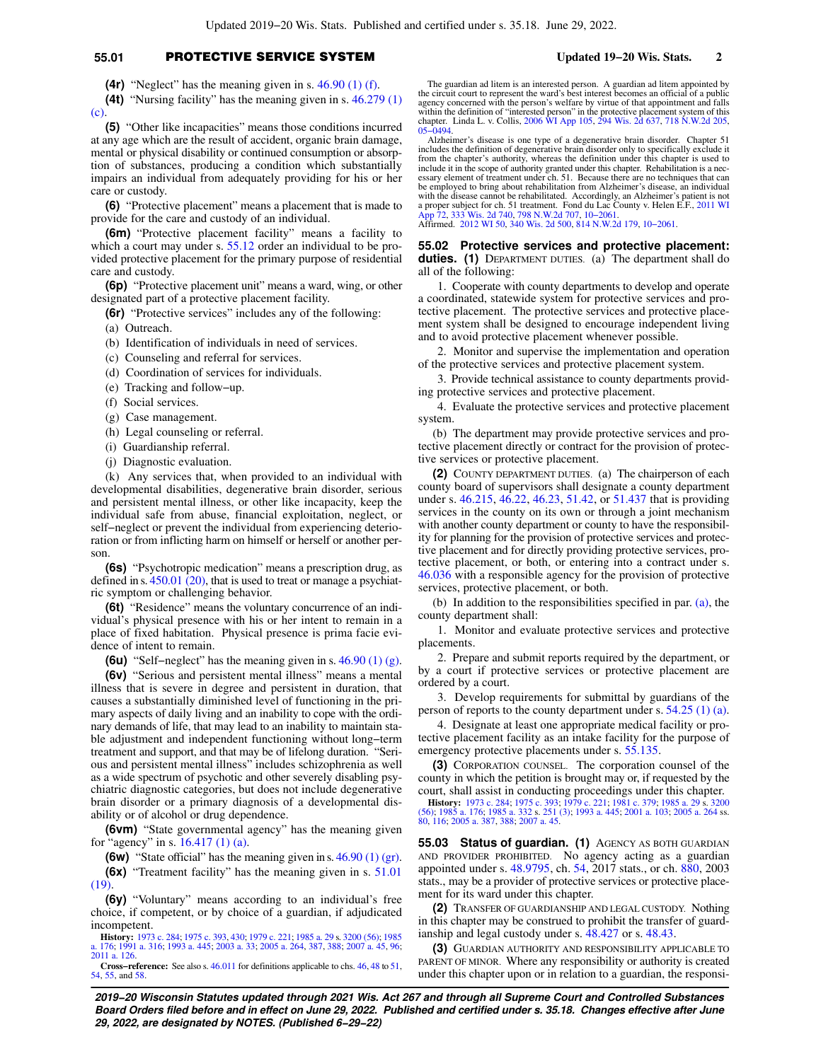# **55.01** PROTECTIVE SERVICE SYSTEM **Updated 19−20 Wis. Stats. 2**

**(4r)** "Neglect" has the meaning given in s. [46.90 \(1\) \(f\)](https://docs.legis.wisconsin.gov/document/statutes/46.90(1)(f)).

**(4t)** "Nursing facility" has the meaning given in s. [46.279 \(1\)](https://docs.legis.wisconsin.gov/document/statutes/46.279(1)(c)) [\(c\).](https://docs.legis.wisconsin.gov/document/statutes/46.279(1)(c))

**(5)** "Other like incapacities" means those conditions incurred at any age which are the result of accident, organic brain damage, mental or physical disability or continued consumption or absorption of substances, producing a condition which substantially impairs an individual from adequately providing for his or her care or custody.

**(6)** "Protective placement" means a placement that is made to provide for the care and custody of an individual.

**(6m)** "Protective placement facility" means a facility to which a court may under s. [55.12](https://docs.legis.wisconsin.gov/document/statutes/55.12) order an individual to be provided protective placement for the primary purpose of residential care and custody.

**(6p)** "Protective placement unit" means a ward, wing, or other designated part of a protective placement facility.

**(6r)** "Protective services" includes any of the following:

(a) Outreach.

- (b) Identification of individuals in need of services.
- (c) Counseling and referral for services.
- (d) Coordination of services for individuals.
- (e) Tracking and follow−up.
- (f) Social services.
- (g) Case management.
- (h) Legal counseling or referral.
- (i) Guardianship referral.
- (j) Diagnostic evaluation.

(k) Any services that, when provided to an individual with developmental disabilities, degenerative brain disorder, serious and persistent mental illness, or other like incapacity, keep the individual safe from abuse, financial exploitation, neglect, or self−neglect or prevent the individual from experiencing deterioration or from inflicting harm on himself or herself or another person.

**(6s)** "Psychotropic medication" means a prescription drug, as defined in s. [450.01 \(20\)](https://docs.legis.wisconsin.gov/document/statutes/450.01(20)), that is used to treat or manage a psychiatric symptom or challenging behavior.

**(6t)** "Residence" means the voluntary concurrence of an individual's physical presence with his or her intent to remain in a place of fixed habitation. Physical presence is prima facie evidence of intent to remain.

**(6u)** "Self−neglect" has the meaning given in s. [46.90 \(1\) \(g\).](https://docs.legis.wisconsin.gov/document/statutes/46.90(1)(g))

**(6v)** "Serious and persistent mental illness" means a mental illness that is severe in degree and persistent in duration, that causes a substantially diminished level of functioning in the primary aspects of daily living and an inability to cope with the ordinary demands of life, that may lead to an inability to maintain stable adjustment and independent functioning without long−term treatment and support, and that may be of lifelong duration. "Serious and persistent mental illness" includes schizophrenia as well as a wide spectrum of psychotic and other severely disabling psychiatric diagnostic categories, but does not include degenerative brain disorder or a primary diagnosis of a developmental disability or of alcohol or drug dependence.

**(6vm)** "State governmental agency" has the meaning given for "agency" in s. [16.417 \(1\) \(a\).](https://docs.legis.wisconsin.gov/document/statutes/16.417(1)(a))

**(6w)** "State official" has the meaning given in s. [46.90 \(1\) \(gr\).](https://docs.legis.wisconsin.gov/document/statutes/46.90(1)(gr))

**(6x)** "Treatment facility" has the meaning given in s. [51.01](https://docs.legis.wisconsin.gov/document/statutes/51.01(19)) [\(19\).](https://docs.legis.wisconsin.gov/document/statutes/51.01(19))

**(6y)** "Voluntary" means according to an individual's free choice, if competent, or by choice of a guardian, if adjudicated incompetent.

**History:** [1973 c. 284](https://docs.legis.wisconsin.gov/document/acts/1973/284); [1975 c. 393](https://docs.legis.wisconsin.gov/document/acts/1975/393), [430;](https://docs.legis.wisconsin.gov/document/acts/1975/430) [1979 c. 221;](https://docs.legis.wisconsin.gov/document/acts/1979/221) [1985 a. 29](https://docs.legis.wisconsin.gov/document/acts/1985/29) s. [3200 \(56\);](https://docs.legis.wisconsin.gov/document/acts/1985/29,%20s.%203200) [1985](https://docs.legis.wisconsin.gov/document/acts/1985/176) [a. 176;](https://docs.legis.wisconsin.gov/document/acts/1985/176) [1991 a. 316](https://docs.legis.wisconsin.gov/document/acts/1991/316); [1993 a. 445](https://docs.legis.wisconsin.gov/document/acts/1993/445); [2003 a. 33](https://docs.legis.wisconsin.gov/document/acts/2003/33); [2005 a. 264,](https://docs.legis.wisconsin.gov/document/acts/2005/264) [387,](https://docs.legis.wisconsin.gov/document/acts/2005/387) [388;](https://docs.legis.wisconsin.gov/document/acts/2005/388) [2007 a. 45,](https://docs.legis.wisconsin.gov/document/acts/2007/45) [96](https://docs.legis.wisconsin.gov/document/acts/2007/96); [2011 a. 126](https://docs.legis.wisconsin.gov/document/acts/2011/126).

**Cross−reference:** See also s. [46.011](https://docs.legis.wisconsin.gov/document/statutes/46.011) for definitions applicable to chs. [46,](https://docs.legis.wisconsin.gov/document/statutes/ch.%2046) [48](https://docs.legis.wisconsin.gov/document/statutes/ch.%2048) to [51](https://docs.legis.wisconsin.gov/document/statutes/ch.%2051), [54,](https://docs.legis.wisconsin.gov/document/statutes/ch.%2054) [55](https://docs.legis.wisconsin.gov/document/statutes/ch.%2055), and [58.](https://docs.legis.wisconsin.gov/document/statutes/ch.%2058)

The guardian ad litem is an interested person. A guardian ad litem appointed by the circuit court to represent the ward's best interest becomes an official of a public agency concerned with the person's welfare by virtue of that appointment and falls within the definition of "interested person" in the protective placement system of this chapter. Linda L. v. Collis, [2006 WI App 105](https://docs.legis.wisconsin.gov/document/courts/2006%20WI%20App%20105), [294 Wis. 2d 637](https://docs.legis.wisconsin.gov/document/courts/294%20Wis.%202d%20637), [718 N.W.2d 205](https://docs.legis.wisconsin.gov/document/courts/718%20N.W.2d%20205), 65–0494.

Alzheimer's disease is one type of a degenerative brain disorder. Chapter 51 includes the definition of degenerative brain disorder only to specifically exclude it from the chapter's authority, whereas the definition under this chapter is used to include it in the scope of authority granted under this chapter. Rehabilitation is a necessary element of treatment under ch. 51. Because there are no techniques that can be employed to bring about rehabilitation from Alzheimer's disease, an individual with the disease cannot be rehabilitated. Accordingly, an Alzheimer's patient is not a proper subject for ch. 51 treatment. Fond du Lac County v. Helen E.F., [2011 WI](https://docs.legis.wisconsin.gov/document/courts/2011%20WI%20App%2072)<br>[App 72,](https://docs.legis.wisconsin.gov/document/courts/2011%20WI%20App%2072) [333 Wis. 2d 740](https://docs.legis.wisconsin.gov/document/courts/333%20Wis.%202d%20740), [798 N.W.2d 707](https://docs.legis.wisconsin.gov/document/courts/798%20N.W.2d%20707), [10−2061](https://docs.legis.wisconsin.gov/document/wicourtofappeals/10-2061).<br>Affirmed. [2012 WI 50,](https://docs.legis.wisconsin.gov/document/courts/2012%20WI%2050) [340 Wis. 2d 500](https://docs.legis.wisconsin.gov/document/courts/340%20Wis.%202d%20500), [814 N.W.2d 179,](https://docs.legis.wisconsin.gov/document/courts/814%20N.W.2d%20179) [10−2061](https://docs.legis.wisconsin.gov/document/wisupremecourt/10-2061).

**55.02 Protective services and protective placement: duties. (1)** DEPARTMENT DUTIES. (a) The department shall do all of the following:

1. Cooperate with county departments to develop and operate a coordinated, statewide system for protective services and protective placement. The protective services and protective placement system shall be designed to encourage independent living and to avoid protective placement whenever possible.

2. Monitor and supervise the implementation and operation of the protective services and protective placement system.

3. Provide technical assistance to county departments providing protective services and protective placement.

4. Evaluate the protective services and protective placement system.

(b) The department may provide protective services and protective placement directly or contract for the provision of protective services or protective placement.

**(2)** COUNTY DEPARTMENT DUTIES. (a) The chairperson of each county board of supervisors shall designate a county department under s. [46.215,](https://docs.legis.wisconsin.gov/document/statutes/46.215) [46.22,](https://docs.legis.wisconsin.gov/document/statutes/46.22) [46.23,](https://docs.legis.wisconsin.gov/document/statutes/46.23) [51.42,](https://docs.legis.wisconsin.gov/document/statutes/51.42) or [51.437](https://docs.legis.wisconsin.gov/document/statutes/51.437) that is providing services in the county on its own or through a joint mechanism with another county department or county to have the responsibility for planning for the provision of protective services and protective placement and for directly providing protective services, protective placement, or both, or entering into a contract under s. [46.036](https://docs.legis.wisconsin.gov/document/statutes/46.036) with a responsible agency for the provision of protective services, protective placement, or both.

(b) In addition to the responsibilities specified in par. [\(a\),](https://docs.legis.wisconsin.gov/document/statutes/55.02(2)(a)) the county department shall:

1. Monitor and evaluate protective services and protective placements.

2. Prepare and submit reports required by the department, or by a court if protective services or protective placement are ordered by a court.

3. Develop requirements for submittal by guardians of the person of reports to the county department under s. [54.25 \(1\) \(a\).](https://docs.legis.wisconsin.gov/document/statutes/54.25(1)(a))

4. Designate at least one appropriate medical facility or protective placement facility as an intake facility for the purpose of emergency protective placements under s. [55.135](https://docs.legis.wisconsin.gov/document/statutes/55.135).

**(3)** CORPORATION COUNSEL. The corporation counsel of the county in which the petition is brought may or, if requested by the court, shall assist in conducting proceedings under this chapter.

**History:** [1973 c. 284](https://docs.legis.wisconsin.gov/document/acts/1973/284); [1975 c. 393;](https://docs.legis.wisconsin.gov/document/acts/1975/393) [1979 c. 221](https://docs.legis.wisconsin.gov/document/acts/1979/221); [1981 c. 379](https://docs.legis.wisconsin.gov/document/acts/1981/379); [1985 a. 29](https://docs.legis.wisconsin.gov/document/acts/1985/29) s. [3200](https://docs.legis.wisconsin.gov/document/acts/1985/29,%20s.%203200) [\(56\);](https://docs.legis.wisconsin.gov/document/acts/1985/29,%20s.%203200) [1985 a. 176](https://docs.legis.wisconsin.gov/document/acts/1985/176); [1985 a. 332](https://docs.legis.wisconsin.gov/document/acts/1985/332) s. [251 \(3\)](https://docs.legis.wisconsin.gov/document/acts/1985/332,%20s.%20251); [1993 a. 445](https://docs.legis.wisconsin.gov/document/acts/1993/445); [2001 a. 103;](https://docs.legis.wisconsin.gov/document/acts/2001/103) [2005 a. 264](https://docs.legis.wisconsin.gov/document/acts/2005/264) ss. [80](https://docs.legis.wisconsin.gov/document/acts/2005/264,%20s.%2080), [116;](https://docs.legis.wisconsin.gov/document/acts/2005/264,%20s.%20116) [2005 a. 387](https://docs.legis.wisconsin.gov/document/acts/2005/387), [388;](https://docs.legis.wisconsin.gov/document/acts/2005/388) [2007 a. 45.](https://docs.legis.wisconsin.gov/document/acts/2007/45)

**55.03 Status of guardian. (1)** AGENCY AS BOTH GUARDIAN AND PROVIDER PROHIBITED. No agency acting as a guardian appointed under s. [48.9795](https://docs.legis.wisconsin.gov/document/statutes/48.9795), ch. [54](https://docs.legis.wisconsin.gov/document/statutes/2017/ch.%2054), 2017 stats., or ch. [880,](https://docs.legis.wisconsin.gov/document/statutes/2003/ch.%20880) 2003 stats., may be a provider of protective services or protective placement for its ward under this chapter.

**(2)** TRANSFER OF GUARDIANSHIP AND LEGAL CUSTODY. Nothing in this chapter may be construed to prohibit the transfer of guardianship and legal custody under s.  $\overline{48.427}$  or s. [48.43](https://docs.legis.wisconsin.gov/document/statutes/48.43).

**(3)** GUARDIAN AUTHORITY AND RESPONSIBILITY APPLICABLE TO PARENT OF MINOR. Where any responsibility or authority is created under this chapter upon or in relation to a guardian, the responsi-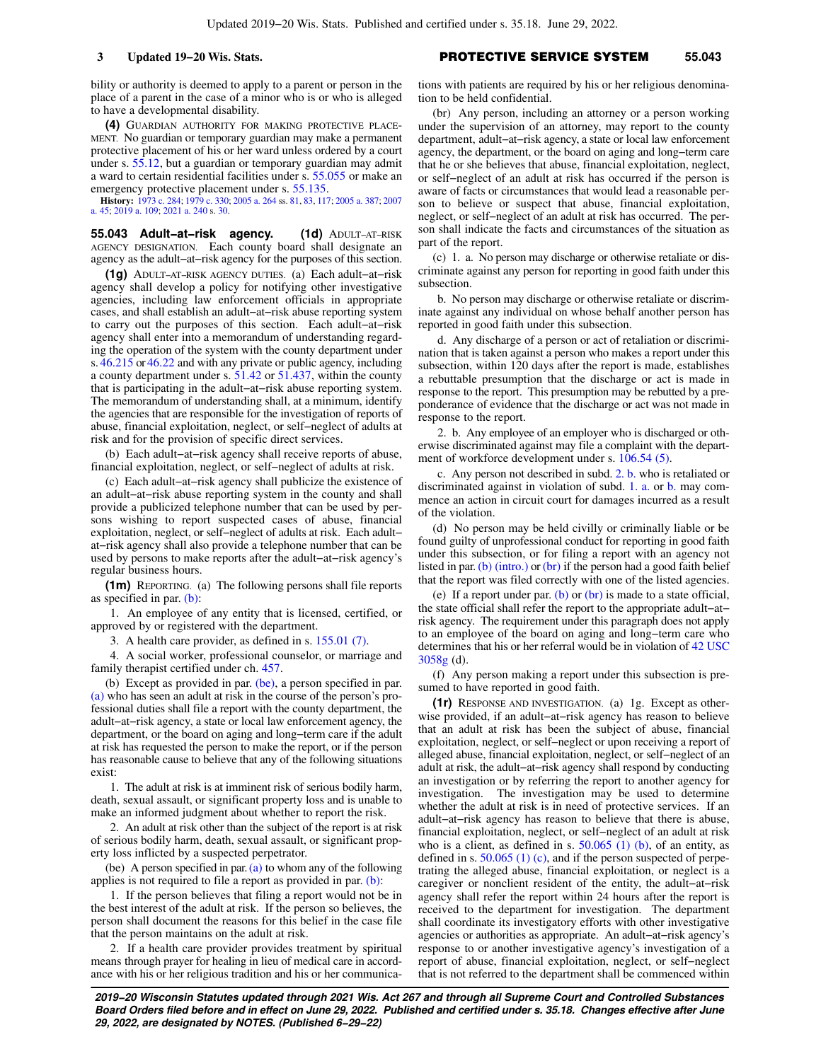bility or authority is deemed to apply to a parent or person in the place of a parent in the case of a minor who is or who is alleged to have a developmental disability.

**(4)** GUARDIAN AUTHORITY FOR MAKING PROTECTIVE PLACE-MENT. No guardian or temporary guardian may make a permanent protective placement of his or her ward unless ordered by a court under s. [55.12](https://docs.legis.wisconsin.gov/document/statutes/55.12), but a guardian or temporary guardian may admit a ward to certain residential facilities under s. [55.055](https://docs.legis.wisconsin.gov/document/statutes/55.055) or make an emergency protective placement under s. [55.135](https://docs.legis.wisconsin.gov/document/statutes/55.135).

**History:** [1973 c. 284;](https://docs.legis.wisconsin.gov/document/acts/1973/284) [1979 c. 330;](https://docs.legis.wisconsin.gov/document/acts/1979/330) [2005 a. 264](https://docs.legis.wisconsin.gov/document/acts/2005/264) ss. [81](https://docs.legis.wisconsin.gov/document/acts/2005/264,%20s.%2081), [83,](https://docs.legis.wisconsin.gov/document/acts/2005/264,%20s.%2083) [117](https://docs.legis.wisconsin.gov/document/acts/2005/264,%20s.%20117); [2005 a. 387;](https://docs.legis.wisconsin.gov/document/acts/2005/387) [2007](https://docs.legis.wisconsin.gov/document/acts/2007/45) [a. 45](https://docs.legis.wisconsin.gov/document/acts/2007/45); [2019 a. 109](https://docs.legis.wisconsin.gov/document/acts/2019/109); [2021 a. 240](https://docs.legis.wisconsin.gov/document/acts/2021/240) s. [30.](https://docs.legis.wisconsin.gov/document/acts/2021/240,%20s.%2030)

**55.043 Adult−at−risk agency. (1d)** ADULT−AT−RISK AGENCY DESIGNATION. Each county board shall designate an agency as the adult−at−risk agency for the purposes of this section.

**(1g)** ADULT−AT−RISK AGENCY DUTIES. (a) Each adult−at−risk agency shall develop a policy for notifying other investigative agencies, including law enforcement officials in appropriate cases, and shall establish an adult−at−risk abuse reporting system to carry out the purposes of this section. Each adult−at−risk agency shall enter into a memorandum of understanding regarding the operation of the system with the county department under s. [46.215](https://docs.legis.wisconsin.gov/document/statutes/46.215) or [46.22](https://docs.legis.wisconsin.gov/document/statutes/46.22) and with any private or public agency, including a county department under s. [51.42](https://docs.legis.wisconsin.gov/document/statutes/51.42) or [51.437](https://docs.legis.wisconsin.gov/document/statutes/51.437), within the county that is participating in the adult−at−risk abuse reporting system. The memorandum of understanding shall, at a minimum, identify the agencies that are responsible for the investigation of reports of abuse, financial exploitation, neglect, or self−neglect of adults at risk and for the provision of specific direct services.

(b) Each adult−at−risk agency shall receive reports of abuse, financial exploitation, neglect, or self−neglect of adults at risk.

(c) Each adult−at−risk agency shall publicize the existence of an adult−at−risk abuse reporting system in the county and shall provide a publicized telephone number that can be used by persons wishing to report suspected cases of abuse, financial exploitation, neglect, or self−neglect of adults at risk. Each adult− at−risk agency shall also provide a telephone number that can be used by persons to make reports after the adult−at−risk agency's regular business hours.

**(1m)** REPORTING. (a) The following persons shall file reports as specified in par.  $(b)$ :

1. An employee of any entity that is licensed, certified, or approved by or registered with the department.

3. A health care provider, as defined in s. [155.01 \(7\)](https://docs.legis.wisconsin.gov/document/statutes/155.01(7)).

4. A social worker, professional counselor, or marriage and family therapist certified under ch. [457.](https://docs.legis.wisconsin.gov/document/statutes/ch.%20457)

(b) Except as provided in par. [\(be\)](https://docs.legis.wisconsin.gov/document/statutes/55.043(1m)(be)), a person specified in par. [\(a\)](https://docs.legis.wisconsin.gov/document/statutes/55.043(1m)(a)) who has seen an adult at risk in the course of the person's professional duties shall file a report with the county department, the adult−at−risk agency, a state or local law enforcement agency, the department, or the board on aging and long−term care if the adult at risk has requested the person to make the report, or if the person has reasonable cause to believe that any of the following situations exist:

1. The adult at risk is at imminent risk of serious bodily harm, death, sexual assault, or significant property loss and is unable to make an informed judgment about whether to report the risk.

2. An adult at risk other than the subject of the report is at risk of serious bodily harm, death, sexual assault, or significant property loss inflicted by a suspected perpetrator.

(be) A person specified in par.  $(a)$  to whom any of the following applies is not required to file a report as provided in par. [\(b\):](https://docs.legis.wisconsin.gov/document/statutes/55.043(1m)(b))

1. If the person believes that filing a report would not be in the best interest of the adult at risk. If the person so believes, the person shall document the reasons for this belief in the case file that the person maintains on the adult at risk.

2. If a health care provider provides treatment by spiritual means through prayer for healing in lieu of medical care in accordance with his or her religious tradition and his or her communica-

# **3 Updated 19−20 Wis. Stats.** PROTECTIVE SERVICE SYSTEM **55.043**

tions with patients are required by his or her religious denomination to be held confidential.

(br) Any person, including an attorney or a person working under the supervision of an attorney, may report to the county department, adult−at−risk agency, a state or local law enforcement agency, the department, or the board on aging and long−term care that he or she believes that abuse, financial exploitation, neglect, or self−neglect of an adult at risk has occurred if the person is aware of facts or circumstances that would lead a reasonable person to believe or suspect that abuse, financial exploitation, neglect, or self−neglect of an adult at risk has occurred. The person shall indicate the facts and circumstances of the situation as part of the report.

(c) 1. a. No person may discharge or otherwise retaliate or discriminate against any person for reporting in good faith under this subsection.

b. No person may discharge or otherwise retaliate or discriminate against any individual on whose behalf another person has reported in good faith under this subsection.

d. Any discharge of a person or act of retaliation or discrimination that is taken against a person who makes a report under this subsection, within 120 days after the report is made, establishes a rebuttable presumption that the discharge or act is made in response to the report. This presumption may be rebutted by a preponderance of evidence that the discharge or act was not made in response to the report.

2. b. Any employee of an employer who is discharged or otherwise discriminated against may file a complaint with the department of workforce development under s. [106.54 \(5\)](https://docs.legis.wisconsin.gov/document/statutes/106.54(5)).

c. Any person not described in subd. [2. b.](https://docs.legis.wisconsin.gov/document/statutes/55.043(1m)(c)2.b.) who is retaliated or discriminated against in violation of subd. [1. a.](https://docs.legis.wisconsin.gov/document/statutes/55.043(1m)(c)1.a.) or [b.](https://docs.legis.wisconsin.gov/document/statutes/55.043(1m)(c)1.b.) may commence an action in circuit court for damages incurred as a result of the violation.

(d) No person may be held civilly or criminally liable or be found guilty of unprofessional conduct for reporting in good faith under this subsection, or for filing a report with an agency not listed in par. [\(b\) \(intro.\)](https://docs.legis.wisconsin.gov/document/statutes/55.043(1m)(b)(intro.)) or [\(br\)](https://docs.legis.wisconsin.gov/document/statutes/55.043(1m)(br)) if the person had a good faith belief that the report was filed correctly with one of the listed agencies.

(e) If a report under par. [\(b\)](https://docs.legis.wisconsin.gov/document/statutes/55.043(1m)(b)) or  $(br)$  is made to a state official, the state official shall refer the report to the appropriate adult−at− risk agency. The requirement under this paragraph does not apply to an employee of the board on aging and long−term care who determines that his or her referral would be in violation of [42 USC](https://docs.legis.wisconsin.gov/document/usc/42%20USC%203058g) [3058g](https://docs.legis.wisconsin.gov/document/usc/42%20USC%203058g) (d).

(f) Any person making a report under this subsection is presumed to have reported in good faith.

**(1r)** RESPONSE AND INVESTIGATION. (a) 1g. Except as otherwise provided, if an adult−at−risk agency has reason to believe that an adult at risk has been the subject of abuse, financial exploitation, neglect, or self−neglect or upon receiving a report of alleged abuse, financial exploitation, neglect, or self−neglect of an adult at risk, the adult−at−risk agency shall respond by conducting an investigation or by referring the report to another agency for investigation. The investigation may be used to determine whether the adult at risk is in need of protective services. If an adult−at−risk agency has reason to believe that there is abuse, financial exploitation, neglect, or self−neglect of an adult at risk who is a client, as defined in s.  $50.065$  (1) (b), of an entity, as defined in s.  $50.065$  (1) (c), and if the person suspected of perpetrating the alleged abuse, financial exploitation, or neglect is a caregiver or nonclient resident of the entity, the adult−at−risk agency shall refer the report within 24 hours after the report is received to the department for investigation. The department shall coordinate its investigatory efforts with other investigative agencies or authorities as appropriate. An adult−at−risk agency's response to or another investigative agency's investigation of a report of abuse, financial exploitation, neglect, or self−neglect that is not referred to the department shall be commenced within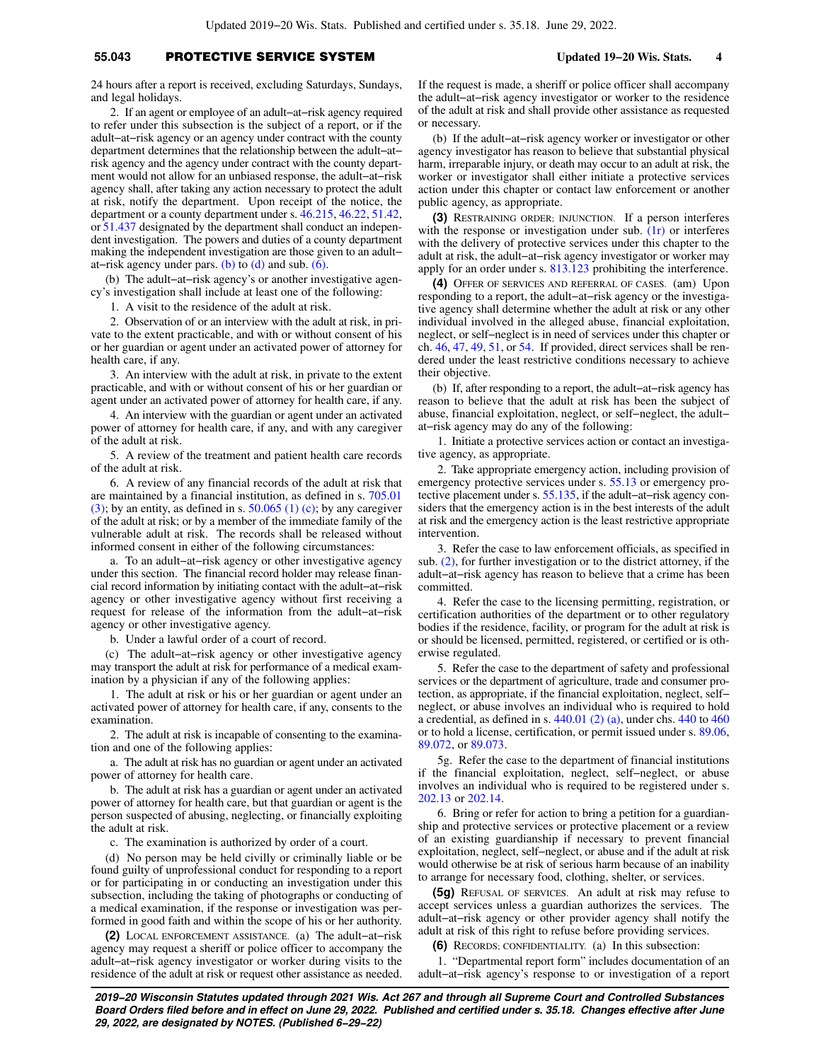# **55.043** PROTECTIVE SERVICE SYSTEM **Updated 19−20 Wis. Stats. 4**

24 hours after a report is received, excluding Saturdays, Sundays, and legal holidays.

2. If an agent or employee of an adult−at−risk agency required to refer under this subsection is the subject of a report, or if the adult−at−risk agency or an agency under contract with the county department determines that the relationship between the adult−at− risk agency and the agency under contract with the county department would not allow for an unbiased response, the adult−at−risk agency shall, after taking any action necessary to protect the adult at risk, notify the department. Upon receipt of the notice, the department or a county department under s. [46.215,](https://docs.legis.wisconsin.gov/document/statutes/46.215) [46.22](https://docs.legis.wisconsin.gov/document/statutes/46.22), [51.42,](https://docs.legis.wisconsin.gov/document/statutes/51.42) or [51.437](https://docs.legis.wisconsin.gov/document/statutes/51.437) designated by the department shall conduct an independent investigation. The powers and duties of a county department making the independent investigation are those given to an adult− at–risk agency under pars. [\(b\)](https://docs.legis.wisconsin.gov/document/statutes/55.043(1r)(b)) to  $(d)$  and sub.  $(6)$ .

(b) The adult−at−risk agency's or another investigative agency's investigation shall include at least one of the following:

1. A visit to the residence of the adult at risk.

2. Observation of or an interview with the adult at risk, in private to the extent practicable, and with or without consent of his or her guardian or agent under an activated power of attorney for health care, if any.

3. An interview with the adult at risk, in private to the extent practicable, and with or without consent of his or her guardian or agent under an activated power of attorney for health care, if any.

4. An interview with the guardian or agent under an activated power of attorney for health care, if any, and with any caregiver of the adult at risk.

5. A review of the treatment and patient health care records of the adult at risk.

6. A review of any financial records of the adult at risk that are maintained by a financial institution, as defined in s. [705.01](https://docs.legis.wisconsin.gov/document/statutes/705.01(3)) [\(3\)](https://docs.legis.wisconsin.gov/document/statutes/705.01(3)); by an entity, as defined in s.  $50.065$  (1) (c); by any caregiver of the adult at risk; or by a member of the immediate family of the vulnerable adult at risk. The records shall be released without informed consent in either of the following circumstances:

a. To an adult−at−risk agency or other investigative agency under this section. The financial record holder may release financial record information by initiating contact with the adult−at−risk agency or other investigative agency without first receiving a request for release of the information from the adult−at−risk agency or other investigative agency.

b. Under a lawful order of a court of record.

(c) The adult−at−risk agency or other investigative agency may transport the adult at risk for performance of a medical examination by a physician if any of the following applies:

1. The adult at risk or his or her guardian or agent under an activated power of attorney for health care, if any, consents to the examination.

2. The adult at risk is incapable of consenting to the examination and one of the following applies:

a. The adult at risk has no guardian or agent under an activated power of attorney for health care.

b. The adult at risk has a guardian or agent under an activated power of attorney for health care, but that guardian or agent is the person suspected of abusing, neglecting, or financially exploiting the adult at risk.

c. The examination is authorized by order of a court.

(d) No person may be held civilly or criminally liable or be found guilty of unprofessional conduct for responding to a report or for participating in or conducting an investigation under this subsection, including the taking of photographs or conducting of a medical examination, if the response or investigation was performed in good faith and within the scope of his or her authority.

**(2)** LOCAL ENFORCEMENT ASSISTANCE. (a) The adult−at−risk agency may request a sheriff or police officer to accompany the adult−at−risk agency investigator or worker during visits to the residence of the adult at risk or request other assistance as needed.

If the request is made, a sheriff or police officer shall accompany the adult−at−risk agency investigator or worker to the residence of the adult at risk and shall provide other assistance as requested or necessary.

(b) If the adult−at−risk agency worker or investigator or other agency investigator has reason to believe that substantial physical harm, irreparable injury, or death may occur to an adult at risk, the worker or investigator shall either initiate a protective services action under this chapter or contact law enforcement or another public agency, as appropriate.

**(3)** RESTRAINING ORDER; INJUNCTION. If a person interferes with the response or investigation under sub.  $(1r)$  or interferes with the delivery of protective services under this chapter to the adult at risk, the adult−at−risk agency investigator or worker may apply for an order under s. [813.123](https://docs.legis.wisconsin.gov/document/statutes/813.123) prohibiting the interference.

**(4)** OFFER OF SERVICES AND REFERRAL OF CASES. (am) Upon responding to a report, the adult−at−risk agency or the investigative agency shall determine whether the adult at risk or any other individual involved in the alleged abuse, financial exploitation, neglect, or self−neglect is in need of services under this chapter or ch. [46,](https://docs.legis.wisconsin.gov/document/statutes/ch.%2046) [47](https://docs.legis.wisconsin.gov/document/statutes/ch.%2047), [49](https://docs.legis.wisconsin.gov/document/statutes/ch.%2049), [51,](https://docs.legis.wisconsin.gov/document/statutes/ch.%2051) or [54](https://docs.legis.wisconsin.gov/document/statutes/ch.%2054). If provided, direct services shall be rendered under the least restrictive conditions necessary to achieve their objective.

(b) If, after responding to a report, the adult−at−risk agency has reason to believe that the adult at risk has been the subject of abuse, financial exploitation, neglect, or self−neglect, the adult− at−risk agency may do any of the following:

1. Initiate a protective services action or contact an investigative agency, as appropriate.

2. Take appropriate emergency action, including provision of emergency protective services under s. [55.13](https://docs.legis.wisconsin.gov/document/statutes/55.13) or emergency protective placement under s. [55.135,](https://docs.legis.wisconsin.gov/document/statutes/55.135) if the adult−at−risk agency considers that the emergency action is in the best interests of the adult at risk and the emergency action is the least restrictive appropriate intervention.

3. Refer the case to law enforcement officials, as specified in sub. [\(2\),](https://docs.legis.wisconsin.gov/document/statutes/55.043(2)) for further investigation or to the district attorney, if the adult−at−risk agency has reason to believe that a crime has been committed.

4. Refer the case to the licensing permitting, registration, or certification authorities of the department or to other regulatory bodies if the residence, facility, or program for the adult at risk is or should be licensed, permitted, registered, or certified or is otherwise regulated.

5. Refer the case to the department of safety and professional services or the department of agriculture, trade and consumer protection, as appropriate, if the financial exploitation, neglect, self− neglect, or abuse involves an individual who is required to hold a credential, as defined in s. [440.01 \(2\) \(a\),](https://docs.legis.wisconsin.gov/document/statutes/440.01(2)(a)) under chs. [440](https://docs.legis.wisconsin.gov/document/statutes/ch.%20440) to [460](https://docs.legis.wisconsin.gov/document/statutes/ch.%20460) or to hold a license, certification, or permit issued under s. [89.06,](https://docs.legis.wisconsin.gov/document/statutes/89.06) [89.072,](https://docs.legis.wisconsin.gov/document/statutes/89.072) or [89.073](https://docs.legis.wisconsin.gov/document/statutes/89.073).

5g. Refer the case to the department of financial institutions if the financial exploitation, neglect, self−neglect, or abuse involves an individual who is required to be registered under s. [202.13](https://docs.legis.wisconsin.gov/document/statutes/202.13) or [202.14.](https://docs.legis.wisconsin.gov/document/statutes/202.14)

6. Bring or refer for action to bring a petition for a guardianship and protective services or protective placement or a review of an existing guardianship if necessary to prevent financial exploitation, neglect, self−neglect, or abuse and if the adult at risk would otherwise be at risk of serious harm because of an inability to arrange for necessary food, clothing, shelter, or services.

**(5g)** REFUSAL OF SERVICES. An adult at risk may refuse to accept services unless a guardian authorizes the services. The adult−at−risk agency or other provider agency shall notify the adult at risk of this right to refuse before providing services.

**(6)** RECORDS; CONFIDENTIALITY. (a) In this subsection:

1. "Departmental report form" includes documentation of an adult−at−risk agency's response to or investigation of a report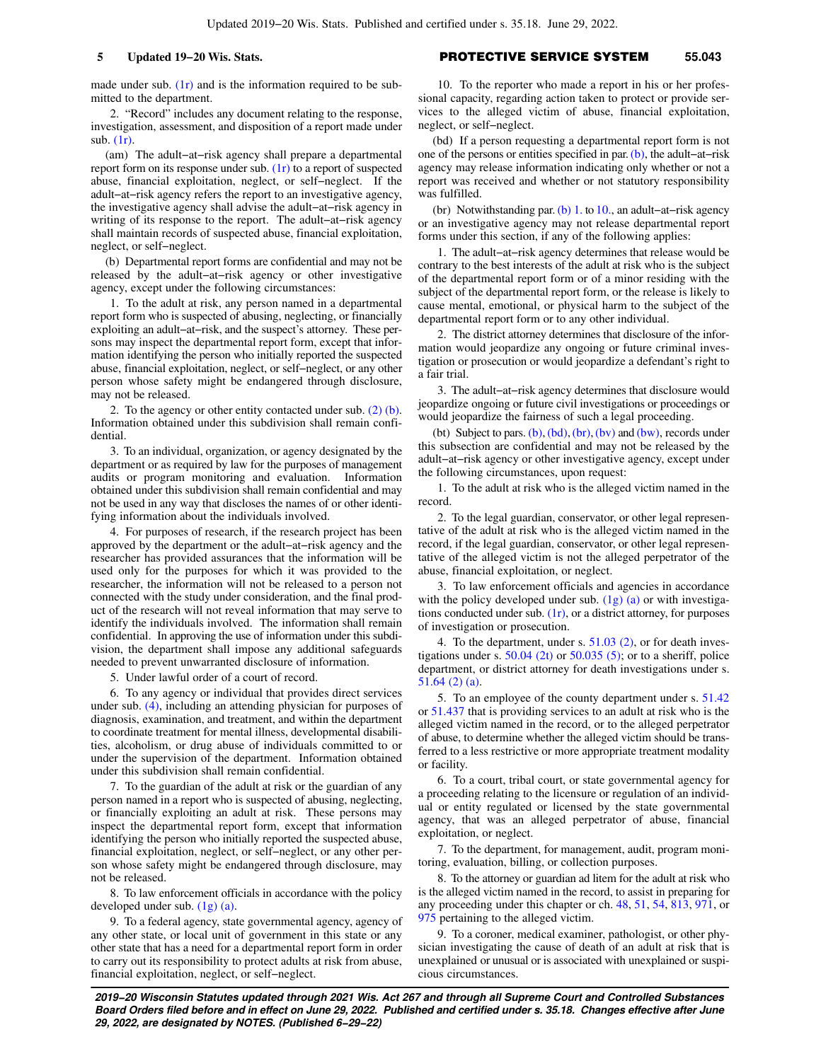made under sub.  $(1r)$  and is the information required to be submitted to the department.

2. "Record" includes any document relating to the response, investigation, assessment, and disposition of a report made under sub. [\(1r\)](https://docs.legis.wisconsin.gov/document/statutes/55.043(1r)).

(am) The adult−at−risk agency shall prepare a departmental report form on its response under sub.  $(1r)$  to a report of suspected abuse, financial exploitation, neglect, or self−neglect. If the adult−at−risk agency refers the report to an investigative agency, the investigative agency shall advise the adult−at−risk agency in writing of its response to the report. The adult−at−risk agency shall maintain records of suspected abuse, financial exploitation, neglect, or self−neglect.

(b) Departmental report forms are confidential and may not be released by the adult−at−risk agency or other investigative agency, except under the following circumstances:

1. To the adult at risk, any person named in a departmental report form who is suspected of abusing, neglecting, or financially exploiting an adult−at−risk, and the suspect's attorney. These persons may inspect the departmental report form, except that information identifying the person who initially reported the suspected abuse, financial exploitation, neglect, or self−neglect, or any other person whose safety might be endangered through disclosure, may not be released.

2. To the agency or other entity contacted under sub. [\(2\) \(b\).](https://docs.legis.wisconsin.gov/document/statutes/55.043(2)(b)) Information obtained under this subdivision shall remain confidential.

3. To an individual, organization, or agency designated by the department or as required by law for the purposes of management audits or program monitoring and evaluation. Information obtained under this subdivision shall remain confidential and may not be used in any way that discloses the names of or other identifying information about the individuals involved.

4. For purposes of research, if the research project has been approved by the department or the adult−at−risk agency and the researcher has provided assurances that the information will be used only for the purposes for which it was provided to the researcher, the information will not be released to a person not connected with the study under consideration, and the final product of the research will not reveal information that may serve to identify the individuals involved. The information shall remain confidential. In approving the use of information under this subdivision, the department shall impose any additional safeguards needed to prevent unwarranted disclosure of information.

5. Under lawful order of a court of record.

6. To any agency or individual that provides direct services under sub. [\(4\),](https://docs.legis.wisconsin.gov/document/statutes/55.043(4)) including an attending physician for purposes of diagnosis, examination, and treatment, and within the department to coordinate treatment for mental illness, developmental disabilities, alcoholism, or drug abuse of individuals committed to or under the supervision of the department. Information obtained under this subdivision shall remain confidential.

7. To the guardian of the adult at risk or the guardian of any person named in a report who is suspected of abusing, neglecting, or financially exploiting an adult at risk. These persons may inspect the departmental report form, except that information identifying the person who initially reported the suspected abuse, financial exploitation, neglect, or self−neglect, or any other person whose safety might be endangered through disclosure, may not be released.

8. To law enforcement officials in accordance with the policy developed under sub. [\(1g\) \(a\).](https://docs.legis.wisconsin.gov/document/statutes/55.043(1g)(a))

9. To a federal agency, state governmental agency, agency of any other state, or local unit of government in this state or any other state that has a need for a departmental report form in order to carry out its responsibility to protect adults at risk from abuse, financial exploitation, neglect, or self−neglect.

## **5 Updated 19−20 Wis. Stats.** PROTECTIVE SERVICE SYSTEM **55.043**

10. To the reporter who made a report in his or her professional capacity, regarding action taken to protect or provide services to the alleged victim of abuse, financial exploitation, neglect, or self−neglect.

(bd) If a person requesting a departmental report form is not one of the persons or entities specified in par. [\(b\),](https://docs.legis.wisconsin.gov/document/statutes/55.043(6)(b)) the adult−at−risk agency may release information indicating only whether or not a report was received and whether or not statutory responsibility was fulfilled.

(br) Notwithstanding par. [\(b\) 1.](https://docs.legis.wisconsin.gov/document/statutes/55.043(6)(b)1.) to [10.](https://docs.legis.wisconsin.gov/document/statutes/55.043(6)(b)10.), an adult−at−risk agency or an investigative agency may not release departmental report forms under this section, if any of the following applies:

1. The adult−at−risk agency determines that release would be contrary to the best interests of the adult at risk who is the subject of the departmental report form or of a minor residing with the subject of the departmental report form, or the release is likely to cause mental, emotional, or physical harm to the subject of the departmental report form or to any other individual.

2. The district attorney determines that disclosure of the information would jeopardize any ongoing or future criminal investigation or prosecution or would jeopardize a defendant's right to a fair trial.

3. The adult−at−risk agency determines that disclosure would jeopardize ongoing or future civil investigations or proceedings or would jeopardize the fairness of such a legal proceeding.

(bt) Subject to pars.  $(b)$ ,  $(bd)$ ,  $(br)$ ,  $(bv)$  and  $(bw)$ , records under this subsection are confidential and may not be released by the adult−at−risk agency or other investigative agency, except under the following circumstances, upon request:

1. To the adult at risk who is the alleged victim named in the record.

2. To the legal guardian, conservator, or other legal representative of the adult at risk who is the alleged victim named in the record, if the legal guardian, conservator, or other legal representative of the alleged victim is not the alleged perpetrator of the abuse, financial exploitation, or neglect.

3. To law enforcement officials and agencies in accordance with the policy developed under sub.  $(1g)$  (a) or with investigations conducted under sub.  $(1r)$ , or a district attorney, for purposes of investigation or prosecution.

4. To the department, under s. [51.03 \(2\),](https://docs.legis.wisconsin.gov/document/statutes/51.03(2)) or for death inves-tigations under s. [50.04 \(2t\)](https://docs.legis.wisconsin.gov/document/statutes/50.04(2t)) or  $50.035$  (5); or to a sheriff, police department, or district attorney for death investigations under s. [51.64 \(2\) \(a\).](https://docs.legis.wisconsin.gov/document/statutes/51.64(2)(a))

5. To an employee of the county department under s. [51.42](https://docs.legis.wisconsin.gov/document/statutes/51.42) or [51.437](https://docs.legis.wisconsin.gov/document/statutes/51.437) that is providing services to an adult at risk who is the alleged victim named in the record, or to the alleged perpetrator of abuse, to determine whether the alleged victim should be transferred to a less restrictive or more appropriate treatment modality or facility.

6. To a court, tribal court, or state governmental agency for a proceeding relating to the licensure or regulation of an individual or entity regulated or licensed by the state governmental agency, that was an alleged perpetrator of abuse, financial exploitation, or neglect.

7. To the department, for management, audit, program monitoring, evaluation, billing, or collection purposes.

8. To the attorney or guardian ad litem for the adult at risk who is the alleged victim named in the record, to assist in preparing for any proceeding under this chapter or ch. [48,](https://docs.legis.wisconsin.gov/document/statutes/ch.%2048) [51](https://docs.legis.wisconsin.gov/document/statutes/ch.%2051), [54](https://docs.legis.wisconsin.gov/document/statutes/ch.%2054), [813](https://docs.legis.wisconsin.gov/document/statutes/ch.%20813), [971](https://docs.legis.wisconsin.gov/document/statutes/ch.%20971), or [975](https://docs.legis.wisconsin.gov/document/statutes/ch.%20975) pertaining to the alleged victim.

9. To a coroner, medical examiner, pathologist, or other physician investigating the cause of death of an adult at risk that is unexplained or unusual or is associated with unexplained or suspicious circumstances.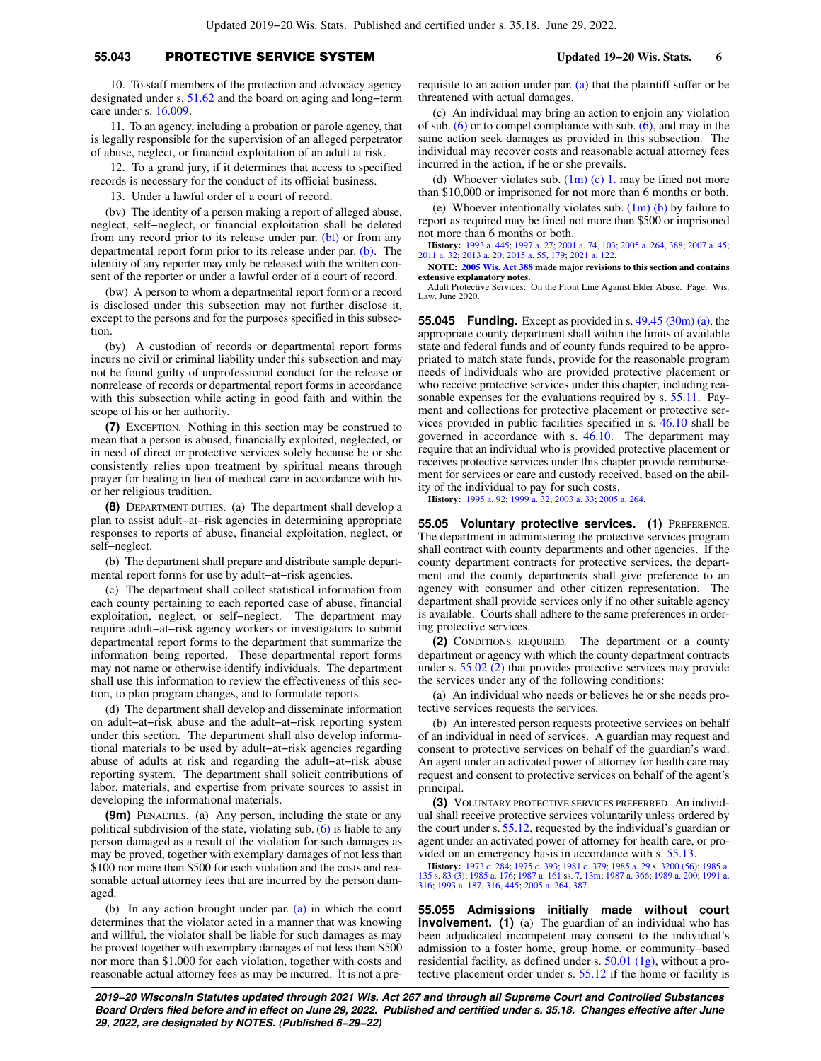# **55.043** PROTECTIVE SERVICE SYSTEM **Updated 19−20 Wis. Stats. 6**

10. To staff members of the protection and advocacy agency designated under s. [51.62](https://docs.legis.wisconsin.gov/document/statutes/51.62) and the board on aging and long−term care under s. [16.009.](https://docs.legis.wisconsin.gov/document/statutes/16.009)

11. To an agency, including a probation or parole agency, that is legally responsible for the supervision of an alleged perpetrator of abuse, neglect, or financial exploitation of an adult at risk.

12. To a grand jury, if it determines that access to specified records is necessary for the conduct of its official business.

13. Under a lawful order of a court of record.

(bv) The identity of a person making a report of alleged abuse, neglect, self−neglect, or financial exploitation shall be deleted from any record prior to its release under par. [\(bt\)](https://docs.legis.wisconsin.gov/document/statutes/55.043(6)(bt)) or from any departmental report form prior to its release under par. [\(b\).](https://docs.legis.wisconsin.gov/document/statutes/55.043(6)(b)) The identity of any reporter may only be released with the written consent of the reporter or under a lawful order of a court of record.

(bw) A person to whom a departmental report form or a record is disclosed under this subsection may not further disclose it, except to the persons and for the purposes specified in this subsection.

(by) A custodian of records or departmental report forms incurs no civil or criminal liability under this subsection and may not be found guilty of unprofessional conduct for the release or nonrelease of records or departmental report forms in accordance with this subsection while acting in good faith and within the scope of his or her authority.

**(7)** EXCEPTION. Nothing in this section may be construed to mean that a person is abused, financially exploited, neglected, or in need of direct or protective services solely because he or she consistently relies upon treatment by spiritual means through prayer for healing in lieu of medical care in accordance with his or her religious tradition.

**(8)** DEPARTMENT DUTIES. (a) The department shall develop a plan to assist adult−at−risk agencies in determining appropriate responses to reports of abuse, financial exploitation, neglect, or self−neglect.

(b) The department shall prepare and distribute sample departmental report forms for use by adult−at−risk agencies.

(c) The department shall collect statistical information from each county pertaining to each reported case of abuse, financial exploitation, neglect, or self−neglect. The department may require adult−at−risk agency workers or investigators to submit departmental report forms to the department that summarize the information being reported. These departmental report forms may not name or otherwise identify individuals. The department shall use this information to review the effectiveness of this section, to plan program changes, and to formulate reports.

(d) The department shall develop and disseminate information on adult−at−risk abuse and the adult−at−risk reporting system under this section. The department shall also develop informational materials to be used by adult−at−risk agencies regarding abuse of adults at risk and regarding the adult−at−risk abuse reporting system. The department shall solicit contributions of labor, materials, and expertise from private sources to assist in developing the informational materials.

**(9m)** PENALTIES. (a) Any person, including the state or any political subdivision of the state, violating sub.  $(6)$  is liable to any person damaged as a result of the violation for such damages as may be proved, together with exemplary damages of not less than \$100 nor more than \$500 for each violation and the costs and reasonable actual attorney fees that are incurred by the person damaged.

(b) In any action brought under par. [\(a\)](https://docs.legis.wisconsin.gov/document/statutes/55.043(9m)(a)) in which the court determines that the violator acted in a manner that was knowing and willful, the violator shall be liable for such damages as may be proved together with exemplary damages of not less than \$500 nor more than \$1,000 for each violation, together with costs and reasonable actual attorney fees as may be incurred. It is not a prerequisite to an action under par. [\(a\)](https://docs.legis.wisconsin.gov/document/statutes/55.043(9m)(a)) that the plaintiff suffer or be threatened with actual damages.

(c) An individual may bring an action to enjoin any violation of sub.  $(6)$  or to compel compliance with sub.  $(6)$ , and may in the same action seek damages as provided in this subsection. The individual may recover costs and reasonable actual attorney fees incurred in the action, if he or she prevails.

(d) Whoever violates sub.  $(1m)$  (c) 1. may be fined not more than \$10,000 or imprisoned for not more than 6 months or both.

(e) Whoever intentionally violates sub.  $(1m)$  (b) by failure to report as required may be fined not more than \$500 or imprisoned not more than 6 months or both.

**History:** [1993 a. 445](https://docs.legis.wisconsin.gov/document/acts/1993/445); [1997 a. 27;](https://docs.legis.wisconsin.gov/document/acts/1997/27) [2001 a. 74](https://docs.legis.wisconsin.gov/document/acts/2001/74), [103](https://docs.legis.wisconsin.gov/document/acts/2001/103); [2005 a. 264,](https://docs.legis.wisconsin.gov/document/acts/2005/264) [388;](https://docs.legis.wisconsin.gov/document/acts/2005/388) [2007 a. 45](https://docs.legis.wisconsin.gov/document/acts/2007/45); [2011 a. 32](https://docs.legis.wisconsin.gov/document/acts/2011/32); [2013 a. 20](https://docs.legis.wisconsin.gov/document/acts/2013/20); [2015 a. 55,](https://docs.legis.wisconsin.gov/document/acts/2015/55) [179;](https://docs.legis.wisconsin.gov/document/acts/2015/179) [2021 a. 122](https://docs.legis.wisconsin.gov/document/acts/2021/122).

**NOTE: [2005 Wis. Act 388](https://docs.legis.wisconsin.gov/document/acts/2005/388) made major revisions to this section and contains extensive explanatory notes.**

Adult Protective Services: On the Front Line Against Elder Abuse. Page. Wis. Law. June 2020.

**55.045 Funding.** Except as provided in s. [49.45 \(30m\) \(a\),](https://docs.legis.wisconsin.gov/document/statutes/49.45(30m)(a)) the appropriate county department shall within the limits of available state and federal funds and of county funds required to be appropriated to match state funds, provide for the reasonable program needs of individuals who are provided protective placement or who receive protective services under this chapter, including reasonable expenses for the evaluations required by s. [55.11](https://docs.legis.wisconsin.gov/document/statutes/55.11). Payment and collections for protective placement or protective services provided in public facilities specified in s. [46.10](https://docs.legis.wisconsin.gov/document/statutes/46.10) shall be governed in accordance with s. [46.10.](https://docs.legis.wisconsin.gov/document/statutes/46.10) The department may require that an individual who is provided protective placement or receives protective services under this chapter provide reimbursement for services or care and custody received, based on the ability of the individual to pay for such costs.

**History:** [1995 a. 92](https://docs.legis.wisconsin.gov/document/acts/1995/92); [1999 a. 32](https://docs.legis.wisconsin.gov/document/acts/1999/32); [2003 a. 33](https://docs.legis.wisconsin.gov/document/acts/2003/33); [2005 a. 264](https://docs.legis.wisconsin.gov/document/acts/2005/264).

**55.05 Voluntary protective services. (1)** PREFERENCE. The department in administering the protective services program shall contract with county departments and other agencies. If the county department contracts for protective services, the department and the county departments shall give preference to an agency with consumer and other citizen representation. The department shall provide services only if no other suitable agency is available. Courts shall adhere to the same preferences in ordering protective services.

**(2)** CONDITIONS REQUIRED. The department or a county department or agency with which the county department contracts under s. [55.02 \(2\)](https://docs.legis.wisconsin.gov/document/statutes/55.02(2)) that provides protective services may provide the services under any of the following conditions:

(a) An individual who needs or believes he or she needs protective services requests the services.

(b) An interested person requests protective services on behalf of an individual in need of services. A guardian may request and consent to protective services on behalf of the guardian's ward. An agent under an activated power of attorney for health care may request and consent to protective services on behalf of the agent's principal.

**(3)** VOLUNTARY PROTECTIVE SERVICES PREFERRED. An individual shall receive protective services voluntarily unless ordered by the court under s. [55.12](https://docs.legis.wisconsin.gov/document/statutes/55.12), requested by the individual's guardian or agent under an activated power of attorney for health care, or provided on an emergency basis in accordance with s. [55.13.](https://docs.legis.wisconsin.gov/document/statutes/55.13)

**History:** [1973 c. 284;](https://docs.legis.wisconsin.gov/document/acts/1973/284) [1975 c. 393](https://docs.legis.wisconsin.gov/document/acts/1975/393); [1981 c. 379](https://docs.legis.wisconsin.gov/document/acts/1981/379); [1985 a. 29](https://docs.legis.wisconsin.gov/document/acts/1985/29) s. [3200 \(56\)](https://docs.legis.wisconsin.gov/document/acts/1985/29,%20s.%203200); [1985 a.](https://docs.legis.wisconsin.gov/document/acts/1985/135) [135](https://docs.legis.wisconsin.gov/document/acts/1985/135) s. [83 \(3\);](https://docs.legis.wisconsin.gov/document/acts/1985/135,%20s.%2083) [1985 a. 176;](https://docs.legis.wisconsin.gov/document/acts/1985/176) [1987 a. 161](https://docs.legis.wisconsin.gov/document/acts/1987/161) ss. [7,](https://docs.legis.wisconsin.gov/document/acts/1987/161,%20s.%207) [13m](https://docs.legis.wisconsin.gov/document/acts/1987/161,%20s.%2013m); [1987 a. 366](https://docs.legis.wisconsin.gov/document/acts/1987/366); [1989 a. 200](https://docs.legis.wisconsin.gov/document/acts/1989/200); [1991 a.](https://docs.legis.wisconsin.gov/document/acts/1991/316) [316;](https://docs.legis.wisconsin.gov/document/acts/1991/316) [1993 a. 187](https://docs.legis.wisconsin.gov/document/acts/1993/187), [316](https://docs.legis.wisconsin.gov/document/acts/1993/316), [445](https://docs.legis.wisconsin.gov/document/acts/1993/445); [2005 a. 264](https://docs.legis.wisconsin.gov/document/acts/2005/264), [387](https://docs.legis.wisconsin.gov/document/acts/2005/387).

**55.055 Admissions initially made without court involvement.** (1) (a) The guardian of an individual who has been adjudicated incompetent may consent to the individual's admission to a foster home, group home, or community−based residential facility, as defined under s. [50.01 \(1g\),](https://docs.legis.wisconsin.gov/document/statutes/50.01(1g)) without a protective placement order under s. [55.12](https://docs.legis.wisconsin.gov/document/statutes/55.12) if the home or facility is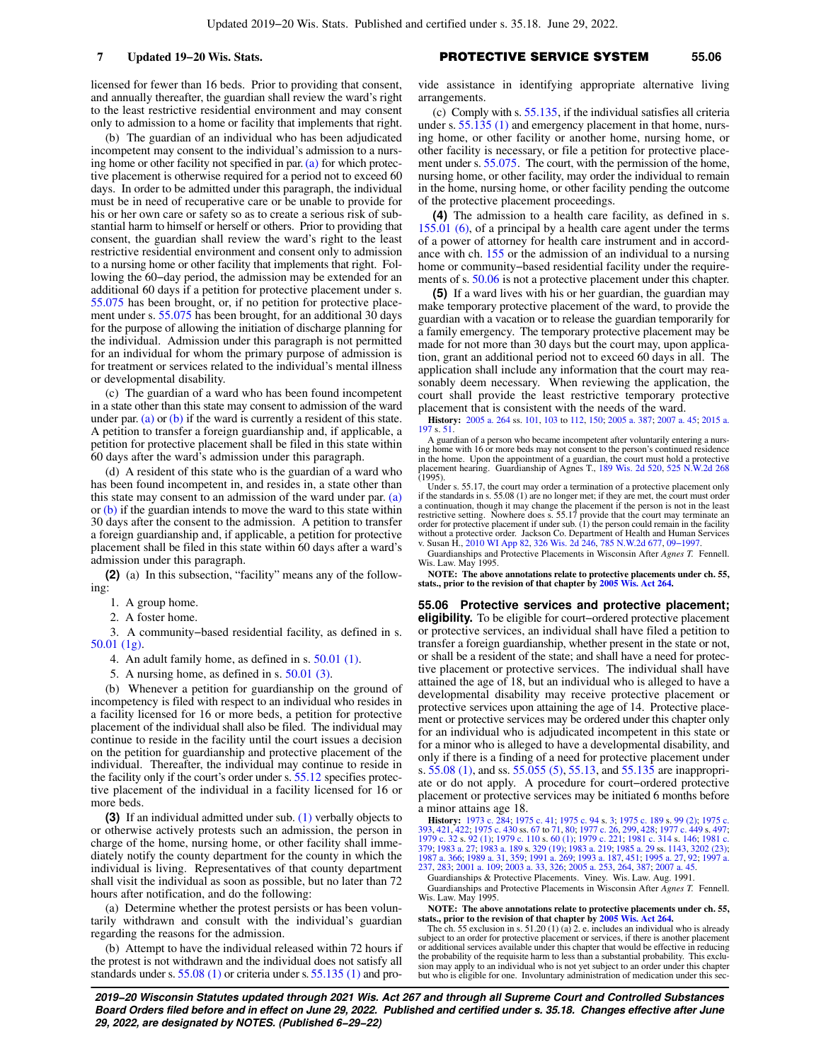licensed for fewer than 16 beds. Prior to providing that consent, and annually thereafter, the guardian shall review the ward's right to the least restrictive residential environment and may consent only to admission to a home or facility that implements that right.

(b) The guardian of an individual who has been adjudicated incompetent may consent to the individual's admission to a nursing home or other facility not specified in par.  $(a)$  for which protective placement is otherwise required for a period not to exceed 60 days. In order to be admitted under this paragraph, the individual must be in need of recuperative care or be unable to provide for his or her own care or safety so as to create a serious risk of substantial harm to himself or herself or others. Prior to providing that consent, the guardian shall review the ward's right to the least restrictive residential environment and consent only to admission to a nursing home or other facility that implements that right. Following the 60−day period, the admission may be extended for an additional 60 days if a petition for protective placement under s. [55.075](https://docs.legis.wisconsin.gov/document/statutes/55.075) has been brought, or, if no petition for protective placement under s. [55.075](https://docs.legis.wisconsin.gov/document/statutes/55.075) has been brought, for an additional 30 days for the purpose of allowing the initiation of discharge planning for the individual. Admission under this paragraph is not permitted for an individual for whom the primary purpose of admission is for treatment or services related to the individual's mental illness or developmental disability.

(c) The guardian of a ward who has been found incompetent in a state other than this state may consent to admission of the ward under par. [\(a\)](https://docs.legis.wisconsin.gov/document/statutes/55.055(1)(a)) or  $(b)$  if the ward is currently a resident of this state. A petition to transfer a foreign guardianship and, if applicable, a petition for protective placement shall be filed in this state within 60 days after the ward's admission under this paragraph.

(d) A resident of this state who is the guardian of a ward who has been found incompetent in, and resides in, a state other than this state may consent to an admission of the ward under par. [\(a\)](https://docs.legis.wisconsin.gov/document/statutes/55.055(1)(a)) or  $(b)$  if the guardian intends to move the ward to this state within 30 days after the consent to the admission. A petition to transfer a foreign guardianship and, if applicable, a petition for protective placement shall be filed in this state within 60 days after a ward's admission under this paragraph.

**(2)** (a) In this subsection, "facility" means any of the following:

1. A group home.

2. A foster home.

3. A community−based residential facility, as defined in s. [50.01 \(1g\).](https://docs.legis.wisconsin.gov/document/statutes/50.01(1g))

4. An adult family home, as defined in s. [50.01 \(1\)](https://docs.legis.wisconsin.gov/document/statutes/50.01(1)).

5. A nursing home, as defined in s. [50.01 \(3\)](https://docs.legis.wisconsin.gov/document/statutes/50.01(3)).

(b) Whenever a petition for guardianship on the ground of incompetency is filed with respect to an individual who resides in a facility licensed for 16 or more beds, a petition for protective placement of the individual shall also be filed. The individual may continue to reside in the facility until the court issues a decision on the petition for guardianship and protective placement of the individual. Thereafter, the individual may continue to reside in the facility only if the court's order under s. [55.12](https://docs.legis.wisconsin.gov/document/statutes/55.12) specifies protective placement of the individual in a facility licensed for 16 or more beds.

**(3)** If an individual admitted under sub. [\(1\)](https://docs.legis.wisconsin.gov/document/statutes/55.055(1)) verbally objects to or otherwise actively protests such an admission, the person in charge of the home, nursing home, or other facility shall immediately notify the county department for the county in which the individual is living. Representatives of that county department shall visit the individual as soon as possible, but no later than 72 hours after notification, and do the following:

(a) Determine whether the protest persists or has been voluntarily withdrawn and consult with the individual's guardian regarding the reasons for the admission.

(b) Attempt to have the individual released within 72 hours if the protest is not withdrawn and the individual does not satisfy all standards under s.  $55.08(1)$  or criteria under s.  $55.135(1)$  and pro-

**7 Updated 19−20 Wis. Stats.** PROTECTIVE SERVICE SYSTEM **55.06**

vide assistance in identifying appropriate alternative living arrangements.

(c) Comply with s. [55.135](https://docs.legis.wisconsin.gov/document/statutes/55.135), if the individual satisfies all criteria under s. [55.135 \(1\)](https://docs.legis.wisconsin.gov/document/statutes/55.135(1)) and emergency placement in that home, nursing home, or other facility or another home, nursing home, or other facility is necessary, or file a petition for protective placement under s. [55.075.](https://docs.legis.wisconsin.gov/document/statutes/55.075) The court, with the permission of the home, nursing home, or other facility, may order the individual to remain in the home, nursing home, or other facility pending the outcome of the protective placement proceedings.

**(4)** The admission to a health care facility, as defined in s. [155.01 \(6\),](https://docs.legis.wisconsin.gov/document/statutes/155.01(6)) of a principal by a health care agent under the terms of a power of attorney for health care instrument and in accordance with ch. [155](https://docs.legis.wisconsin.gov/document/statutes/ch.%20155) or the admission of an individual to a nursing home or community−based residential facility under the requirements of s. [50.06](https://docs.legis.wisconsin.gov/document/statutes/50.06) is not a protective placement under this chapter.

**(5)** If a ward lives with his or her guardian, the guardian may make temporary protective placement of the ward, to provide the guardian with a vacation or to release the guardian temporarily for a family emergency. The temporary protective placement may be made for not more than 30 days but the court may, upon application, grant an additional period not to exceed 60 days in all. The application shall include any information that the court may reasonably deem necessary. When reviewing the application, the court shall provide the least restrictive temporary protective placement that is consistent with the needs of the ward.

**History:** [2005 a. 264](https://docs.legis.wisconsin.gov/document/acts/2005/264) ss. [101](https://docs.legis.wisconsin.gov/document/acts/2005/264,%20s.%20101), [103](https://docs.legis.wisconsin.gov/document/acts/2005/264,%20s.%20103) to [112,](https://docs.legis.wisconsin.gov/document/acts/2005/264,%20s.%20112) [150;](https://docs.legis.wisconsin.gov/document/acts/2005/264,%20s.%20150) [2005 a. 387;](https://docs.legis.wisconsin.gov/document/acts/2005/387) [2007 a. 45;](https://docs.legis.wisconsin.gov/document/acts/2007/45) [2015 a.](https://docs.legis.wisconsin.gov/document/acts/2015/197) [197](https://docs.legis.wisconsin.gov/document/acts/2015/197) s. [51.](https://docs.legis.wisconsin.gov/document/acts/2015/197,%20s.%2051)

A guardian of a person who became incompetent after voluntarily entering a nurs-ing home with 16 or more beds may not consent to the person's continued residence in the home. Upon the appointment of a guardian, the court must hold a protective placement hearing. Guardianship of Agnes T., [189 Wis. 2d 520,](https://docs.legis.wisconsin.gov/document/courts/189%20Wis.%202d%20520) [525 N.W.2d 268](https://docs.legis.wisconsin.gov/document/courts/525%20N.W.2d%20268)  $(1995)$ .

Under s. 55.17, the court may order a termination of a protective placement only<br>if the standards in s. 55.08 (1) are no longer met; if they are met, the court must order<br>a continuation, though it may change the placement restrictive setting. Nowhere does s. 55.17 provide that the court may terminate an order for protective placement if under sub. (1) the person could remain in the facility without a protective order. Jackson Co. Department

Guardianships and Protective Placements in Wisconsin After *Agnes T.* Fennell. Wis. Law. May 1995.

**NOTE: The above annotations relate to protective placements under ch. 55, stats., prior to the revision of that chapter by [2005 Wis. Act 264.](https://docs.legis.wisconsin.gov/document/acts/2005/264)**

**55.06 Protective services and protective placement; eligibility.** To be eligible for court−ordered protective placement or protective services, an individual shall have filed a petition to transfer a foreign guardianship, whether present in the state or not, or shall be a resident of the state; and shall have a need for protective placement or protective services. The individual shall have attained the age of 18, but an individual who is alleged to have a developmental disability may receive protective placement or protective services upon attaining the age of 14. Protective placement or protective services may be ordered under this chapter only for an individual who is adjudicated incompetent in this state or for a minor who is alleged to have a developmental disability, and only if there is a finding of a need for protective placement under s. [55.08 \(1\)](https://docs.legis.wisconsin.gov/document/statutes/55.08(1)), and ss. [55.055 \(5\)](https://docs.legis.wisconsin.gov/document/statutes/55.055(5)), [55.13,](https://docs.legis.wisconsin.gov/document/statutes/55.13) and [55.135](https://docs.legis.wisconsin.gov/document/statutes/55.135) are inappropriate or do not apply. A procedure for court−ordered protective placement or protective services may be initiated 6 months before a minor attains age 18.

**History:** [1973 c. 284;](https://docs.legis.wisconsin.gov/document/acts/1973/284) [1975 c. 41;](https://docs.legis.wisconsin.gov/document/acts/1975/41) [1975 c. 94](https://docs.legis.wisconsin.gov/document/acts/1975/94) s. [3](https://docs.legis.wisconsin.gov/document/acts/1975/94,%20s.%203); [1975 c. 189](https://docs.legis.wisconsin.gov/document/acts/1975/189) s. [99 \(2\);](https://docs.legis.wisconsin.gov/document/acts/1975/189,%20s.%2099) [1975 c.](https://docs.legis.wisconsin.gov/document/acts/1975/393) [393,](https://docs.legis.wisconsin.gov/document/acts/1975/393) [421](https://docs.legis.wisconsin.gov/document/acts/1975/421), [422](https://docs.legis.wisconsin.gov/document/acts/1975/422); [1975 c. 430](https://docs.legis.wisconsin.gov/document/acts/1975/430) ss. [67](https://docs.legis.wisconsin.gov/document/acts/1975/430,%20s.%2067) to [71,](https://docs.legis.wisconsin.gov/document/acts/1975/430,%20s.%2071) [80;](https://docs.legis.wisconsin.gov/document/acts/1975/430,%20s.%2080) [1977 c. 26](https://docs.legis.wisconsin.gov/document/acts/1977/26), [299,](https://docs.legis.wisconsin.gov/document/acts/1977/299) [428;](https://docs.legis.wisconsin.gov/document/acts/1977/428) [1977 c. 449](https://docs.legis.wisconsin.gov/document/acts/1977/449) s. [497](https://docs.legis.wisconsin.gov/document/acts/1977/449,%20s.%20497); [1979 c. 32](https://docs.legis.wisconsin.gov/document/acts/1979/32) s. [92 \(1\)](https://docs.legis.wisconsin.gov/document/acts/1979/32,%20s.%2092); [1979 c. 110](https://docs.legis.wisconsin.gov/document/acts/1979/110) s. [60 \(1\);](https://docs.legis.wisconsin.gov/document/acts/1979/110,%20s.%2060) [1979 c. 221](https://docs.legis.wisconsin.gov/document/acts/1979/221); [1981 c. 314](https://docs.legis.wisconsin.gov/document/acts/1981/314) s. [146;](https://docs.legis.wisconsin.gov/document/acts/1981/314,%20s.%20146) [1981 c.](https://docs.legis.wisconsin.gov/document/acts/1981/379) 379: 1983 a. 27: [1983 a. 189](https://docs.legis.wisconsin.gov/document/acts/1983/189) s. 329 (19): [1983 a. 219](https://docs.legis.wisconsin.gov/document/acts/1983/219): [1985 a. 29](https://docs.legis.wisconsin.gov/document/acts/1985/29) ss. [1143](https://docs.legis.wisconsin.gov/document/acts/1985/29,%20s.%201143), [3202 \(23\)](https://docs.legis.wisconsin.gov/document/acts/1985/29,%20s.%203202);<br>[1987 a. 366;](https://docs.legis.wisconsin.gov/document/acts/1987/366) [1989 a. 31](https://docs.legis.wisconsin.gov/document/acts/1989/31), [359](https://docs.legis.wisconsin.gov/document/acts/1989/359); [1991 a. 269](https://docs.legis.wisconsin.gov/document/acts/1991/269); [1993 a. 187,](https://docs.legis.wisconsin.gov/document/acts/1993/187) [451](https://docs.legis.wisconsin.gov/document/acts/1993/451); [1995 a. 27,](https://docs.legis.wisconsin.gov/document/acts/1995/27) [92](https://docs.legis.wisconsin.gov/document/acts/1995/92); [1997 a.](https://docs.legis.wisconsin.gov/document/acts/1997/237)<br>[237,](https://docs.legis.wisconsin.gov/document/acts/1997/237) [283;](https://docs.legis.wisconsin.gov/document/acts/1997/283) [2001 a. 109](https://docs.legis.wisconsin.gov/document/acts/2001/109); [2003 a. 33](https://docs.legis.wisconsin.gov/document/acts/2003/33), [326](https://docs.legis.wisconsin.gov/document/acts/2003/326); 2005 a. 25

Guardianships & Protective Placements. Viney. Wis. Law. Aug. 1991.

Guardianships and Protective Placements in Wisconsin After *Agnes T.* Fennell. Wis. Law. May 1995.

**NOTE: The above annotations relate to protective placements under ch. 55, stats., prior to the revision of that chapter by [2005 Wis. Act 264.](https://docs.legis.wisconsin.gov/document/acts/2005/264)**

The ch. 55 exclusion in s. 51.20 (1) (a) 2. e. includes an individual who is already subject to an order for protective placement or services, if there is another placement or additional services available under this chapter that would be effective in reducing the probability of the requisite harm to less than a substantial probability. This exclusion may apply to an individual who is not yet subject to an order under this chapter but who is eligible for one. Involuntary administration of medication under this sec-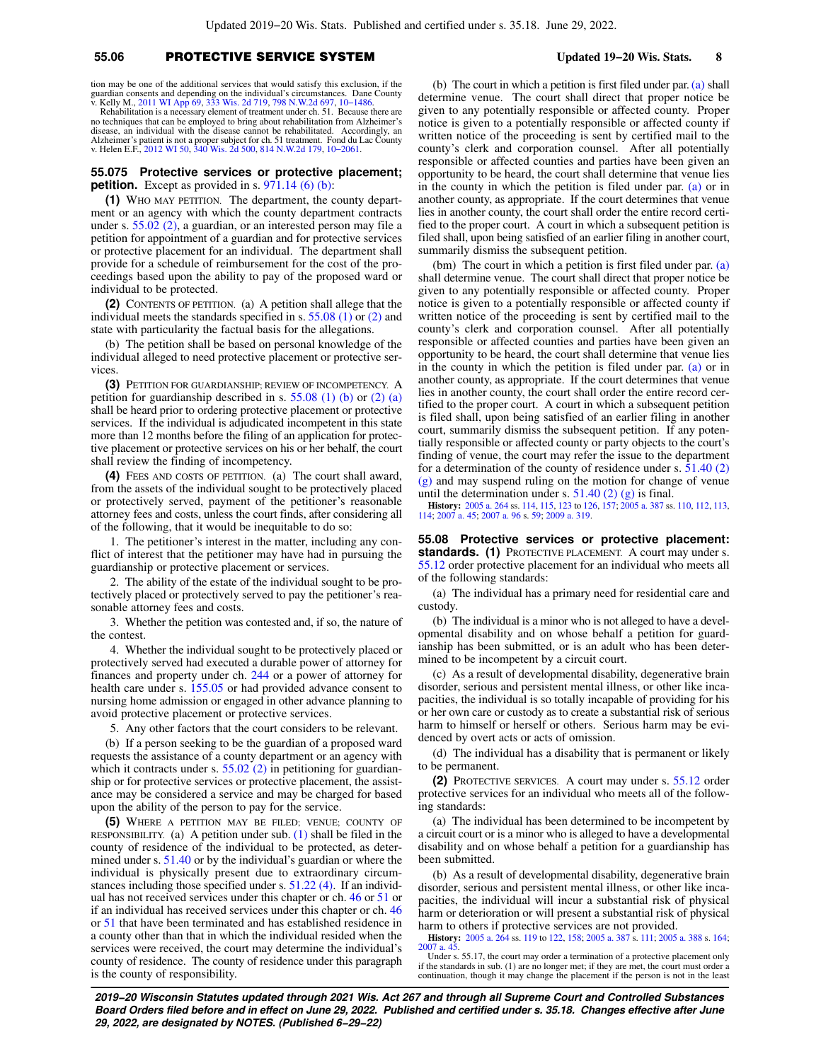# **55.06** PROTECTIVE SERVICE SYSTEM **Updated 19−20 Wis. Stats. 8**

tion may be one of the additional services that would satisfy this exclusion, if the guardian consents and depending on the individual's circumstances. Dane County v. Kelly M., [2011 WI App 69](https://docs.legis.wisconsin.gov/document/courts/2011%20WI%20App%2069), [333 Wis. 2d 719,](https://docs.legis.wisconsin.gov/document/courts/333%20Wis.%202d%20719) [798 N.W.2d 697](https://docs.legis.wisconsin.gov/document/courts/798%20N.W.2d%20697), [10−1486.](https://docs.legis.wisconsin.gov/document/wicourtofappeals/10-1486)

Rehabilitation is a necessary element of treatment under ch. 51. Because there are no techniques that can be employed to bring about rehabilitation from Alzheimer's disease, an individual with the disease cannot be rehabilitated. Accordingly, an Alzheimer's patient is not a proper subject for ch. 51 treatment. Fond du Lac County v. Helen E.F., [2012 WI 50,](https://docs.legis.wisconsin.gov/document/courts/2012%20WI%2050) [340 Wis. 2d 500](https://docs.legis.wisconsin.gov/document/courts/340%20Wis.%202d%20500), [814 N.W.2d 179](https://docs.legis.wisconsin.gov/document/courts/814%20N.W.2d%20179), [10−2061](https://docs.legis.wisconsin.gov/document/wisupremecourt/10-2061).

### **55.075 Protective services or protective placement; petition.** Except as provided in s. [971.14 \(6\) \(b\)](https://docs.legis.wisconsin.gov/document/statutes/971.14(6)(b)):

**(1)** WHO MAY PETITION. The department, the county department or an agency with which the county department contracts under s. [55.02 \(2\)](https://docs.legis.wisconsin.gov/document/statutes/55.02(2)), a guardian, or an interested person may file a petition for appointment of a guardian and for protective services or protective placement for an individual. The department shall provide for a schedule of reimbursement for the cost of the proceedings based upon the ability to pay of the proposed ward or individual to be protected.

**(2)** CONTENTS OF PETITION. (a) A petition shall allege that the individual meets the standards specified in s. [55.08 \(1\)](https://docs.legis.wisconsin.gov/document/statutes/55.08(1)) or [\(2\)](https://docs.legis.wisconsin.gov/document/statutes/55.08(2)) and state with particularity the factual basis for the allegations.

(b) The petition shall be based on personal knowledge of the individual alleged to need protective placement or protective services.

**(3)** PETITION FOR GUARDIANSHIP; REVIEW OF INCOMPETENCY. A petition for guardianship described in s.  $55.08$  (1) (b) or [\(2\) \(a\)](https://docs.legis.wisconsin.gov/document/statutes/55.08(2)(a)) shall be heard prior to ordering protective placement or protective services. If the individual is adjudicated incompetent in this state more than 12 months before the filing of an application for protective placement or protective services on his or her behalf, the court shall review the finding of incompetency.

**(4)** FEES AND COSTS OF PETITION. (a) The court shall award, from the assets of the individual sought to be protectively placed or protectively served, payment of the petitioner's reasonable attorney fees and costs, unless the court finds, after considering all of the following, that it would be inequitable to do so:

1. The petitioner's interest in the matter, including any conflict of interest that the petitioner may have had in pursuing the guardianship or protective placement or services.

2. The ability of the estate of the individual sought to be protectively placed or protectively served to pay the petitioner's reasonable attorney fees and costs.

3. Whether the petition was contested and, if so, the nature of the contest.

4. Whether the individual sought to be protectively placed or protectively served had executed a durable power of attorney for finances and property under ch. [244](https://docs.legis.wisconsin.gov/document/statutes/ch.%20244) or a power of attorney for health care under s. [155.05](https://docs.legis.wisconsin.gov/document/statutes/155.05) or had provided advance consent to nursing home admission or engaged in other advance planning to avoid protective placement or protective services.

5. Any other factors that the court considers to be relevant.

(b) If a person seeking to be the guardian of a proposed ward requests the assistance of a county department or an agency with which it contracts under s.  $55.02$  (2) in petitioning for guardianship or for protective services or protective placement, the assistance may be considered a service and may be charged for based upon the ability of the person to pay for the service.

**(5)** WHERE A PETITION MAY BE FILED; VENUE; COUNTY OF RESPONSIBILITY. (a) A petition under sub.  $(1)$  shall be filed in the county of residence of the individual to be protected, as determined under s. [51.40](https://docs.legis.wisconsin.gov/document/statutes/51.40) or by the individual's guardian or where the individual is physically present due to extraordinary circumstances including those specified under s. [51.22 \(4\)](https://docs.legis.wisconsin.gov/document/statutes/51.22(4)). If an individual has not received services under this chapter or ch. [46](https://docs.legis.wisconsin.gov/document/statutes/ch.%2046) or [51](https://docs.legis.wisconsin.gov/document/statutes/ch.%2051) or if an individual has received services under this chapter or ch. [46](https://docs.legis.wisconsin.gov/document/statutes/ch.%2046) or [51](https://docs.legis.wisconsin.gov/document/statutes/ch.%2051) that have been terminated and has established residence in a county other than that in which the individual resided when the services were received, the court may determine the individual's county of residence. The county of residence under this paragraph is the county of responsibility.

(b) The court in which a petition is first filed under par. [\(a\)](https://docs.legis.wisconsin.gov/document/statutes/55.075(5)(a)) shall determine venue. The court shall direct that proper notice be given to any potentially responsible or affected county. Proper notice is given to a potentially responsible or affected county if written notice of the proceeding is sent by certified mail to the county's clerk and corporation counsel. After all potentially responsible or affected counties and parties have been given an opportunity to be heard, the court shall determine that venue lies in the county in which the petition is filed under par. [\(a\)](https://docs.legis.wisconsin.gov/document/statutes/55.075(5)(a)) or in another county, as appropriate. If the court determines that venue lies in another county, the court shall order the entire record certified to the proper court. A court in which a subsequent petition is filed shall, upon being satisfied of an earlier filing in another court, summarily dismiss the subsequent petition.

(bm) The court in which a petition is first filed under par. [\(a\)](https://docs.legis.wisconsin.gov/document/statutes/55.075(5)(a)) shall determine venue. The court shall direct that proper notice be given to any potentially responsible or affected county. Proper notice is given to a potentially responsible or affected county if written notice of the proceeding is sent by certified mail to the county's clerk and corporation counsel. After all potentially responsible or affected counties and parties have been given an opportunity to be heard, the court shall determine that venue lies in the county in which the petition is filed under par. [\(a\)](https://docs.legis.wisconsin.gov/document/statutes/55.075(5)(a)) or in another county, as appropriate. If the court determines that venue lies in another county, the court shall order the entire record certified to the proper court. A court in which a subsequent petition is filed shall, upon being satisfied of an earlier filing in another court, summarily dismiss the subsequent petition. If any potentially responsible or affected county or party objects to the court's finding of venue, the court may refer the issue to the department for a determination of the county of residence under s. [51.40 \(2\)](https://docs.legis.wisconsin.gov/document/statutes/51.40(2)(g)) [\(g\)](https://docs.legis.wisconsin.gov/document/statutes/51.40(2)(g)) and may suspend ruling on the motion for change of venue until the determination under s.  $51.40(2)(g)$  is final.

**History:** [2005 a. 264](https://docs.legis.wisconsin.gov/document/acts/2005/264) ss. [114,](https://docs.legis.wisconsin.gov/document/acts/2005/264,%20s.%20114) [115](https://docs.legis.wisconsin.gov/document/acts/2005/264,%20s.%20115), [123](https://docs.legis.wisconsin.gov/document/acts/2005/264,%20s.%20123) to [126,](https://docs.legis.wisconsin.gov/document/acts/2005/264,%20s.%20126) [157](https://docs.legis.wisconsin.gov/document/acts/2005/264,%20s.%20157); [2005 a. 387](https://docs.legis.wisconsin.gov/document/acts/2005/387) ss. [110,](https://docs.legis.wisconsin.gov/document/acts/2005/387,%20s.%20110) [112](https://docs.legis.wisconsin.gov/document/acts/2005/387,%20s.%20112), [113](https://docs.legis.wisconsin.gov/document/acts/2005/387,%20s.%20113), [114](https://docs.legis.wisconsin.gov/document/acts/2005/387,%20s.%20114); [2007 a. 45](https://docs.legis.wisconsin.gov/document/acts/2007/45); [2007 a. 96](https://docs.legis.wisconsin.gov/document/acts/2007/96) s. [59;](https://docs.legis.wisconsin.gov/document/acts/2007/96,%20s.%2059) [2009 a. 319](https://docs.legis.wisconsin.gov/document/acts/2009/319).

**55.08 Protective services or protective placement: standards. (1)** PROTECTIVE PLACEMENT. A court may under s. [55.12](https://docs.legis.wisconsin.gov/document/statutes/55.12) order protective placement for an individual who meets all of the following standards:

(a) The individual has a primary need for residential care and custody.

(b) The individual is a minor who is not alleged to have a developmental disability and on whose behalf a petition for guardianship has been submitted, or is an adult who has been determined to be incompetent by a circuit court.

(c) As a result of developmental disability, degenerative brain disorder, serious and persistent mental illness, or other like incapacities, the individual is so totally incapable of providing for his or her own care or custody as to create a substantial risk of serious harm to himself or herself or others. Serious harm may be evidenced by overt acts or acts of omission.

(d) The individual has a disability that is permanent or likely to be permanent.

**(2)** PROTECTIVE SERVICES. A court may under s. [55.12](https://docs.legis.wisconsin.gov/document/statutes/55.12) order protective services for an individual who meets all of the following standards:

(a) The individual has been determined to be incompetent by a circuit court or is a minor who is alleged to have a developmental disability and on whose behalf a petition for a guardianship has been submitted.

(b) As a result of developmental disability, degenerative brain disorder, serious and persistent mental illness, or other like incapacities, the individual will incur a substantial risk of physical harm or deterioration or will present a substantial risk of physical harm to others if protective services are not provided.

**History:** [2005 a. 264](https://docs.legis.wisconsin.gov/document/acts/2005/264) ss. [119](https://docs.legis.wisconsin.gov/document/acts/2005/264,%20s.%20119) to [122,](https://docs.legis.wisconsin.gov/document/acts/2005/264,%20s.%20122) [158;](https://docs.legis.wisconsin.gov/document/acts/2005/264,%20s.%20158) [2005 a. 387](https://docs.legis.wisconsin.gov/document/acts/2005/387) s. [111;](https://docs.legis.wisconsin.gov/document/acts/2005/387,%20s.%20111) [2005 a. 388](https://docs.legis.wisconsin.gov/document/acts/2005/388) s. [164](https://docs.legis.wisconsin.gov/document/acts/2005/388,%20s.%20164); 200

Under s. 55.17, the court may order a termination of a protective placement only if the standards in sub. (1) are no longer met; if they are met, the court must order a continuation, though it may change the placement if the person is not in the least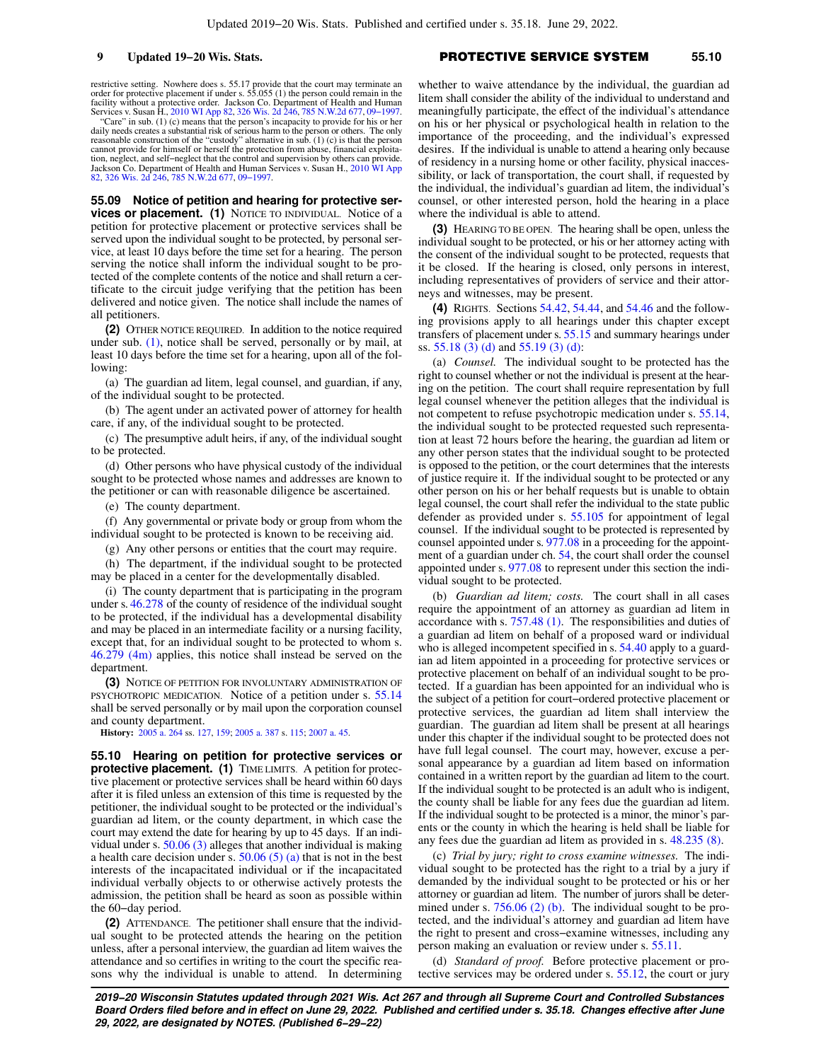restrictive setting. Nowhere does s. 55.17 provide that the court may terminate an<br>order for protective placement if under s. 55.055 (1) the person could remain in the<br>facility without a protective order. Jackson Co. Depar Services v. Susan H., [2010 WI App 82,](https://docs.legis.wisconsin.gov/document/courts/2010%20WI%20App%2082) [326 Wis. 2d 246,](https://docs.legis.wisconsin.gov/document/courts/326%20Wis.%202d%20246) [785 N.W.2d 677](https://docs.legis.wisconsin.gov/document/courts/785%20N.W.2d%20677), [09−1997](https://docs.legis.wisconsin.gov/document/wicourtofappeals/09-1997).

"Care" in sub. (1) (c) means that the person's incapacity to provide for his or her daily needs creates a substantial risk of serious harm to the person or others. The only reasonable construction of the "custody" alternative in sub. (1) (c) is that the person<br>cannot provide for himself or herself the protection from abuse, financial exploita-<br>tion, neglect, and self-neglect that the control [82,](https://docs.legis.wisconsin.gov/document/courts/2010%20WI%20App%2082) [326 Wis. 2d 246](https://docs.legis.wisconsin.gov/document/courts/326%20Wis.%202d%20246), [785 N.W.2d 677](https://docs.legis.wisconsin.gov/document/courts/785%20N.W.2d%20677), [09−1997](https://docs.legis.wisconsin.gov/document/wicourtofappeals/09-1997).

**55.09 Notice of petition and hearing for protective services or placement. (1)** NOTICE TO INDIVIDUAL. Notice of a petition for protective placement or protective services shall be served upon the individual sought to be protected, by personal service, at least 10 days before the time set for a hearing. The person serving the notice shall inform the individual sought to be protected of the complete contents of the notice and shall return a certificate to the circuit judge verifying that the petition has been delivered and notice given. The notice shall include the names of all petitioners.

**(2)** OTHER NOTICE REQUIRED. In addition to the notice required under sub. [\(1\)](https://docs.legis.wisconsin.gov/document/statutes/55.09(1)), notice shall be served, personally or by mail, at least 10 days before the time set for a hearing, upon all of the following:

(a) The guardian ad litem, legal counsel, and guardian, if any, of the individual sought to be protected.

(b) The agent under an activated power of attorney for health care, if any, of the individual sought to be protected.

(c) The presumptive adult heirs, if any, of the individual sought to be protected.

(d) Other persons who have physical custody of the individual sought to be protected whose names and addresses are known to the petitioner or can with reasonable diligence be ascertained.

(e) The county department.

(f) Any governmental or private body or group from whom the individual sought to be protected is known to be receiving aid.

(g) Any other persons or entities that the court may require.

(h) The department, if the individual sought to be protected may be placed in a center for the developmentally disabled.

(i) The county department that is participating in the program under s. [46.278](https://docs.legis.wisconsin.gov/document/statutes/46.278) of the county of residence of the individual sought to be protected, if the individual has a developmental disability and may be placed in an intermediate facility or a nursing facility, except that, for an individual sought to be protected to whom s. [46.279 \(4m\)](https://docs.legis.wisconsin.gov/document/statutes/46.279(4m)) applies, this notice shall instead be served on the department.

**(3)** NOTICE OF PETITION FOR INVOLUNTARY ADMINISTRATION OF PSYCHOTROPIC MEDICATION. Notice of a petition under s. [55.14](https://docs.legis.wisconsin.gov/document/statutes/55.14) shall be served personally or by mail upon the corporation counsel and county department.

**History:** [2005 a. 264](https://docs.legis.wisconsin.gov/document/acts/2005/264) ss. [127,](https://docs.legis.wisconsin.gov/document/acts/2005/264,%20s.%20127) [159;](https://docs.legis.wisconsin.gov/document/acts/2005/264,%20s.%20159) [2005 a. 387](https://docs.legis.wisconsin.gov/document/acts/2005/387) s. [115;](https://docs.legis.wisconsin.gov/document/acts/2005/387,%20s.%20115) [2007 a. 45.](https://docs.legis.wisconsin.gov/document/acts/2007/45)

**55.10 Hearing on petition for protective services or protective placement.** (1) TIME LIMITS. A petition for protective placement or protective services shall be heard within 60 days after it is filed unless an extension of this time is requested by the petitioner, the individual sought to be protected or the individual's guardian ad litem, or the county department, in which case the court may extend the date for hearing by up to 45 days. If an individual under s. [50.06 \(3\)](https://docs.legis.wisconsin.gov/document/statutes/50.06(3)) alleges that another individual is making a health care decision under s.  $50.06(5)(a)$  that is not in the best interests of the incapacitated individual or if the incapacitated individual verbally objects to or otherwise actively protests the admission, the petition shall be heard as soon as possible within the 60−day period.

**(2)** ATTENDANCE. The petitioner shall ensure that the individual sought to be protected attends the hearing on the petition unless, after a personal interview, the guardian ad litem waives the attendance and so certifies in writing to the court the specific reasons why the individual is unable to attend. In determining

whether to waive attendance by the individual, the guardian ad litem shall consider the ability of the individual to understand and meaningfully participate, the effect of the individual's attendance on his or her physical or psychological health in relation to the importance of the proceeding, and the individual's expressed desires. If the individual is unable to attend a hearing only because of residency in a nursing home or other facility, physical inaccessibility, or lack of transportation, the court shall, if requested by the individual, the individual's guardian ad litem, the individual's counsel, or other interested person, hold the hearing in a place where the individual is able to attend.

**(3)** HEARING TO BE OPEN. The hearing shall be open, unless the individual sought to be protected, or his or her attorney acting with the consent of the individual sought to be protected, requests that it be closed. If the hearing is closed, only persons in interest, including representatives of providers of service and their attorneys and witnesses, may be present.

**(4)** RIGHTS. Sections [54.42](https://docs.legis.wisconsin.gov/document/statutes/54.42), [54.44,](https://docs.legis.wisconsin.gov/document/statutes/54.44) and [54.46](https://docs.legis.wisconsin.gov/document/statutes/54.46) and the following provisions apply to all hearings under this chapter except transfers of placement under s. [55.15](https://docs.legis.wisconsin.gov/document/statutes/55.15) and summary hearings under ss. [55.18 \(3\) \(d\)](https://docs.legis.wisconsin.gov/document/statutes/55.18(3)(d)) and [55.19 \(3\) \(d\)](https://docs.legis.wisconsin.gov/document/statutes/55.19(3)(d)):

(a) *Counsel.* The individual sought to be protected has the right to counsel whether or not the individual is present at the hearing on the petition. The court shall require representation by full legal counsel whenever the petition alleges that the individual is not competent to refuse psychotropic medication under s. [55.14,](https://docs.legis.wisconsin.gov/document/statutes/55.14) the individual sought to be protected requested such representation at least 72 hours before the hearing, the guardian ad litem or any other person states that the individual sought to be protected is opposed to the petition, or the court determines that the interests of justice require it. If the individual sought to be protected or any other person on his or her behalf requests but is unable to obtain legal counsel, the court shall refer the individual to the state public defender as provided under s. [55.105](https://docs.legis.wisconsin.gov/document/statutes/55.105) for appointment of legal counsel. If the individual sought to be protected is represented by counsel appointed under s. [977.08](https://docs.legis.wisconsin.gov/document/statutes/977.08) in a proceeding for the appointment of a guardian under ch. [54,](https://docs.legis.wisconsin.gov/document/statutes/ch.%2054) the court shall order the counsel appointed under s. [977.08](https://docs.legis.wisconsin.gov/document/statutes/977.08) to represent under this section the individual sought to be protected.

(b) *Guardian ad litem; costs.* The court shall in all cases require the appointment of an attorney as guardian ad litem in accordance with s. [757.48 \(1\)](https://docs.legis.wisconsin.gov/document/statutes/757.48(1)). The responsibilities and duties of a guardian ad litem on behalf of a proposed ward or individual who is alleged incompetent specified in s. [54.40](https://docs.legis.wisconsin.gov/document/statutes/54.40) apply to a guardian ad litem appointed in a proceeding for protective services or protective placement on behalf of an individual sought to be protected. If a guardian has been appointed for an individual who is the subject of a petition for court−ordered protective placement or protective services, the guardian ad litem shall interview the guardian. The guardian ad litem shall be present at all hearings under this chapter if the individual sought to be protected does not have full legal counsel. The court may, however, excuse a personal appearance by a guardian ad litem based on information contained in a written report by the guardian ad litem to the court. If the individual sought to be protected is an adult who is indigent, the county shall be liable for any fees due the guardian ad litem. If the individual sought to be protected is a minor, the minor's parents or the county in which the hearing is held shall be liable for any fees due the guardian ad litem as provided in s. [48.235 \(8\).](https://docs.legis.wisconsin.gov/document/statutes/48.235(8))

(c) *Trial by jury; right to cross examine witnesses.* The individual sought to be protected has the right to a trial by a jury if demanded by the individual sought to be protected or his or her attorney or guardian ad litem. The number of jurors shall be deter-mined under s. [756.06 \(2\) \(b\)](https://docs.legis.wisconsin.gov/document/statutes/756.06(2)(b)). The individual sought to be protected, and the individual's attorney and guardian ad litem have the right to present and cross−examine witnesses, including any person making an evaluation or review under s. [55.11](https://docs.legis.wisconsin.gov/document/statutes/55.11).

(d) *Standard of proof.* Before protective placement or protective services may be ordered under s. [55.12,](https://docs.legis.wisconsin.gov/document/statutes/55.12) the court or jury

**2019−20 Wisconsin Statutes updated through 2021 Wis. Act 267 and through all Supreme Court and Controlled Substances Board Orders filed before and in effect on June 29, 2022. Published and certified under s. 35.18. Changes effective after June 29, 2022, are designated by NOTES. (Published 6−29−22)**

# **9 Updated 19−20 Wis. Stats. PROTECTIVE SERVICE SYSTEM** 55.10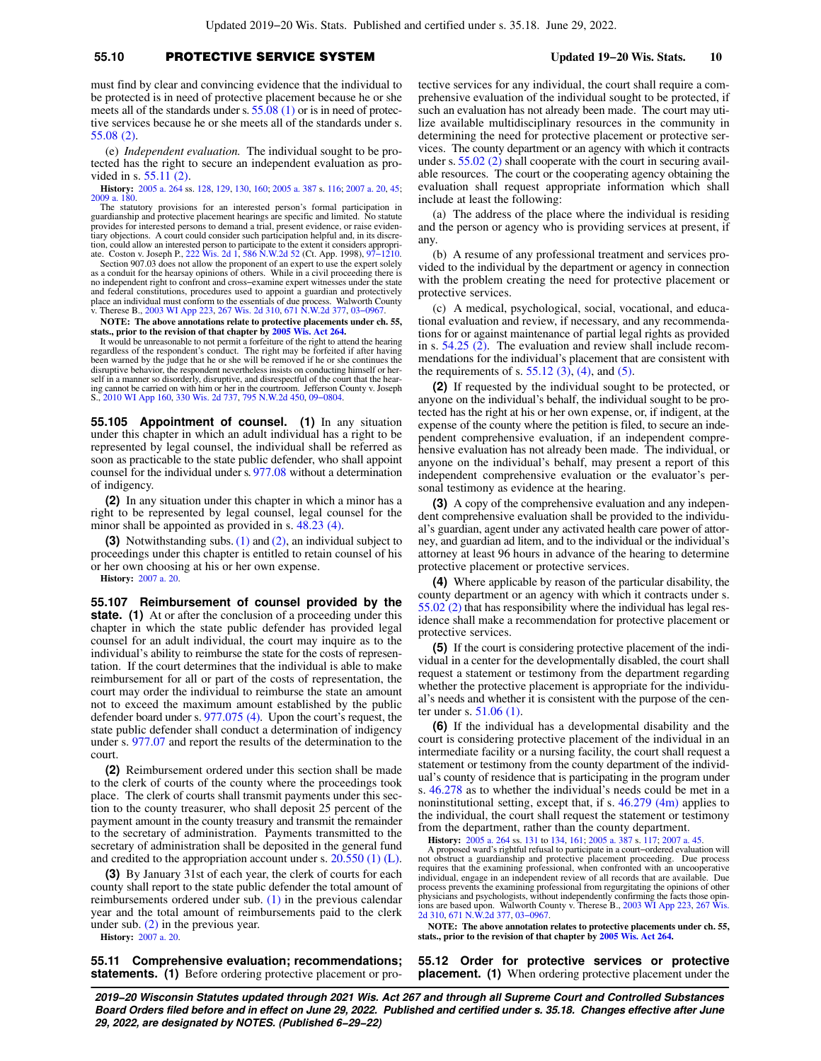# **55.10** PROTECTIVE SERVICE SYSTEM **Updated 19−20 Wis. Stats. 10**

must find by clear and convincing evidence that the individual to be protected is in need of protective placement because he or she meets all of the standards under s. [55.08 \(1\)](https://docs.legis.wisconsin.gov/document/statutes/55.08(1)) or is in need of protective services because he or she meets all of the standards under s. [55.08 \(2\).](https://docs.legis.wisconsin.gov/document/statutes/55.08(2))

(e) *Independent evaluation.* The individual sought to be protected has the right to secure an independent evaluation as provided in s. [55.11 \(2\)](https://docs.legis.wisconsin.gov/document/statutes/55.11(2)).

**History:** [2005 a. 264](https://docs.legis.wisconsin.gov/document/acts/2005/264) ss. [128,](https://docs.legis.wisconsin.gov/document/acts/2005/264,%20s.%20128) [129,](https://docs.legis.wisconsin.gov/document/acts/2005/264,%20s.%20129) [130,](https://docs.legis.wisconsin.gov/document/acts/2005/264,%20s.%20130) [160;](https://docs.legis.wisconsin.gov/document/acts/2005/264,%20s.%20160) [2005 a. 387](https://docs.legis.wisconsin.gov/document/acts/2005/387) s. [116](https://docs.legis.wisconsin.gov/document/acts/2005/387,%20s.%20116); [2007 a. 20,](https://docs.legis.wisconsin.gov/document/acts/2007/20) [45](https://docs.legis.wisconsin.gov/document/acts/2007/45); [2009 a. 180.](https://docs.legis.wisconsin.gov/document/acts/2009/180)

The statutory provisions for an interested person's formal participation in guardianship and protective placement hearings are specific and limited. No statute provides for interested persons to demand a trial, present evidence, or raise evidentiary objections. A court could consider such participation helpful and, in its discretion, could allow an interested person to participate to the extent it considers appropri-ate. Coston v. Joseph P., [222 Wis. 2d 1,](https://docs.legis.wisconsin.gov/document/courts/222%20Wis.%202d%201) [586 N.W.2d 52](https://docs.legis.wisconsin.gov/document/courts/586%20N.W.2d%2052) (Ct. App. 1998), [97−1210](https://docs.legis.wisconsin.gov/document/wicourtofappeals/97-1210).

Section 907.03 does not allow the proponent of an expert to use the expert solely<br>as a conduit for the hearsay opinions of others. While in a civil proceeding there is<br>no independent right to confront and cross–examine exp and federal constitutions, procedures used to appoint a guardian and protectively place an individual must conform to the essentials of due process. Walworth County v. Therese B., [2003 WI App 223](https://docs.legis.wisconsin.gov/document/courts/2003%20WI%20App%20223), [267 Wis. 2d 310,](https://docs.legis.wisconsin.gov/document/courts/267%20Wis.%202d%20310) [671 N.W.2d 377](https://docs.legis.wisconsin.gov/document/courts/671%20N.W.2d%20377), [03−0967](https://docs.legis.wisconsin.gov/document/wicourtofappeals/03-0967).

**NOTE: The above annotations relate to protective placements under ch. 55, stats., prior to the revision of that chapter by [2005 Wis. Act 264.](https://docs.legis.wisconsin.gov/document/acts/2005/264)**

It would be unreasonable to not permit a forfeiture of the right to attend the hearing regardless of the respondent's conduct. The right may be forfeited if after having been warned by the judge that he or she will be removed if he or she continues the disruptive behavior, the respondent nevertheless insists on conducting himself or her-self in a manner so disorderly, disruptive, and disrespectful of the court that the hearing cannot be carried on with him or her in the courtroom. Jefferson County v. Joseph S., [2010 WI App 160,](https://docs.legis.wisconsin.gov/document/courts/2010%20WI%20App%20160) [330 Wis. 2d 737](https://docs.legis.wisconsin.gov/document/courts/330%20Wis.%202d%20737), [795 N.W.2d 450,](https://docs.legis.wisconsin.gov/document/courts/795%20N.W.2d%20450) [09−0804](https://docs.legis.wisconsin.gov/document/wicourtofappeals/09-0804).

**55.105 Appointment of counsel. (1)** In any situation under this chapter in which an adult individual has a right to be represented by legal counsel, the individual shall be referred as soon as practicable to the state public defender, who shall appoint counsel for the individual under s. [977.08](https://docs.legis.wisconsin.gov/document/statutes/977.08) without a determination of indigency.

**(2)** In any situation under this chapter in which a minor has a right to be represented by legal counsel, legal counsel for the minor shall be appointed as provided in s. [48.23 \(4\).](https://docs.legis.wisconsin.gov/document/statutes/48.23(4))

**(3)** Notwithstanding subs. [\(1\)](https://docs.legis.wisconsin.gov/document/statutes/55.105(1)) and [\(2\)](https://docs.legis.wisconsin.gov/document/statutes/55.105(2)), an individual subject to proceedings under this chapter is entitled to retain counsel of his or her own choosing at his or her own expense.

**History:** [2007 a. 20.](https://docs.legis.wisconsin.gov/document/acts/2007/20)

**55.107 Reimbursement of counsel provided by the state.** (1) At or after the conclusion of a proceeding under this chapter in which the state public defender has provided legal counsel for an adult individual, the court may inquire as to the individual's ability to reimburse the state for the costs of representation. If the court determines that the individual is able to make reimbursement for all or part of the costs of representation, the court may order the individual to reimburse the state an amount not to exceed the maximum amount established by the public defender board under s. [977.075 \(4\).](https://docs.legis.wisconsin.gov/document/statutes/977.075(4)) Upon the court's request, the state public defender shall conduct a determination of indigency under s. [977.07](https://docs.legis.wisconsin.gov/document/statutes/977.07) and report the results of the determination to the court.

**(2)** Reimbursement ordered under this section shall be made to the clerk of courts of the county where the proceedings took place. The clerk of courts shall transmit payments under this section to the county treasurer, who shall deposit 25 percent of the payment amount in the county treasury and transmit the remainder to the secretary of administration. Payments transmitted to the secretary of administration shall be deposited in the general fund and credited to the appropriation account under s. [20.550 \(1\) \(L\).](https://docs.legis.wisconsin.gov/document/statutes/20.550(1)(L))

**(3)** By January 31st of each year, the clerk of courts for each county shall report to the state public defender the total amount of reimbursements ordered under sub. [\(1\)](https://docs.legis.wisconsin.gov/document/statutes/55.107(1)) in the previous calendar year and the total amount of reimbursements paid to the clerk under sub.  $(2)$  in the previous year.

**History:** [2007 a. 20.](https://docs.legis.wisconsin.gov/document/acts/2007/20)

**55.11 Comprehensive evaluation; recommendations; statements. (1)** Before ordering protective placement or protective services for any individual, the court shall require a comprehensive evaluation of the individual sought to be protected, if such an evaluation has not already been made. The court may utilize available multidisciplinary resources in the community in determining the need for protective placement or protective services. The county department or an agency with which it contracts under s. [55.02 \(2\)](https://docs.legis.wisconsin.gov/document/statutes/55.02(2)) shall cooperate with the court in securing available resources. The court or the cooperating agency obtaining the evaluation shall request appropriate information which shall include at least the following:

(a) The address of the place where the individual is residing and the person or agency who is providing services at present, if any.

(b) A resume of any professional treatment and services provided to the individual by the department or agency in connection with the problem creating the need for protective placement or protective services.

(c) A medical, psychological, social, vocational, and educational evaluation and review, if necessary, and any recommendations for or against maintenance of partial legal rights as provided in s. [54.25 \(2\)](https://docs.legis.wisconsin.gov/document/statutes/54.25(2)). The evaluation and review shall include recommendations for the individual's placement that are consistent with the requirements of s.  $55.12$  (3), [\(4\),](https://docs.legis.wisconsin.gov/document/statutes/55.12(4)) and [\(5\)](https://docs.legis.wisconsin.gov/document/statutes/55.12(5)).

**(2)** If requested by the individual sought to be protected, or anyone on the individual's behalf, the individual sought to be protected has the right at his or her own expense, or, if indigent, at the expense of the county where the petition is filed, to secure an independent comprehensive evaluation, if an independent comprehensive evaluation has not already been made. The individual, or anyone on the individual's behalf, may present a report of this independent comprehensive evaluation or the evaluator's personal testimony as evidence at the hearing.

**(3)** A copy of the comprehensive evaluation and any independent comprehensive evaluation shall be provided to the individual's guardian, agent under any activated health care power of attorney, and guardian ad litem, and to the individual or the individual's attorney at least 96 hours in advance of the hearing to determine protective placement or protective services.

**(4)** Where applicable by reason of the particular disability, the county department or an agency with which it contracts under s. [55.02 \(2\)](https://docs.legis.wisconsin.gov/document/statutes/55.02(2)) that has responsibility where the individual has legal residence shall make a recommendation for protective placement or protective services.

**(5)** If the court is considering protective placement of the individual in a center for the developmentally disabled, the court shall request a statement or testimony from the department regarding whether the protective placement is appropriate for the individual's needs and whether it is consistent with the purpose of the center under s. [51.06 \(1\).](https://docs.legis.wisconsin.gov/document/statutes/51.06(1))

**(6)** If the individual has a developmental disability and the court is considering protective placement of the individual in an intermediate facility or a nursing facility, the court shall request a statement or testimony from the county department of the individual's county of residence that is participating in the program under s. [46.278](https://docs.legis.wisconsin.gov/document/statutes/46.278) as to whether the individual's needs could be met in a noninstitutional setting, except that, if s. [46.279 \(4m\)](https://docs.legis.wisconsin.gov/document/statutes/46.279(4m)) applies to the individual, the court shall request the statement or testimony from the department, rather than the county department.

**History:** [2005 a. 264](https://docs.legis.wisconsin.gov/document/acts/2005/264) ss. [131](https://docs.legis.wisconsin.gov/document/acts/2005/264,%20s.%20131) to [134](https://docs.legis.wisconsin.gov/document/acts/2005/264,%20s.%20134), [161](https://docs.legis.wisconsin.gov/document/acts/2005/264,%20s.%20161); [2005 a. 387](https://docs.legis.wisconsin.gov/document/acts/2005/387) s. [117](https://docs.legis.wisconsin.gov/document/acts/2005/387,%20s.%20117); [2007 a. 45.](https://docs.legis.wisconsin.gov/document/acts/2007/45)

A proposed ward's rightful refusal to participate in a court−ordered evaluation will not obstruct a guardianship and protective placement proceeding. Due process requires that the examining professional, when confronted with an uncooperative individual, engage in an independent review of all records that are available. Due<br>process prevents the examining professional from regurgitating the opinions of other<br>physicians and psychologists, without independently co ions are based upon. Walworth County v. Therese B., [2003 WI App 223,](https://docs.legis.wisconsin.gov/document/courts/2003%20WI%20App%20223) [267 Wis.](https://docs.legis.wisconsin.gov/document/courts/267%20Wis.%202d%20310) [2d 310](https://docs.legis.wisconsin.gov/document/courts/267%20Wis.%202d%20310), [671 N.W.2d 377,](https://docs.legis.wisconsin.gov/document/courts/671%20N.W.2d%20377) [03−0967](https://docs.legis.wisconsin.gov/document/wicourtofappeals/03-0967).

**NOTE: The above annotation relates to protective placements under ch. 55, stats., prior to the revision of that chapter by [2005 Wis. Act 264.](https://docs.legis.wisconsin.gov/document/acts/2005/264)**

**55.12 Order for protective services or protective placement.** (1) When ordering protective placement under the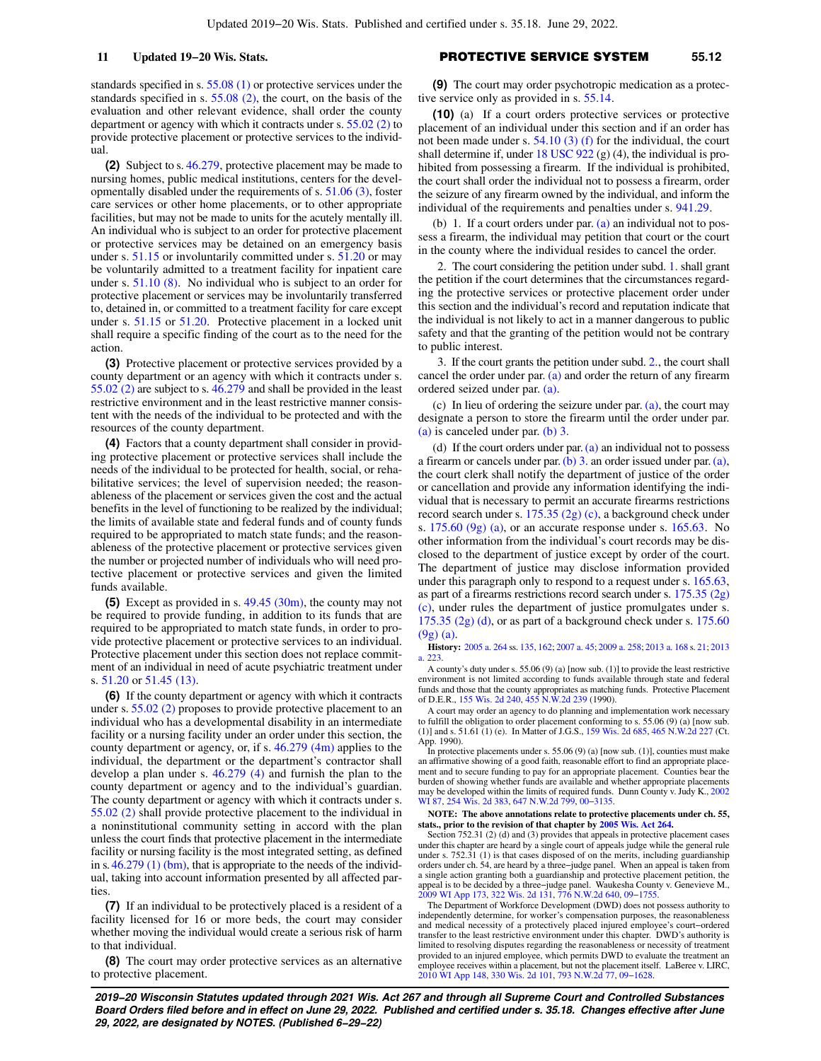standards specified in s. [55.08 \(1\)](https://docs.legis.wisconsin.gov/document/statutes/55.08(1)) or protective services under the standards specified in s. [55.08 \(2\)](https://docs.legis.wisconsin.gov/document/statutes/55.08(2)), the court, on the basis of the evaluation and other relevant evidence, shall order the county department or agency with which it contracts under s. [55.02 \(2\)](https://docs.legis.wisconsin.gov/document/statutes/55.02(2)) to provide protective placement or protective services to the individual.

**(2)** Subject to s. [46.279,](https://docs.legis.wisconsin.gov/document/statutes/46.279) protective placement may be made to nursing homes, public medical institutions, centers for the developmentally disabled under the requirements of s. [51.06 \(3\)](https://docs.legis.wisconsin.gov/document/statutes/51.06(3)), foster care services or other home placements, or to other appropriate facilities, but may not be made to units for the acutely mentally ill. An individual who is subject to an order for protective placement or protective services may be detained on an emergency basis under s. [51.15](https://docs.legis.wisconsin.gov/document/statutes/51.15) or involuntarily committed under s. [51.20](https://docs.legis.wisconsin.gov/document/statutes/51.20) or may be voluntarily admitted to a treatment facility for inpatient care under s. [51.10 \(8\).](https://docs.legis.wisconsin.gov/document/statutes/51.10(8)) No individual who is subject to an order for protective placement or services may be involuntarily transferred to, detained in, or committed to a treatment facility for care except under s. [51.15](https://docs.legis.wisconsin.gov/document/statutes/51.15) or [51.20](https://docs.legis.wisconsin.gov/document/statutes/51.20). Protective placement in a locked unit shall require a specific finding of the court as to the need for the action.

**(3)** Protective placement or protective services provided by a county department or an agency with which it contracts under s. [55.02 \(2\)](https://docs.legis.wisconsin.gov/document/statutes/55.02(2)) are subject to s. [46.279](https://docs.legis.wisconsin.gov/document/statutes/46.279) and shall be provided in the least restrictive environment and in the least restrictive manner consistent with the needs of the individual to be protected and with the resources of the county department.

**(4)** Factors that a county department shall consider in providing protective placement or protective services shall include the needs of the individual to be protected for health, social, or rehabilitative services; the level of supervision needed; the reasonableness of the placement or services given the cost and the actual benefits in the level of functioning to be realized by the individual; the limits of available state and federal funds and of county funds required to be appropriated to match state funds; and the reasonableness of the protective placement or protective services given the number or projected number of individuals who will need protective placement or protective services and given the limited funds available.

**(5)** Except as provided in s. [49.45 \(30m\),](https://docs.legis.wisconsin.gov/document/statutes/49.45(30m)) the county may not be required to provide funding, in addition to its funds that are required to be appropriated to match state funds, in order to provide protective placement or protective services to an individual. Protective placement under this section does not replace commitment of an individual in need of acute psychiatric treatment under s. [51.20](https://docs.legis.wisconsin.gov/document/statutes/51.20) or [51.45 \(13\)](https://docs.legis.wisconsin.gov/document/statutes/51.45(13)).

**(6)** If the county department or agency with which it contracts under s. [55.02 \(2\)](https://docs.legis.wisconsin.gov/document/statutes/55.02(2)) proposes to provide protective placement to an individual who has a developmental disability in an intermediate facility or a nursing facility under an order under this section, the county department or agency, or, if s.  $46.279$  (4m) applies to the individual, the department or the department's contractor shall develop a plan under s. [46.279 \(4\)](https://docs.legis.wisconsin.gov/document/statutes/46.279(4)) and furnish the plan to the county department or agency and to the individual's guardian. The county department or agency with which it contracts under s. [55.02 \(2\)](https://docs.legis.wisconsin.gov/document/statutes/55.02(2)) shall provide protective placement to the individual in a noninstitutional community setting in accord with the plan unless the court finds that protective placement in the intermediate facility or nursing facility is the most integrated setting, as defined in s.  $46.279$  (1) (bm), that is appropriate to the needs of the individual, taking into account information presented by all affected parties.

**(7)** If an individual to be protectively placed is a resident of a facility licensed for 16 or more beds, the court may consider whether moving the individual would create a serious risk of harm to that individual.

**(8)** The court may order protective services as an alternative to protective placement.

### **11 Updated 19−20 Wis. Stats.** PROTECTIVE SERVICE SYSTEM **55.12**

**(9)** The court may order psychotropic medication as a protective service only as provided in s. [55.14](https://docs.legis.wisconsin.gov/document/statutes/55.14).

**(10)** (a) If a court orders protective services or protective placement of an individual under this section and if an order has not been made under s.  $54.10(3)$  (f) for the individual, the court shall determine if, under 18 USC  $922$  (g) (4), the individual is prohibited from possessing a firearm. If the individual is prohibited, the court shall order the individual not to possess a firearm, order the seizure of any firearm owned by the individual, and inform the individual of the requirements and penalties under s. [941.29](https://docs.legis.wisconsin.gov/document/statutes/941.29).

(b) 1. If a court orders under par. [\(a\)](https://docs.legis.wisconsin.gov/document/statutes/55.12(10)(a)) an individual not to possess a firearm, the individual may petition that court or the court in the county where the individual resides to cancel the order.

2. The court considering the petition under subd. [1.](https://docs.legis.wisconsin.gov/document/statutes/55.12(10)(b)1.) shall grant the petition if the court determines that the circumstances regarding the protective services or protective placement order under this section and the individual's record and reputation indicate that the individual is not likely to act in a manner dangerous to public safety and that the granting of the petition would not be contrary to public interest.

3. If the court grants the petition under subd. [2.,](https://docs.legis.wisconsin.gov/document/statutes/55.12(10)(b)2.) the court shall cancel the order under par. [\(a\)](https://docs.legis.wisconsin.gov/document/statutes/55.12(10)(a)) and order the return of any firearm ordered seized under par. [\(a\)](https://docs.legis.wisconsin.gov/document/statutes/55.12(10)(a)).

(c) In lieu of ordering the seizure under par. [\(a\)](https://docs.legis.wisconsin.gov/document/statutes/55.12(10)(a)), the court may designate a person to store the firearm until the order under par. [\(a\)](https://docs.legis.wisconsin.gov/document/statutes/55.12(10)(a)) is canceled under par. [\(b\) 3.](https://docs.legis.wisconsin.gov/document/statutes/55.12(10)(b)3.)

(d) If the court orders under par.  $(a)$  an individual not to possess a firearm or cancels under par. [\(b\) 3.](https://docs.legis.wisconsin.gov/document/statutes/55.12(10)(b)3.) an order issued under par. [\(a\),](https://docs.legis.wisconsin.gov/document/statutes/55.12(10)(a)) the court clerk shall notify the department of justice of the order or cancellation and provide any information identifying the individual that is necessary to permit an accurate firearms restrictions record search under s. [175.35 \(2g\) \(c\),](https://docs.legis.wisconsin.gov/document/statutes/175.35(2g)(c)) a background check under s.  $175.60$  (9g) (a), or an accurate response under s.  $165.63$ . No other information from the individual's court records may be disclosed to the department of justice except by order of the court. The department of justice may disclose information provided under this paragraph only to respond to a request under s. [165.63,](https://docs.legis.wisconsin.gov/document/statutes/165.63) as part of a firearms restrictions record search under s. [175.35 \(2g\)](https://docs.legis.wisconsin.gov/document/statutes/175.35(2g)(c)) [\(c\)](https://docs.legis.wisconsin.gov/document/statutes/175.35(2g)(c)), under rules the department of justice promulgates under s. [175.35 \(2g\) \(d\)](https://docs.legis.wisconsin.gov/document/statutes/175.35(2g)(d)), or as part of a background check under s. [175.60](https://docs.legis.wisconsin.gov/document/statutes/175.60(9g)(a)) [\(9g\) \(a\)](https://docs.legis.wisconsin.gov/document/statutes/175.60(9g)(a)).

**History:** [2005 a. 264](https://docs.legis.wisconsin.gov/document/acts/2005/264) ss. [135](https://docs.legis.wisconsin.gov/document/acts/2005/264,%20s.%20135), [162;](https://docs.legis.wisconsin.gov/document/acts/2005/264,%20s.%20162) [2007 a. 45](https://docs.legis.wisconsin.gov/document/acts/2007/45); [2009 a. 258](https://docs.legis.wisconsin.gov/document/acts/2009/258); [2013 a. 168](https://docs.legis.wisconsin.gov/document/acts/2013/168) s. [21](https://docs.legis.wisconsin.gov/document/acts/2013/168,%20s.%2021); [2013](https://docs.legis.wisconsin.gov/document/acts/2013/223) [a. 223](https://docs.legis.wisconsin.gov/document/acts/2013/223).

A county's duty under s. 55.06 (9) (a) [now sub. (1)] to provide the least restrictive environment is not limited according to funds available through state and federal funds and those that the county appropriates as matching funds. Protective Placement of D.E.R., [155 Wis. 2d 240](https://docs.legis.wisconsin.gov/document/courts/155%20Wis.%202d%20240), [455 N.W.2d 239](https://docs.legis.wisconsin.gov/document/courts/455%20N.W.2d%20239) (1990).

A court may order an agency to do planning and implementation work necessary to fulfill the obligation to order placement conforming to s. 55.06 (9) (a) [now sub. (1)] and s. 51.61 (1) (e). In Matter of J.G.S., [159 Wis. 2d 685,](https://docs.legis.wisconsin.gov/document/courts/159%20Wis.%202d%20685) [465 N.W.2d 227](https://docs.legis.wisconsin.gov/document/courts/465%20N.W.2d%20227) (Ct. App. 1990).

In protective placements under s. 55.06 (9) (a) [now sub. (1)], counties must make an affirmative showing of a good faith, reasonable effort to find an appropriate placement and to secure funding to pay for an appropriate placement. Counties bear the burden of showing whether funds are available and whether appropriate placements may be developed within the limits of required funds. Dunn County v. Judy K., [2002](https://docs.legis.wisconsin.gov/document/courts/2002%20WI%2087) [WI 87,](https://docs.legis.wisconsin.gov/document/courts/2002%20WI%2087) [254 Wis. 2d 383](https://docs.legis.wisconsin.gov/document/courts/254%20Wis.%202d%20383), [647 N.W.2d 799,](https://docs.legis.wisconsin.gov/document/courts/647%20N.W.2d%20799) [00−3135](https://docs.legis.wisconsin.gov/document/wisupremecourt/00-3135).

### **NOTE: The above annotations relate to protective placements under ch. 55, stats., prior to the revision of that chapter by [2005 Wis. Act 264.](https://docs.legis.wisconsin.gov/document/acts/2005/264)**

Section 752.31 (2) (d) and (3) provides that appeals in protective placement cases under this chapter are heard by a single court of appeals judge while the general rule under s. 752.31 (1) is that cases disposed of on the merits, including guardianship orders under ch. 54, are heard by a three−judge panel. When an appeal is taken from a single action granting both a guardianship and protective placement petition, the appeal is to be decided by a three−judge panel. Waukesha County v. Genevieve M., [2009 WI App 173,](https://docs.legis.wisconsin.gov/document/courts/2009%20WI%20App%20173) [322 Wis. 2d 131](https://docs.legis.wisconsin.gov/document/courts/322%20Wis.%202d%20131), [776 N.W.2d 640](https://docs.legis.wisconsin.gov/document/courts/776%20N.W.2d%20640), [09−1755](https://docs.legis.wisconsin.gov/document/wicourtofappeals/09-1755).

The Department of Workforce Development (DWD) does not possess authority to independently determine, for worker's compensation purposes, the reasonableness and medical necessity of a protectively placed injured employee's court−ordered transfer to the least restrictive environment under this chapter. DWD's authority is limited to resolving disputes regarding the reasonableness or necessity of treatment provided to an injured employee, which permits DWD to evaluate the treatment an employee receives within a placement, but not the placement itself. LaBeree v. LIRC, [2010 WI App 148,](https://docs.legis.wisconsin.gov/document/courts/2010%20WI%20App%20148) [330 Wis. 2d 101](https://docs.legis.wisconsin.gov/document/courts/330%20Wis.%202d%20101), [793 N.W.2d 77,](https://docs.legis.wisconsin.gov/document/courts/793%20N.W.2d%2077) [09−1628.](https://docs.legis.wisconsin.gov/document/wicourtofappeals/09-1628)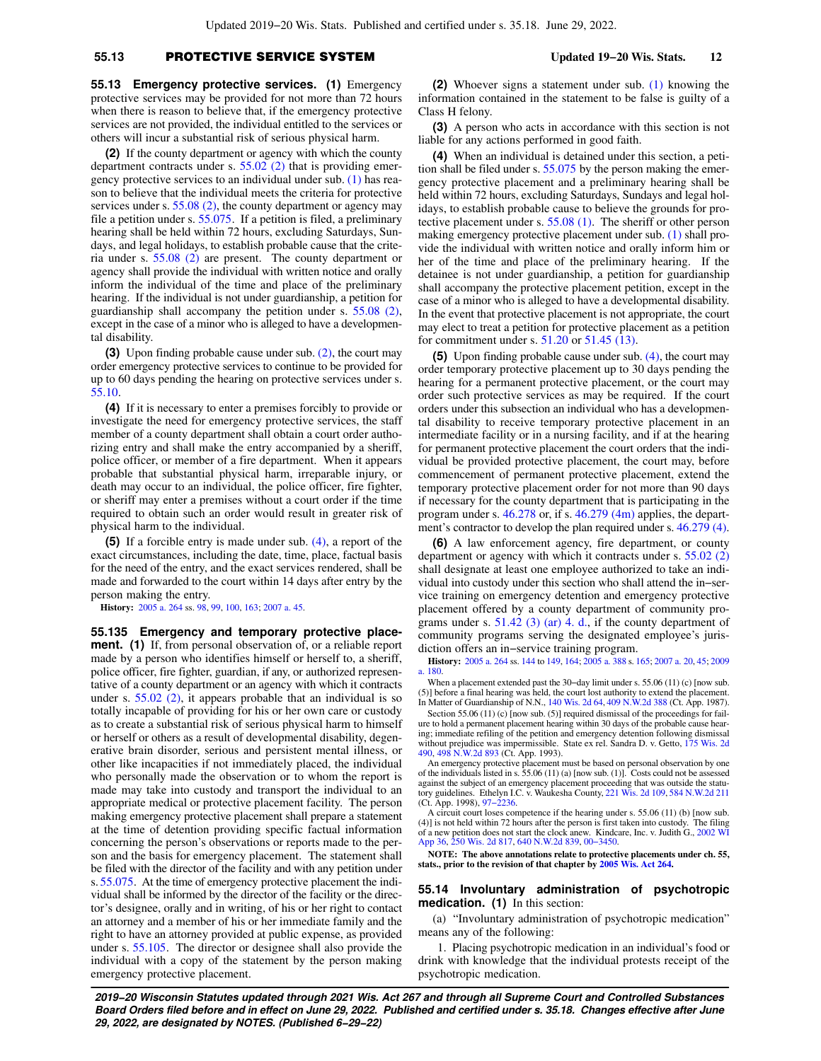# **55.13** PROTECTIVE SERVICE SYSTEM **Updated 19−20 Wis. Stats. 12**

**55.13 Emergency protective services. (1)** Emergency protective services may be provided for not more than 72 hours when there is reason to believe that, if the emergency protective services are not provided, the individual entitled to the services or others will incur a substantial risk of serious physical harm.

**(2)** If the county department or agency with which the county department contracts under s. [55.02 \(2\)](https://docs.legis.wisconsin.gov/document/statutes/55.02(2)) that is providing emergency protective services to an individual under sub. [\(1\)](https://docs.legis.wisconsin.gov/document/statutes/55.13(1)) has reason to believe that the individual meets the criteria for protective services under s. [55.08 \(2\),](https://docs.legis.wisconsin.gov/document/statutes/55.08(2)) the county department or agency may file a petition under s. [55.075.](https://docs.legis.wisconsin.gov/document/statutes/55.075) If a petition is filed, a preliminary hearing shall be held within 72 hours, excluding Saturdays, Sundays, and legal holidays, to establish probable cause that the criteria under s. [55.08 \(2\)](https://docs.legis.wisconsin.gov/document/statutes/55.08(2)) are present. The county department or agency shall provide the individual with written notice and orally inform the individual of the time and place of the preliminary hearing. If the individual is not under guardianship, a petition for guardianship shall accompany the petition under s. [55.08 \(2\),](https://docs.legis.wisconsin.gov/document/statutes/55.08(2)) except in the case of a minor who is alleged to have a developmental disability.

**(3)** Upon finding probable cause under sub. [\(2\),](https://docs.legis.wisconsin.gov/document/statutes/55.13(2)) the court may order emergency protective services to continue to be provided for up to 60 days pending the hearing on protective services under s. [55.10](https://docs.legis.wisconsin.gov/document/statutes/55.10).

**(4)** If it is necessary to enter a premises forcibly to provide or investigate the need for emergency protective services, the staff member of a county department shall obtain a court order authorizing entry and shall make the entry accompanied by a sheriff, police officer, or member of a fire department. When it appears probable that substantial physical harm, irreparable injury, or death may occur to an individual, the police officer, fire fighter, or sheriff may enter a premises without a court order if the time required to obtain such an order would result in greater risk of physical harm to the individual.

**(5)** If a forcible entry is made under sub. [\(4\)](https://docs.legis.wisconsin.gov/document/statutes/55.13(4)), a report of the exact circumstances, including the date, time, place, factual basis for the need of the entry, and the exact services rendered, shall be made and forwarded to the court within 14 days after entry by the person making the entry.

**History:** [2005 a. 264](https://docs.legis.wisconsin.gov/document/acts/2005/264) ss. [98](https://docs.legis.wisconsin.gov/document/acts/2005/264,%20s.%2098), [99,](https://docs.legis.wisconsin.gov/document/acts/2005/264,%20s.%2099) [100,](https://docs.legis.wisconsin.gov/document/acts/2005/264,%20s.%20100) [163;](https://docs.legis.wisconsin.gov/document/acts/2005/264,%20s.%20163) [2007 a. 45.](https://docs.legis.wisconsin.gov/document/acts/2007/45)

**55.135 Emergency and temporary protective placement.** (1) If, from personal observation of, or a reliable report made by a person who identifies himself or herself to, a sheriff, police officer, fire fighter, guardian, if any, or authorized representative of a county department or an agency with which it contracts under s.  $55.02$  (2), it appears probable that an individual is so totally incapable of providing for his or her own care or custody as to create a substantial risk of serious physical harm to himself or herself or others as a result of developmental disability, degenerative brain disorder, serious and persistent mental illness, or other like incapacities if not immediately placed, the individual who personally made the observation or to whom the report is made may take into custody and transport the individual to an appropriate medical or protective placement facility. The person making emergency protective placement shall prepare a statement at the time of detention providing specific factual information concerning the person's observations or reports made to the person and the basis for emergency placement. The statement shall be filed with the director of the facility and with any petition under s. [55.075.](https://docs.legis.wisconsin.gov/document/statutes/55.075) At the time of emergency protective placement the individual shall be informed by the director of the facility or the director's designee, orally and in writing, of his or her right to contact an attorney and a member of his or her immediate family and the right to have an attorney provided at public expense, as provided under s. [55.105.](https://docs.legis.wisconsin.gov/document/statutes/55.105) The director or designee shall also provide the individual with a copy of the statement by the person making emergency protective placement.

**(2)** Whoever signs a statement under sub. [\(1\)](https://docs.legis.wisconsin.gov/document/statutes/55.135(1)) knowing the information contained in the statement to be false is guilty of a Class H felony.

**(3)** A person who acts in accordance with this section is not liable for any actions performed in good faith.

**(4)** When an individual is detained under this section, a petition shall be filed under s. [55.075](https://docs.legis.wisconsin.gov/document/statutes/55.075) by the person making the emergency protective placement and a preliminary hearing shall be held within 72 hours, excluding Saturdays, Sundays and legal holidays, to establish probable cause to believe the grounds for protective placement under s. [55.08 \(1\)](https://docs.legis.wisconsin.gov/document/statutes/55.08(1)). The sheriff or other person making emergency protective placement under sub. [\(1\)](https://docs.legis.wisconsin.gov/document/statutes/55.135(1)) shall provide the individual with written notice and orally inform him or her of the time and place of the preliminary hearing. If the detainee is not under guardianship, a petition for guardianship shall accompany the protective placement petition, except in the case of a minor who is alleged to have a developmental disability. In the event that protective placement is not appropriate, the court may elect to treat a petition for protective placement as a petition for commitment under s. [51.20](https://docs.legis.wisconsin.gov/document/statutes/51.20) or [51.45 \(13\).](https://docs.legis.wisconsin.gov/document/statutes/51.45(13))

**(5)** Upon finding probable cause under sub. [\(4\),](https://docs.legis.wisconsin.gov/document/statutes/55.135(4)) the court may order temporary protective placement up to 30 days pending the hearing for a permanent protective placement, or the court may order such protective services as may be required. If the court orders under this subsection an individual who has a developmental disability to receive temporary protective placement in an intermediate facility or in a nursing facility, and if at the hearing for permanent protective placement the court orders that the individual be provided protective placement, the court may, before commencement of permanent protective placement, extend the temporary protective placement order for not more than 90 days if necessary for the county department that is participating in the program under s. [46.278](https://docs.legis.wisconsin.gov/document/statutes/46.278) or, if s. [46.279 \(4m\)](https://docs.legis.wisconsin.gov/document/statutes/46.279(4m)) applies, the department's contractor to develop the plan required under s. [46.279 \(4\).](https://docs.legis.wisconsin.gov/document/statutes/46.279(4))

**(6)** A law enforcement agency, fire department, or county department or agency with which it contracts under s. [55.02 \(2\)](https://docs.legis.wisconsin.gov/document/statutes/55.02(2)) shall designate at least one employee authorized to take an individual into custody under this section who shall attend the in−service training on emergency detention and emergency protective placement offered by a county department of community programs under s.  $51.42$  (3) (ar) 4. d., if the county department of community programs serving the designated employee's jurisdiction offers an in−service training program.

**History:** [2005 a. 264](https://docs.legis.wisconsin.gov/document/acts/2005/264) ss. [144](https://docs.legis.wisconsin.gov/document/acts/2005/264,%20s.%20144) to [149](https://docs.legis.wisconsin.gov/document/acts/2005/264,%20s.%20149), [164;](https://docs.legis.wisconsin.gov/document/acts/2005/264,%20s.%20164) [2005 a. 388](https://docs.legis.wisconsin.gov/document/acts/2005/388) s. [165;](https://docs.legis.wisconsin.gov/document/acts/2005/388,%20s.%20165) [2007 a. 20,](https://docs.legis.wisconsin.gov/document/acts/2007/20) [45;](https://docs.legis.wisconsin.gov/document/acts/2007/45) [2009](https://docs.legis.wisconsin.gov/document/acts/2009/180) [a. 180](https://docs.legis.wisconsin.gov/document/acts/2009/180).

When a placement extended past the 30-day limit under s. 55.06 (11) (c) [now sub. (5)] before a final hearing was held, the court lost authority to extend the placement. In Matter of Guardianship of N.N., [140 Wis. 2d 64,](https://docs.legis.wisconsin.gov/document/courts/140%20Wis.%202d%2064) [409 N.W.2d 388](https://docs.legis.wisconsin.gov/document/courts/409%20N.W.2d%20388) (Ct. App. 1987).

Section 55.06 (11) (c) [now sub. (5)] required dismissal of the proceedings for failure to hold a permanent placement hearing within 30 days of the probable cause hearing; immediate refiling of the petition and emergency detention following dismissal without prejudice was impermissible. State ex rel. Sandra D. v. Getto, [175 Wis. 2d](https://docs.legis.wisconsin.gov/document/courts/175%20Wis.%202d%20490)<br>[490,](https://docs.legis.wisconsin.gov/document/courts/175%20Wis.%202d%20490) [498 N.W.2d 893](https://docs.legis.wisconsin.gov/document/courts/498%20N.W.2d%20893) (Ct. App. 1993).

An emergency protective placement must be based on personal observation by one of the individuals listed in s. 55.06 (11) (a) [now sub. (1)]. Costs could not be assessed against the subject of an emergency placement proceeding that was outside the statu-tory guidelines. Ethelyn I.C. v. Waukesha County, [221 Wis. 2d 109](https://docs.legis.wisconsin.gov/document/courts/221%20Wis.%202d%20109), [584 N.W.2d 211](https://docs.legis.wisconsin.gov/document/courts/584%20N.W.2d%20211) (Ct. App. 1998), [97−2236](https://docs.legis.wisconsin.gov/document/wicourtofappeals/97-2236).

A circuit court loses competence if the hearing under s. 55.06 (11) (b) [now sub.  $(4)$ ] is not held within 72 hours after the person is first taken into custody. of a new petition does not start the clock anew. Kindcare, Inc. v. Judith G., [2002 WI](https://docs.legis.wisconsin.gov/document/courts/2002%20WI%20App%2036) [App 36,](https://docs.legis.wisconsin.gov/document/courts/2002%20WI%20App%2036) [250 Wis. 2d 817](https://docs.legis.wisconsin.gov/document/courts/250%20Wis.%202d%20817), [640 N.W.2d 839](https://docs.legis.wisconsin.gov/document/courts/640%20N.W.2d%20839), [00−3450](https://docs.legis.wisconsin.gov/document/wicourtofappeals/00-3450).

**NOTE: The above annotations relate to protective placements under ch. 55, stats., prior to the revision of that chapter by [2005 Wis. Act 264.](https://docs.legis.wisconsin.gov/document/acts/2005/264)**

### **55.14 Involuntary administration of psychotropic medication. (1)** In this section:

(a) "Involuntary administration of psychotropic medication" means any of the following:

1. Placing psychotropic medication in an individual's food or drink with knowledge that the individual protests receipt of the psychotropic medication.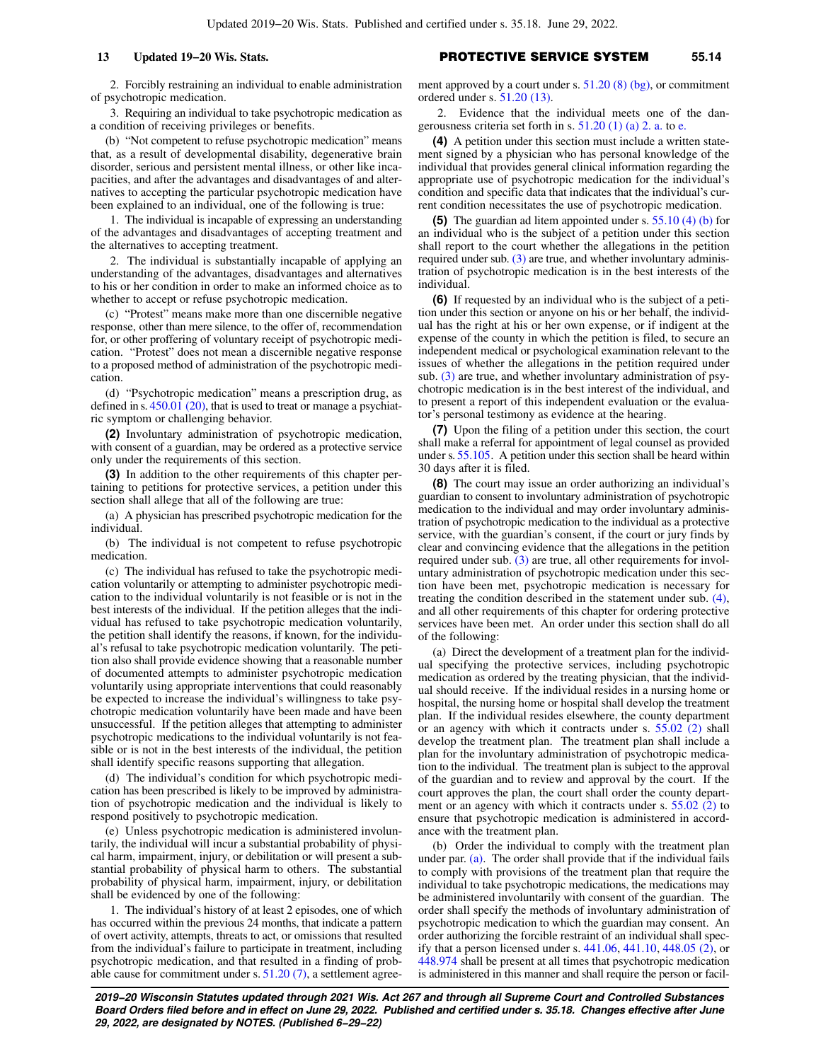# **13 Updated 19−20 Wis. Stats.** PROTECTIVE SERVICE SYSTEM **55.14**

2. Forcibly restraining an individual to enable administration of psychotropic medication.

3. Requiring an individual to take psychotropic medication as a condition of receiving privileges or benefits.

(b) "Not competent to refuse psychotropic medication" means that, as a result of developmental disability, degenerative brain disorder, serious and persistent mental illness, or other like incapacities, and after the advantages and disadvantages of and alternatives to accepting the particular psychotropic medication have been explained to an individual, one of the following is true:

1. The individual is incapable of expressing an understanding of the advantages and disadvantages of accepting treatment and the alternatives to accepting treatment.

2. The individual is substantially incapable of applying an understanding of the advantages, disadvantages and alternatives to his or her condition in order to make an informed choice as to whether to accept or refuse psychotropic medication.

(c) "Protest" means make more than one discernible negative response, other than mere silence, to the offer of, recommendation for, or other proffering of voluntary receipt of psychotropic medication. "Protest" does not mean a discernible negative response to a proposed method of administration of the psychotropic medication.

(d) "Psychotropic medication" means a prescription drug, as defined in s.  $450.01$  (20), that is used to treat or manage a psychiatric symptom or challenging behavior.

**(2)** Involuntary administration of psychotropic medication, with consent of a guardian, may be ordered as a protective service only under the requirements of this section.

**(3)** In addition to the other requirements of this chapter pertaining to petitions for protective services, a petition under this section shall allege that all of the following are true:

(a) A physician has prescribed psychotropic medication for the individual.

(b) The individual is not competent to refuse psychotropic medication.

(c) The individual has refused to take the psychotropic medication voluntarily or attempting to administer psychotropic medication to the individual voluntarily is not feasible or is not in the best interests of the individual. If the petition alleges that the individual has refused to take psychotropic medication voluntarily, the petition shall identify the reasons, if known, for the individual's refusal to take psychotropic medication voluntarily. The petition also shall provide evidence showing that a reasonable number of documented attempts to administer psychotropic medication voluntarily using appropriate interventions that could reasonably be expected to increase the individual's willingness to take psychotropic medication voluntarily have been made and have been unsuccessful. If the petition alleges that attempting to administer psychotropic medications to the individual voluntarily is not feasible or is not in the best interests of the individual, the petition shall identify specific reasons supporting that allegation.

(d) The individual's condition for which psychotropic medication has been prescribed is likely to be improved by administration of psychotropic medication and the individual is likely to respond positively to psychotropic medication.

(e) Unless psychotropic medication is administered involuntarily, the individual will incur a substantial probability of physical harm, impairment, injury, or debilitation or will present a substantial probability of physical harm to others. The substantial probability of physical harm, impairment, injury, or debilitation shall be evidenced by one of the following:

1. The individual's history of at least 2 episodes, one of which has occurred within the previous 24 months, that indicate a pattern of overt activity, attempts, threats to act, or omissions that resulted from the individual's failure to participate in treatment, including psychotropic medication, and that resulted in a finding of probable cause for commitment under s.  $51.20(7)$ , a settlement agree-

ment approved by a court under s. [51.20 \(8\) \(bg\),](https://docs.legis.wisconsin.gov/document/statutes/51.20(8)(bg)) or commitment ordered under s. [51.20 \(13\).](https://docs.legis.wisconsin.gov/document/statutes/51.20(13))

2. Evidence that the individual meets one of the dangerousness criteria set forth in s. [51.20 \(1\) \(a\) 2. a.](https://docs.legis.wisconsin.gov/document/statutes/51.20(1)(a)2.a.) to [e.](https://docs.legis.wisconsin.gov/document/statutes/51.20(1)(a)2.e.)

**(4)** A petition under this section must include a written statement signed by a physician who has personal knowledge of the individual that provides general clinical information regarding the appropriate use of psychotropic medication for the individual's condition and specific data that indicates that the individual's current condition necessitates the use of psychotropic medication.

**(5)** The guardian ad litem appointed under s. [55.10 \(4\) \(b\)](https://docs.legis.wisconsin.gov/document/statutes/55.10(4)(b)) for an individual who is the subject of a petition under this section shall report to the court whether the allegations in the petition required under sub. [\(3\)](https://docs.legis.wisconsin.gov/document/statutes/55.14(3)) are true, and whether involuntary administration of psychotropic medication is in the best interests of the individual.

**(6)** If requested by an individual who is the subject of a petition under this section or anyone on his or her behalf, the individual has the right at his or her own expense, or if indigent at the expense of the county in which the petition is filed, to secure an independent medical or psychological examination relevant to the issues of whether the allegations in the petition required under sub. [\(3\)](https://docs.legis.wisconsin.gov/document/statutes/55.14(3)) are true, and whether involuntary administration of psychotropic medication is in the best interest of the individual, and to present a report of this independent evaluation or the evaluator's personal testimony as evidence at the hearing.

**(7)** Upon the filing of a petition under this section, the court shall make a referral for appointment of legal counsel as provided under s. [55.105](https://docs.legis.wisconsin.gov/document/statutes/55.105). A petition under this section shall be heard within 30 days after it is filed.

**(8)** The court may issue an order authorizing an individual's guardian to consent to involuntary administration of psychotropic medication to the individual and may order involuntary administration of psychotropic medication to the individual as a protective service, with the guardian's consent, if the court or jury finds by clear and convincing evidence that the allegations in the petition required under sub. [\(3\)](https://docs.legis.wisconsin.gov/document/statutes/55.14(3)) are true, all other requirements for involuntary administration of psychotropic medication under this section have been met, psychotropic medication is necessary for treating the condition described in the statement under sub. [\(4\),](https://docs.legis.wisconsin.gov/document/statutes/55.14(4)) and all other requirements of this chapter for ordering protective services have been met. An order under this section shall do all of the following:

(a) Direct the development of a treatment plan for the individual specifying the protective services, including psychotropic medication as ordered by the treating physician, that the individual should receive. If the individual resides in a nursing home or hospital, the nursing home or hospital shall develop the treatment plan. If the individual resides elsewhere, the county department or an agency with which it contracts under s. [55.02 \(2\)](https://docs.legis.wisconsin.gov/document/statutes/55.02(2)) shall develop the treatment plan. The treatment plan shall include a plan for the involuntary administration of psychotropic medication to the individual. The treatment plan is subject to the approval of the guardian and to review and approval by the court. If the court approves the plan, the court shall order the county department or an agency with which it contracts under s. [55.02 \(2\)](https://docs.legis.wisconsin.gov/document/statutes/55.02(2)) to ensure that psychotropic medication is administered in accordance with the treatment plan.

(b) Order the individual to comply with the treatment plan under par. [\(a\)](https://docs.legis.wisconsin.gov/document/statutes/55.14(8)(a)). The order shall provide that if the individual fails to comply with provisions of the treatment plan that require the individual to take psychotropic medications, the medications may be administered involuntarily with consent of the guardian. The order shall specify the methods of involuntary administration of psychotropic medication to which the guardian may consent. An order authorizing the forcible restraint of an individual shall specify that a person licensed under s. [441.06,](https://docs.legis.wisconsin.gov/document/statutes/441.06) [441.10,](https://docs.legis.wisconsin.gov/document/statutes/441.10) [448.05 \(2\)](https://docs.legis.wisconsin.gov/document/statutes/448.05(2)), or [448.974](https://docs.legis.wisconsin.gov/document/statutes/448.974) shall be present at all times that psychotropic medication is administered in this manner and shall require the person or facil-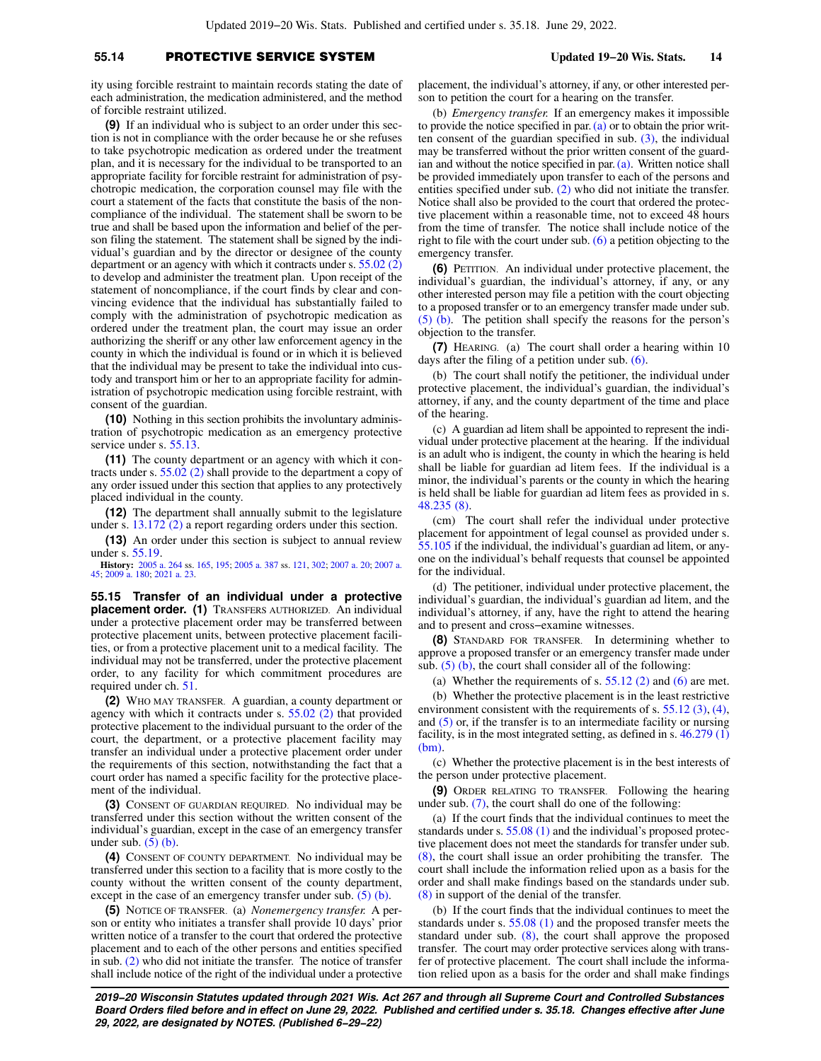# **55.14** PROTECTIVE SERVICE SYSTEM **Updated 19−20 Wis. Stats. 14**

ity using forcible restraint to maintain records stating the date of each administration, the medication administered, and the method of forcible restraint utilized.

**(9)** If an individual who is subject to an order under this section is not in compliance with the order because he or she refuses to take psychotropic medication as ordered under the treatment plan, and it is necessary for the individual to be transported to an appropriate facility for forcible restraint for administration of psychotropic medication, the corporation counsel may file with the court a statement of the facts that constitute the basis of the noncompliance of the individual. The statement shall be sworn to be true and shall be based upon the information and belief of the person filing the statement. The statement shall be signed by the individual's guardian and by the director or designee of the county department or an agency with which it contracts under s. [55.02 \(2\)](https://docs.legis.wisconsin.gov/document/statutes/55.02(2)) to develop and administer the treatment plan. Upon receipt of the statement of noncompliance, if the court finds by clear and convincing evidence that the individual has substantially failed to comply with the administration of psychotropic medication as ordered under the treatment plan, the court may issue an order authorizing the sheriff or any other law enforcement agency in the county in which the individual is found or in which it is believed that the individual may be present to take the individual into custody and transport him or her to an appropriate facility for administration of psychotropic medication using forcible restraint, with consent of the guardian.

**(10)** Nothing in this section prohibits the involuntary administration of psychotropic medication as an emergency protective service under s. [55.13](https://docs.legis.wisconsin.gov/document/statutes/55.13).

**(11)** The county department or an agency with which it contracts under s. [55.02 \(2\)](https://docs.legis.wisconsin.gov/document/statutes/55.02(2)) shall provide to the department a copy of any order issued under this section that applies to any protectively placed individual in the county.

**(12)** The department shall annually submit to the legislature under s. [13.172 \(2\)](https://docs.legis.wisconsin.gov/document/statutes/13.172(2)) a report regarding orders under this section.

**(13)** An order under this section is subject to annual review under s. [55.19](https://docs.legis.wisconsin.gov/document/statutes/55.19).

**History:** [2005 a. 264](https://docs.legis.wisconsin.gov/document/acts/2005/264) ss. [165](https://docs.legis.wisconsin.gov/document/acts/2005/264,%20s.%20165), [195](https://docs.legis.wisconsin.gov/document/acts/2005/264,%20s.%20195); [2005 a. 387](https://docs.legis.wisconsin.gov/document/acts/2005/387) ss. [121,](https://docs.legis.wisconsin.gov/document/acts/2005/387,%20s.%20121) [302;](https://docs.legis.wisconsin.gov/document/acts/2005/387,%20s.%20302) [2007 a. 20;](https://docs.legis.wisconsin.gov/document/acts/2007/20) [2007 a.](https://docs.legis.wisconsin.gov/document/acts/2007/45) [45;](https://docs.legis.wisconsin.gov/document/acts/2007/45) [2009 a. 180](https://docs.legis.wisconsin.gov/document/acts/2009/180); [2021 a. 23.](https://docs.legis.wisconsin.gov/document/acts/2021/23)

**55.15 Transfer of an individual under a protective placement order. (1)** TRANSFERS AUTHORIZED. An individual under a protective placement order may be transferred between protective placement units, between protective placement facilities, or from a protective placement unit to a medical facility. The individual may not be transferred, under the protective placement order, to any facility for which commitment procedures are required under ch. [51](https://docs.legis.wisconsin.gov/document/statutes/ch.%2051).

**(2)** WHO MAY TRANSFER. A guardian, a county department or agency with which it contracts under s. [55.02 \(2\)](https://docs.legis.wisconsin.gov/document/statutes/55.02(2)) that provided protective placement to the individual pursuant to the order of the court, the department, or a protective placement facility may transfer an individual under a protective placement order under the requirements of this section, notwithstanding the fact that a court order has named a specific facility for the protective placement of the individual.

**(3)** CONSENT OF GUARDIAN REQUIRED. No individual may be transferred under this section without the written consent of the individual's guardian, except in the case of an emergency transfer under sub.  $(5)$  (b).

**(4)** CONSENT OF COUNTY DEPARTMENT. No individual may be transferred under this section to a facility that is more costly to the county without the written consent of the county department, except in the case of an emergency transfer under sub. [\(5\) \(b\).](https://docs.legis.wisconsin.gov/document/statutes/55.15(5)(b))

**(5)** NOTICE OF TRANSFER. (a) *Nonemergency transfer.* A person or entity who initiates a transfer shall provide 10 days' prior written notice of a transfer to the court that ordered the protective placement and to each of the other persons and entities specified in sub.  $(2)$  who did not initiate the transfer. The notice of transfer shall include notice of the right of the individual under a protective placement, the individual's attorney, if any, or other interested person to petition the court for a hearing on the transfer.

(b) *Emergency transfer.* If an emergency makes it impossible to provide the notice specified in par.  $(a)$  or to obtain the prior written consent of the guardian specified in sub. [\(3\),](https://docs.legis.wisconsin.gov/document/statutes/55.15(3)) the individual may be transferred without the prior written consent of the guardian and without the notice specified in par.  $(a)$ . Written notice shall be provided immediately upon transfer to each of the persons and entities specified under sub. [\(2\)](https://docs.legis.wisconsin.gov/document/statutes/55.15(2)) who did not initiate the transfer. Notice shall also be provided to the court that ordered the protective placement within a reasonable time, not to exceed 48 hours from the time of transfer. The notice shall include notice of the right to file with the court under sub. [\(6\)](https://docs.legis.wisconsin.gov/document/statutes/55.15(6)) a petition objecting to the emergency transfer.

**(6)** PETITION. An individual under protective placement, the individual's guardian, the individual's attorney, if any, or any other interested person may file a petition with the court objecting to a proposed transfer or to an emergency transfer made under sub. [\(5\) \(b\)](https://docs.legis.wisconsin.gov/document/statutes/55.15(5)(b)). The petition shall specify the reasons for the person's objection to the transfer.

**(7)** HEARING. (a) The court shall order a hearing within 10 days after the filing of a petition under sub. [\(6\)](https://docs.legis.wisconsin.gov/document/statutes/55.15(6)).

(b) The court shall notify the petitioner, the individual under protective placement, the individual's guardian, the individual's attorney, if any, and the county department of the time and place of the hearing.

(c) A guardian ad litem shall be appointed to represent the individual under protective placement at the hearing. If the individual is an adult who is indigent, the county in which the hearing is held shall be liable for guardian ad litem fees. If the individual is a minor, the individual's parents or the county in which the hearing is held shall be liable for guardian ad litem fees as provided in s. [48.235 \(8\).](https://docs.legis.wisconsin.gov/document/statutes/48.235(8))

(cm) The court shall refer the individual under protective placement for appointment of legal counsel as provided under s. [55.105](https://docs.legis.wisconsin.gov/document/statutes/55.105) if the individual, the individual's guardian ad litem, or anyone on the individual's behalf requests that counsel be appointed for the individual.

(d) The petitioner, individual under protective placement, the individual's guardian, the individual's guardian ad litem, and the individual's attorney, if any, have the right to attend the hearing and to present and cross−examine witnesses.

**(8)** STANDARD FOR TRANSFER. In determining whether to approve a proposed transfer or an emergency transfer made under sub.  $(5)$  (b), the court shall consider all of the following:

(a) Whether the requirements of s.  $55.12$  (2) and [\(6\)](https://docs.legis.wisconsin.gov/document/statutes/55.12(6)) are met.

(b) Whether the protective placement is in the least restrictive environment consistent with the requirements of s. [55.12 \(3\)](https://docs.legis.wisconsin.gov/document/statutes/55.12(3)), [\(4\),](https://docs.legis.wisconsin.gov/document/statutes/55.12(4)) and [\(5\)](https://docs.legis.wisconsin.gov/document/statutes/55.12(5)) or, if the transfer is to an intermediate facility or nursing facility, is in the most integrated setting, as defined in s. [46.279 \(1\)](https://docs.legis.wisconsin.gov/document/statutes/46.279(1)(bm))  $(bm)$ 

(c) Whether the protective placement is in the best interests of the person under protective placement.

**(9)** ORDER RELATING TO TRANSFER. Following the hearing under sub. [\(7\),](https://docs.legis.wisconsin.gov/document/statutes/55.15(7)) the court shall do one of the following:

(a) If the court finds that the individual continues to meet the standards under s. [55.08 \(1\)](https://docs.legis.wisconsin.gov/document/statutes/55.08(1)) and the individual's proposed protective placement does not meet the standards for transfer under sub. [\(8\),](https://docs.legis.wisconsin.gov/document/statutes/55.15(8)) the court shall issue an order prohibiting the transfer. The court shall include the information relied upon as a basis for the order and shall make findings based on the standards under sub. [\(8\)](https://docs.legis.wisconsin.gov/document/statutes/55.15(8)) in support of the denial of the transfer.

(b) If the court finds that the individual continues to meet the standards under s. [55.08 \(1\)](https://docs.legis.wisconsin.gov/document/statutes/55.08(1)) and the proposed transfer meets the standard under sub. [\(8\),](https://docs.legis.wisconsin.gov/document/statutes/55.15(8)) the court shall approve the proposed transfer. The court may order protective services along with transfer of protective placement. The court shall include the information relied upon as a basis for the order and shall make findings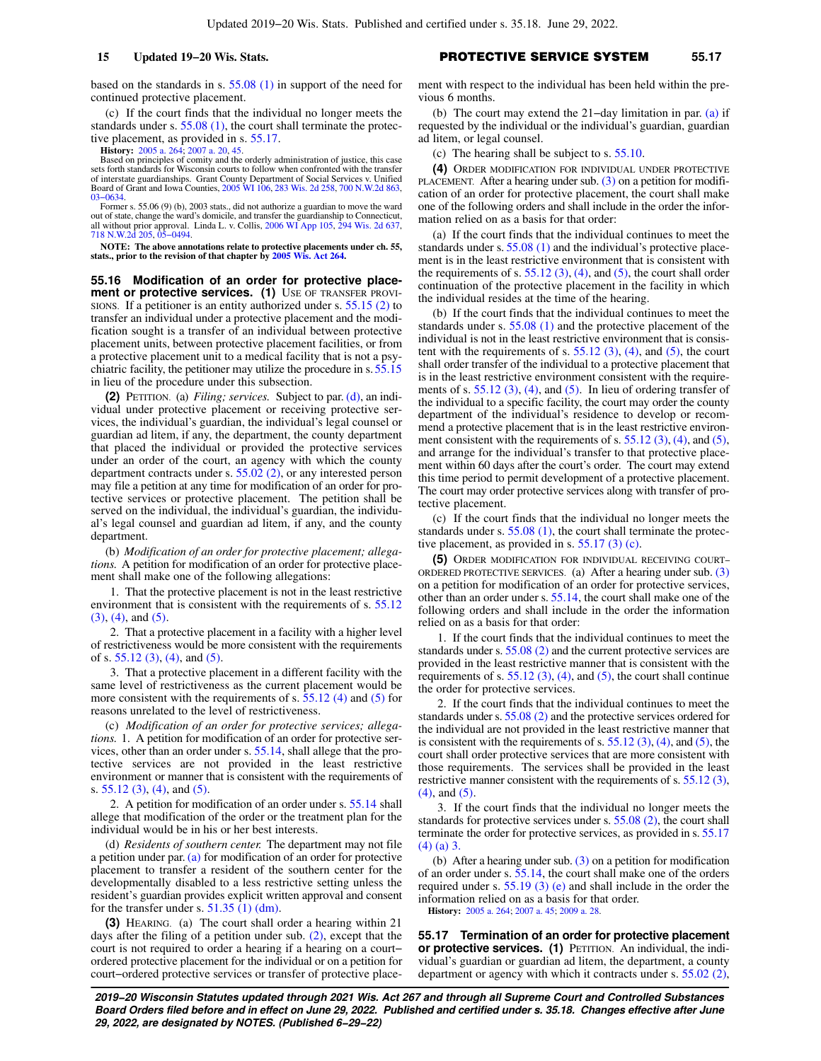based on the standards in s. [55.08 \(1\)](https://docs.legis.wisconsin.gov/document/statutes/55.08(1)) in support of the need for continued protective placement.

(c) If the court finds that the individual no longer meets the standards under s.  $55.08$  (1), the court shall terminate the protective placement, as provided in s. [55.17](https://docs.legis.wisconsin.gov/document/statutes/55.17).

**History:** [2005 a. 264](https://docs.legis.wisconsin.gov/document/acts/2005/264); [2007 a. 20,](https://docs.legis.wisconsin.gov/document/acts/2007/20) [45](https://docs.legis.wisconsin.gov/document/acts/2007/45). Based on principles of comity and the orderly administration of justice, this case sets forth standards for Wisconsin courts to follow when confronted with the transfer of interstate guardianships. Grant County Department of Social Services v. Unified<br>Board of Grant and Iowa Counties, [2005 WI 106,](https://docs.legis.wisconsin.gov/document/courts/2005%20WI%20106) [283 Wis. 2d 258,](https://docs.legis.wisconsin.gov/document/courts/283%20Wis.%202d%20258) [700 N.W.2d 863](https://docs.legis.wisconsin.gov/document/courts/700%20N.W.2d%20863), [03−0634](https://docs.legis.wisconsin.gov/document/wisupremecourt/03-0634).

Former s. 55.06 (9) (b), 2003 stats., did not authorize a guardian to move the ward out of state, change the ward's domicile, and transfer the guardianship to Connecticut, all without prior approval. Linda L. v. Collis, [2006 WI App 105,](https://docs.legis.wisconsin.gov/document/courts/2006%20WI%20App%20105) [294 Wis. 2d 637](https://docs.legis.wisconsin.gov/document/courts/294%20Wis.%202d%20637), [718 N.W.2d 205,](https://docs.legis.wisconsin.gov/document/courts/718%20N.W.2d%20205) [05−0494](https://docs.legis.wisconsin.gov/document/wicourtofappeals/05-0494).

**NOTE: The above annotations relate to protective placements under ch. 55, stats., prior to the revision of that chapter by [2005 Wis. Act 264.](https://docs.legis.wisconsin.gov/document/acts/2005/264)**

**55.16 Modification of an order for protective placement or protective services. (1)** USE OF TRANSFER PROVIsions. If a petitioner is an entity authorized under s.  $55.15$  (2) to transfer an individual under a protective placement and the modification sought is a transfer of an individual between protective placement units, between protective placement facilities, or from a protective placement unit to a medical facility that is not a psychiatric facility, the petitioner may utilize the procedure in s. [55.15](https://docs.legis.wisconsin.gov/document/statutes/55.15) in lieu of the procedure under this subsection.

**(2)** PETITION. (a) *Filing; services.* Subject to par. [\(d\),](https://docs.legis.wisconsin.gov/document/statutes/55.16(2)(d)) an individual under protective placement or receiving protective services, the individual's guardian, the individual's legal counsel or guardian ad litem, if any, the department, the county department that placed the individual or provided the protective services under an order of the court, an agency with which the county department contracts under s. [55.02 \(2\)](https://docs.legis.wisconsin.gov/document/statutes/55.02(2)), or any interested person may file a petition at any time for modification of an order for protective services or protective placement. The petition shall be served on the individual, the individual's guardian, the individual's legal counsel and guardian ad litem, if any, and the county department.

(b) *Modification of an order for protective placement; allegations.* A petition for modification of an order for protective placement shall make one of the following allegations:

1. That the protective placement is not in the least restrictive environment that is consistent with the requirements of s. [55.12](https://docs.legis.wisconsin.gov/document/statutes/55.12(3)) [\(3\)](https://docs.legis.wisconsin.gov/document/statutes/55.12(3)), [\(4\)](https://docs.legis.wisconsin.gov/document/statutes/55.12(4)), and [\(5\).](https://docs.legis.wisconsin.gov/document/statutes/55.12(5))

2. That a protective placement in a facility with a higher level of restrictiveness would be more consistent with the requirements of s. [55.12 \(3\),](https://docs.legis.wisconsin.gov/document/statutes/55.12(3)) [\(4\),](https://docs.legis.wisconsin.gov/document/statutes/55.12(4)) and [\(5\)](https://docs.legis.wisconsin.gov/document/statutes/55.12(5)).

3. That a protective placement in a different facility with the same level of restrictiveness as the current placement would be more consistent with the requirements of s. [55.12 \(4\)](https://docs.legis.wisconsin.gov/document/statutes/55.12(4)) and [\(5\)](https://docs.legis.wisconsin.gov/document/statutes/55.12(5)) for reasons unrelated to the level of restrictiveness.

(c) *Modification of an order for protective services; allegations.* 1. A petition for modification of an order for protective services, other than an order under s. [55.14](https://docs.legis.wisconsin.gov/document/statutes/55.14), shall allege that the protective services are not provided in the least restrictive environment or manner that is consistent with the requirements of s. [55.12 \(3\)](https://docs.legis.wisconsin.gov/document/statutes/55.12(3)), [\(4\)](https://docs.legis.wisconsin.gov/document/statutes/55.12(4)), and [\(5\).](https://docs.legis.wisconsin.gov/document/statutes/55.12(5))

2. A petition for modification of an order under s. [55.14](https://docs.legis.wisconsin.gov/document/statutes/55.14) shall allege that modification of the order or the treatment plan for the individual would be in his or her best interests.

(d) *Residents of southern center.* The department may not file a petition under par. [\(a\)](https://docs.legis.wisconsin.gov/document/statutes/55.16(2)(a)) for modification of an order for protective placement to transfer a resident of the southern center for the developmentally disabled to a less restrictive setting unless the resident's guardian provides explicit written approval and consent for the transfer under s. [51.35 \(1\) \(dm\).](https://docs.legis.wisconsin.gov/document/statutes/51.35(1)(dm))

**(3)** HEARING. (a) The court shall order a hearing within 21 days after the filing of a petition under sub. [\(2\)](https://docs.legis.wisconsin.gov/document/statutes/55.16(2)), except that the court is not required to order a hearing if a hearing on a court− ordered protective placement for the individual or on a petition for court−ordered protective services or transfer of protective place-

# **15 Updated 19−20 Wis. Stats.** PROTECTIVE SERVICE SYSTEM **55.17**

ment with respect to the individual has been held within the previous 6 months.

(b) The court may extend the 21−day limitation in par. [\(a\)](https://docs.legis.wisconsin.gov/document/statutes/55.16(3)(a)) if requested by the individual or the individual's guardian, guardian ad litem, or legal counsel.

(c) The hearing shall be subject to s. [55.10.](https://docs.legis.wisconsin.gov/document/statutes/55.10)

**(4)** ORDER MODIFICATION FOR INDIVIDUAL UNDER PROTECTIVE PLACEMENT. After a hearing under sub.  $(3)$  on a petition for modification of an order for protective placement, the court shall make one of the following orders and shall include in the order the information relied on as a basis for that order:

(a) If the court finds that the individual continues to meet the standards under s. [55.08 \(1\)](https://docs.legis.wisconsin.gov/document/statutes/55.08(1)) and the individual's protective placement is in the least restrictive environment that is consistent with the requirements of s.  $55.12$  (3), [\(4\),](https://docs.legis.wisconsin.gov/document/statutes/55.12(4)) and [\(5\),](https://docs.legis.wisconsin.gov/document/statutes/55.12(5)) the court shall order continuation of the protective placement in the facility in which the individual resides at the time of the hearing.

(b) If the court finds that the individual continues to meet the standards under s. [55.08 \(1\)](https://docs.legis.wisconsin.gov/document/statutes/55.08(1)) and the protective placement of the individual is not in the least restrictive environment that is consistent with the requirements of s.  $55.12$  (3), [\(4\),](https://docs.legis.wisconsin.gov/document/statutes/55.12(4)) and [\(5\)](https://docs.legis.wisconsin.gov/document/statutes/55.12(5)), the court shall order transfer of the individual to a protective placement that is in the least restrictive environment consistent with the requirements of s.  $55.12$  (3), [\(4\),](https://docs.legis.wisconsin.gov/document/statutes/55.12(4)) and [\(5\)](https://docs.legis.wisconsin.gov/document/statutes/55.12(5)). In lieu of ordering transfer of the individual to a specific facility, the court may order the county department of the individual's residence to develop or recommend a protective placement that is in the least restrictive environment consistent with the requirements of s.  $55.12$  (3), [\(4\),](https://docs.legis.wisconsin.gov/document/statutes/55.12(4)) and [\(5\),](https://docs.legis.wisconsin.gov/document/statutes/55.12(5)) and arrange for the individual's transfer to that protective placement within 60 days after the court's order. The court may extend this time period to permit development of a protective placement. The court may order protective services along with transfer of protective placement.

(c) If the court finds that the individual no longer meets the standards under s. [55.08 \(1\),](https://docs.legis.wisconsin.gov/document/statutes/55.08(1)) the court shall terminate the protective placement, as provided in s. [55.17 \(3\) \(c\).](https://docs.legis.wisconsin.gov/document/statutes/55.17(3)(c))

**(5)** ORDER MODIFICATION FOR INDIVIDUAL RECEIVING COURT− ORDERED PROTECTIVE SERVICES. (a) After a hearing under sub. [\(3\)](https://docs.legis.wisconsin.gov/document/statutes/55.16(3)) on a petition for modification of an order for protective services, other than an order under s. [55.14](https://docs.legis.wisconsin.gov/document/statutes/55.14), the court shall make one of the following orders and shall include in the order the information relied on as a basis for that order:

1. If the court finds that the individual continues to meet the standards under s. [55.08 \(2\)](https://docs.legis.wisconsin.gov/document/statutes/55.08(2)) and the current protective services are provided in the least restrictive manner that is consistent with the requirements of s.  $55.12$  (3), [\(4\)](https://docs.legis.wisconsin.gov/document/statutes/55.12(4)), and [\(5\)](https://docs.legis.wisconsin.gov/document/statutes/55.12(5)), the court shall continue the order for protective services.

2. If the court finds that the individual continues to meet the standards under s. [55.08 \(2\)](https://docs.legis.wisconsin.gov/document/statutes/55.08(2)) and the protective services ordered for the individual are not provided in the least restrictive manner that is consistent with the requirements of s.  $55.12$  (3), [\(4\)](https://docs.legis.wisconsin.gov/document/statutes/55.12(4)), and [\(5\)](https://docs.legis.wisconsin.gov/document/statutes/55.12(5)), the court shall order protective services that are more consistent with those requirements. The services shall be provided in the least restrictive manner consistent with the requirements of s. [55.12 \(3\),](https://docs.legis.wisconsin.gov/document/statutes/55.12(3)) [\(4\),](https://docs.legis.wisconsin.gov/document/statutes/55.12(4)) and [\(5\).](https://docs.legis.wisconsin.gov/document/statutes/55.12(5))

3. If the court finds that the individual no longer meets the standards for protective services under s. [55.08 \(2\),](https://docs.legis.wisconsin.gov/document/statutes/55.08(2)) the court shall terminate the order for protective services, as provided in s. [55.17](https://docs.legis.wisconsin.gov/document/statutes/55.17(4)(a)3.)  $(4)$  (a) 3.

(b) After a hearing under sub. [\(3\)](https://docs.legis.wisconsin.gov/document/statutes/55.16(3)) on a petition for modification of an order under s. [55.14,](https://docs.legis.wisconsin.gov/document/statutes/55.14) the court shall make one of the orders required under s. [55.19 \(3\) \(e\)](https://docs.legis.wisconsin.gov/document/statutes/55.19(3)(e)) and shall include in the order the information relied on as a basis for that order.

**History:** [2005 a. 264;](https://docs.legis.wisconsin.gov/document/acts/2005/264) [2007 a. 45;](https://docs.legis.wisconsin.gov/document/acts/2007/45) [2009 a. 28.](https://docs.legis.wisconsin.gov/document/acts/2009/28)

**55.17 Termination of an order for protective placement or protective services. (1)** PETITION. An individual, the individual's guardian or guardian ad litem, the department, a county department or agency with which it contracts under s. [55.02 \(2\),](https://docs.legis.wisconsin.gov/document/statutes/55.02(2))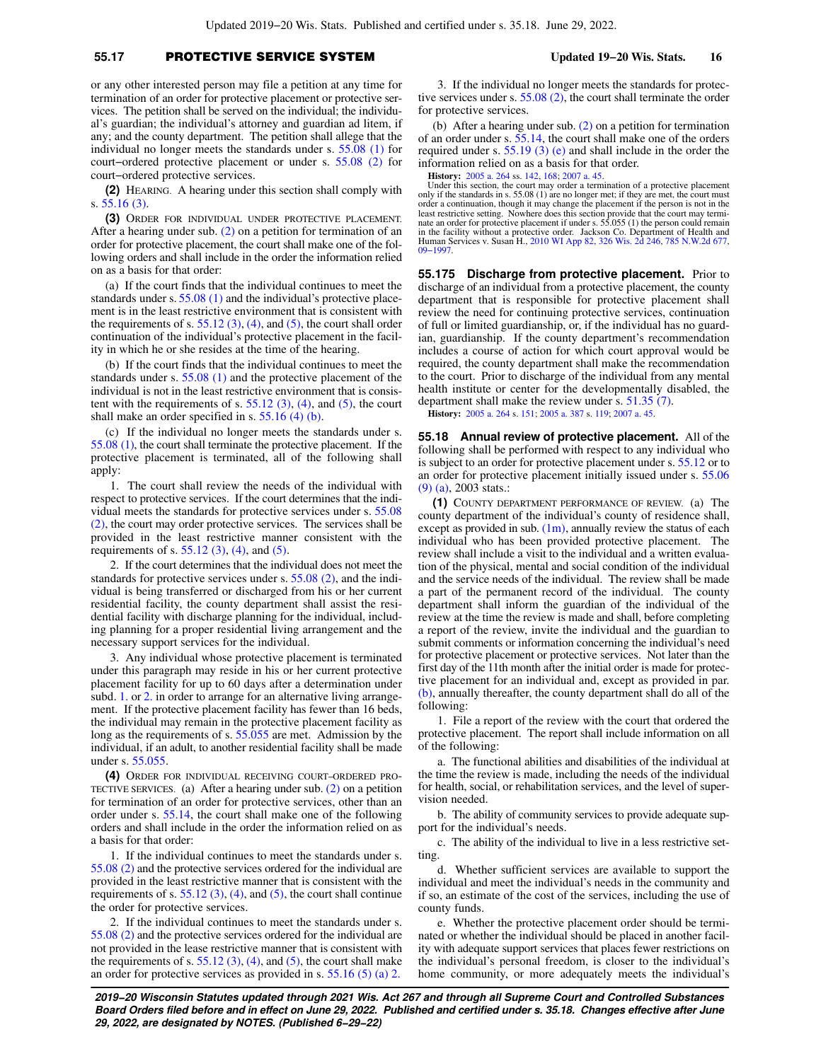# **55.17** PROTECTIVE SERVICE SYSTEM **Updated 19−20 Wis. Stats. 16**

or any other interested person may file a petition at any time for termination of an order for protective placement or protective services. The petition shall be served on the individual; the individual's guardian; the individual's attorney and guardian ad litem, if any; and the county department. The petition shall allege that the individual no longer meets the standards under s. [55.08 \(1\)](https://docs.legis.wisconsin.gov/document/statutes/55.08(1)) for court−ordered protective placement or under s. [55.08 \(2\)](https://docs.legis.wisconsin.gov/document/statutes/55.08(2)) for court−ordered protective services.

**(2)** HEARING. A hearing under this section shall comply with s. [55.16 \(3\)](https://docs.legis.wisconsin.gov/document/statutes/55.16(3)).

**(3)** ORDER FOR INDIVIDUAL UNDER PROTECTIVE PLACEMENT. After a hearing under sub. [\(2\)](https://docs.legis.wisconsin.gov/document/statutes/55.17(2)) on a petition for termination of an order for protective placement, the court shall make one of the following orders and shall include in the order the information relied on as a basis for that order:

(a) If the court finds that the individual continues to meet the standards under s. [55.08 \(1\)](https://docs.legis.wisconsin.gov/document/statutes/55.08(1)) and the individual's protective placement is in the least restrictive environment that is consistent with the requirements of s.  $55.12$  (3), [\(4\),](https://docs.legis.wisconsin.gov/document/statutes/55.12(4)) and [\(5\)](https://docs.legis.wisconsin.gov/document/statutes/55.12(5)), the court shall order continuation of the individual's protective placement in the facility in which he or she resides at the time of the hearing.

(b) If the court finds that the individual continues to meet the standards under s. [55.08 \(1\)](https://docs.legis.wisconsin.gov/document/statutes/55.08(1)) and the protective placement of the individual is not in the least restrictive environment that is consistent with the requirements of s.  $55.12$  (3), [\(4\)](https://docs.legis.wisconsin.gov/document/statutes/55.12(4)), and [\(5\)](https://docs.legis.wisconsin.gov/document/statutes/55.12(5)), the court shall make an order specified in s. [55.16 \(4\) \(b\)](https://docs.legis.wisconsin.gov/document/statutes/55.16(4)(b)).

(c) If the individual no longer meets the standards under s. [55.08 \(1\)](https://docs.legis.wisconsin.gov/document/statutes/55.08(1)), the court shall terminate the protective placement. If the protective placement is terminated, all of the following shall apply:

1. The court shall review the needs of the individual with respect to protective services. If the court determines that the individual meets the standards for protective services under s. [55.08](https://docs.legis.wisconsin.gov/document/statutes/55.08(2)) [\(2\)](https://docs.legis.wisconsin.gov/document/statutes/55.08(2)), the court may order protective services. The services shall be provided in the least restrictive manner consistent with the requirements of s.  $55.12$  (3), [\(4\)](https://docs.legis.wisconsin.gov/document/statutes/55.12(4)), and [\(5\).](https://docs.legis.wisconsin.gov/document/statutes/55.12(5))

2. If the court determines that the individual does not meet the standards for protective services under s. [55.08 \(2\)](https://docs.legis.wisconsin.gov/document/statutes/55.08(2)), and the individual is being transferred or discharged from his or her current residential facility, the county department shall assist the residential facility with discharge planning for the individual, including planning for a proper residential living arrangement and the necessary support services for the individual.

3. Any individual whose protective placement is terminated under this paragraph may reside in his or her current protective placement facility for up to 60 days after a determination under subd. [1.](https://docs.legis.wisconsin.gov/document/statutes/55.17(3)(c)1.) or [2.](https://docs.legis.wisconsin.gov/document/statutes/55.17(3)(c)2.) in order to arrange for an alternative living arrangement. If the protective placement facility has fewer than 16 beds, the individual may remain in the protective placement facility as long as the requirements of s. [55.055](https://docs.legis.wisconsin.gov/document/statutes/55.055) are met. Admission by the individual, if an adult, to another residential facility shall be made under s. [55.055.](https://docs.legis.wisconsin.gov/document/statutes/55.055)

**(4)** ORDER FOR INDIVIDUAL RECEIVING COURT−ORDERED PRO-TECTIVE SERVICES. (a) After a hearing under sub. [\(2\)](https://docs.legis.wisconsin.gov/document/statutes/55.17(2)) on a petition for termination of an order for protective services, other than an order under s. [55.14](https://docs.legis.wisconsin.gov/document/statutes/55.14), the court shall make one of the following orders and shall include in the order the information relied on as a basis for that order:

1. If the individual continues to meet the standards under s. [55.08 \(2\)](https://docs.legis.wisconsin.gov/document/statutes/55.08(2)) and the protective services ordered for the individual are provided in the least restrictive manner that is consistent with the requirements of s.  $55.12$  (3), [\(4\),](https://docs.legis.wisconsin.gov/document/statutes/55.12(4)) and [\(5\),](https://docs.legis.wisconsin.gov/document/statutes/55.12(5)) the court shall continue the order for protective services.

2. If the individual continues to meet the standards under s. [55.08 \(2\)](https://docs.legis.wisconsin.gov/document/statutes/55.08(2)) and the protective services ordered for the individual are not provided in the lease restrictive manner that is consistent with the requirements of s.  $55.12$  (3), [\(4\)](https://docs.legis.wisconsin.gov/document/statutes/55.12(4)), and [\(5\),](https://docs.legis.wisconsin.gov/document/statutes/55.12(5)) the court shall make an order for protective services as provided in s. [55.16 \(5\) \(a\) 2.](https://docs.legis.wisconsin.gov/document/statutes/55.16(5)(a)2.)

3. If the individual no longer meets the standards for protective services under s. [55.08 \(2\),](https://docs.legis.wisconsin.gov/document/statutes/55.08(2)) the court shall terminate the order for protective services.

(b) After a hearing under sub. [\(2\)](https://docs.legis.wisconsin.gov/document/statutes/55.17(2)) on a petition for termination of an order under s. [55.14,](https://docs.legis.wisconsin.gov/document/statutes/55.14) the court shall make one of the orders required under s. [55.19 \(3\) \(e\)](https://docs.legis.wisconsin.gov/document/statutes/55.19(3)(e)) and shall include in the order the information relied on as a basis for that order.

**History:** [2005 a. 264](https://docs.legis.wisconsin.gov/document/acts/2005/264) ss. [142,](https://docs.legis.wisconsin.gov/document/acts/2005/264,%20s.%20142) [168;](https://docs.legis.wisconsin.gov/document/acts/2005/264,%20s.%20168) [2007 a. 45](https://docs.legis.wisconsin.gov/document/acts/2007/45).

Under this section, the court may order a termination of a protective placement only if the standards in s. 55.08 (1) are no longer met; if they are met, the court must order a continuation, though it may change the placement if the person is not in the least restrictive setting. Nowhere does this section provide that the court may terminate an order for protective placement if under s. 55.055 (1) the person could remain in the facility without a protective order. Jackson [09−1997.](https://docs.legis.wisconsin.gov/document/wicourtofappeals/09-1997)

**55.175 Discharge from protective placement.** Prior to discharge of an individual from a protective placement, the county department that is responsible for protective placement shall review the need for continuing protective services, continuation of full or limited guardianship, or, if the individual has no guardian, guardianship. If the county department's recommendation includes a course of action for which court approval would be required, the county department shall make the recommendation to the court. Prior to discharge of the individual from any mental health institute or center for the developmentally disabled, the department shall make the review under s. [51.35 \(7\).](https://docs.legis.wisconsin.gov/document/statutes/51.35(7))

**History:** [2005 a. 264](https://docs.legis.wisconsin.gov/document/acts/2005/264) s. [151](https://docs.legis.wisconsin.gov/document/acts/2005/264,%20s.%20151); [2005 a. 387](https://docs.legis.wisconsin.gov/document/acts/2005/387) s. [119](https://docs.legis.wisconsin.gov/document/acts/2005/387,%20s.%20119); [2007 a. 45](https://docs.legis.wisconsin.gov/document/acts/2007/45).

**55.18 Annual review of protective placement.** All of the following shall be performed with respect to any individual who is subject to an order for protective placement under s. [55.12](https://docs.legis.wisconsin.gov/document/statutes/55.12) or to an order for protective placement initially issued under s. [55.06](https://docs.legis.wisconsin.gov/document/statutes/2003/55.06(9)(a)) [\(9\) \(a\),](https://docs.legis.wisconsin.gov/document/statutes/2003/55.06(9)(a)) 2003 stats.:

**(1)** COUNTY DEPARTMENT PERFORMANCE OF REVIEW. (a) The county department of the individual's county of residence shall, except as provided in sub.  $(1m)$ , annually review the status of each individual who has been provided protective placement. The review shall include a visit to the individual and a written evaluation of the physical, mental and social condition of the individual and the service needs of the individual. The review shall be made a part of the permanent record of the individual. The county department shall inform the guardian of the individual of the review at the time the review is made and shall, before completing a report of the review, invite the individual and the guardian to submit comments or information concerning the individual's need for protective placement or protective services. Not later than the first day of the 11th month after the initial order is made for protective placement for an individual and, except as provided in par. [\(b\),](https://docs.legis.wisconsin.gov/document/statutes/55.18(1)(b)) annually thereafter, the county department shall do all of the following:

1. File a report of the review with the court that ordered the protective placement. The report shall include information on all of the following:

a. The functional abilities and disabilities of the individual at the time the review is made, including the needs of the individual for health, social, or rehabilitation services, and the level of supervision needed.

b. The ability of community services to provide adequate support for the individual's needs.

c. The ability of the individual to live in a less restrictive setting.

d. Whether sufficient services are available to support the individual and meet the individual's needs in the community and if so, an estimate of the cost of the services, including the use of county funds.

e. Whether the protective placement order should be terminated or whether the individual should be placed in another facility with adequate support services that places fewer restrictions on the individual's personal freedom, is closer to the individual's home community, or more adequately meets the individual's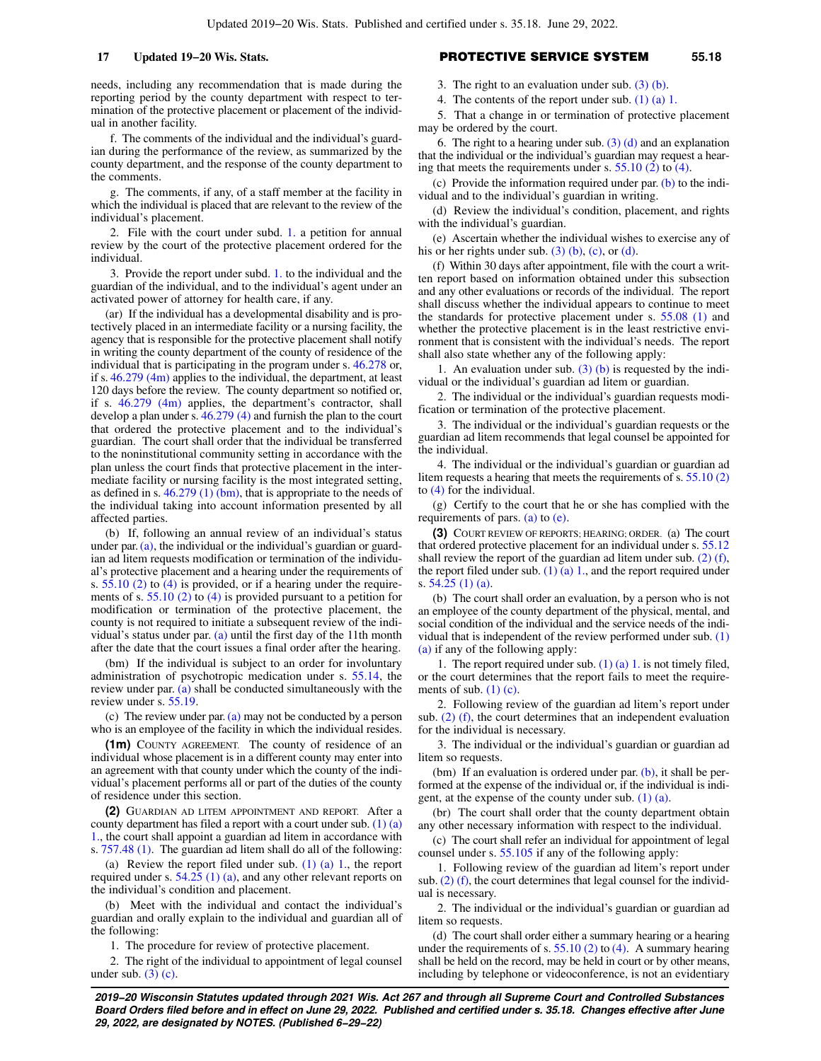needs, including any recommendation that is made during the reporting period by the county department with respect to termination of the protective placement or placement of the individual in another facility.

f. The comments of the individual and the individual's guardian during the performance of the review, as summarized by the county department, and the response of the county department to the comments.

g. The comments, if any, of a staff member at the facility in which the individual is placed that are relevant to the review of the individual's placement.

2. File with the court under subd. [1.](https://docs.legis.wisconsin.gov/document/statutes/55.18(1)(a)1.) a petition for annual review by the court of the protective placement ordered for the individual.

3. Provide the report under subd. [1.](https://docs.legis.wisconsin.gov/document/statutes/55.18(1)(a)1.) to the individual and the guardian of the individual, and to the individual's agent under an activated power of attorney for health care, if any.

(ar) If the individual has a developmental disability and is protectively placed in an intermediate facility or a nursing facility, the agency that is responsible for the protective placement shall notify in writing the county department of the county of residence of the individual that is participating in the program under s. [46.278](https://docs.legis.wisconsin.gov/document/statutes/46.278) or, if s. [46.279 \(4m\)](https://docs.legis.wisconsin.gov/document/statutes/46.279(4m)) applies to the individual, the department, at least 120 days before the review. The county department so notified or, if s. [46.279 \(4m\)](https://docs.legis.wisconsin.gov/document/statutes/46.279(4m)) applies, the department's contractor, shall develop a plan under s. [46.279 \(4\)](https://docs.legis.wisconsin.gov/document/statutes/46.279(4)) and furnish the plan to the court that ordered the protective placement and to the individual's guardian. The court shall order that the individual be transferred to the noninstitutional community setting in accordance with the plan unless the court finds that protective placement in the intermediate facility or nursing facility is the most integrated setting, as defined in s. [46.279 \(1\) \(bm\),](https://docs.legis.wisconsin.gov/document/statutes/46.279(1)(bm)) that is appropriate to the needs of the individual taking into account information presented by all affected parties.

(b) If, following an annual review of an individual's status under par. [\(a\),](https://docs.legis.wisconsin.gov/document/statutes/55.18(1)(a)) the individual or the individual's guardian or guardian ad litem requests modification or termination of the individual's protective placement and a hearing under the requirements of s. [55.10 \(2\)](https://docs.legis.wisconsin.gov/document/statutes/55.10(2)) to [\(4\)](https://docs.legis.wisconsin.gov/document/statutes/55.10(4)) is provided, or if a hearing under the requirements of s. [55.10 \(2\)](https://docs.legis.wisconsin.gov/document/statutes/55.10(2)) to [\(4\)](https://docs.legis.wisconsin.gov/document/statutes/55.10(4)) is provided pursuant to a petition for modification or termination of the protective placement, the county is not required to initiate a subsequent review of the individual's status under par.  $(a)$  until the first day of the 11th month after the date that the court issues a final order after the hearing.

(bm) If the individual is subject to an order for involuntary administration of psychotropic medication under s. [55.14](https://docs.legis.wisconsin.gov/document/statutes/55.14), the review under par. [\(a\)](https://docs.legis.wisconsin.gov/document/statutes/55.18(1)(a)) shall be conducted simultaneously with the review under s. [55.19.](https://docs.legis.wisconsin.gov/document/statutes/55.19)

(c) The review under par. [\(a\)](https://docs.legis.wisconsin.gov/document/statutes/55.18(1)(a)) may not be conducted by a person who is an employee of the facility in which the individual resides.

**(1m)** COUNTY AGREEMENT. The county of residence of an individual whose placement is in a different county may enter into an agreement with that county under which the county of the individual's placement performs all or part of the duties of the county of residence under this section.

**(2)** GUARDIAN AD LITEM APPOINTMENT AND REPORT. After a county department has filed a report with a court under sub. [\(1\) \(a\)](https://docs.legis.wisconsin.gov/document/statutes/55.18(1)(a)1.) [1.,](https://docs.legis.wisconsin.gov/document/statutes/55.18(1)(a)1.) the court shall appoint a guardian ad litem in accordance with s. [757.48 \(1\).](https://docs.legis.wisconsin.gov/document/statutes/757.48(1)) The guardian ad litem shall do all of the following:

(a) Review the report filed under sub.  $(1)$  (a) 1., the report required under s. [54.25 \(1\) \(a\)](https://docs.legis.wisconsin.gov/document/statutes/54.25(1)(a)), and any other relevant reports on the individual's condition and placement.

(b) Meet with the individual and contact the individual's guardian and orally explain to the individual and guardian all of the following:

1. The procedure for review of protective placement.

2. The right of the individual to appointment of legal counsel under sub.  $(3)$  (c).

# **17 Updated 19−20 Wis. Stats.** PROTECTIVE SERVICE SYSTEM **55.18**

3. The right to an evaluation under sub. [\(3\) \(b\).](https://docs.legis.wisconsin.gov/document/statutes/55.18(3)(b))

4. The contents of the report under sub. [\(1\) \(a\) 1.](https://docs.legis.wisconsin.gov/document/statutes/55.18(1)(a)1.)

5. That a change in or termination of protective placement may be ordered by the court.

6. The right to a hearing under sub.  $(3)$  (d) and an explanation that the individual or the individual's guardian may request a hearing that meets the requirements under s. [55.10 \(2\)](https://docs.legis.wisconsin.gov/document/statutes/55.10(2)) to [\(4\)](https://docs.legis.wisconsin.gov/document/statutes/55.10(4)).

(c) Provide the information required under par.  $(b)$  to the individual and to the individual's guardian in writing.

(d) Review the individual's condition, placement, and rights with the individual's guardian.

(e) Ascertain whether the individual wishes to exercise any of his or her rights under sub.  $(3)$  (b), [\(c\)](https://docs.legis.wisconsin.gov/document/statutes/55.18(3)(c)), or [\(d\)](https://docs.legis.wisconsin.gov/document/statutes/55.18(3)(d)).

(f) Within 30 days after appointment, file with the court a written report based on information obtained under this subsection and any other evaluations or records of the individual. The report shall discuss whether the individual appears to continue to meet the standards for protective placement under s. [55.08 \(1\)](https://docs.legis.wisconsin.gov/document/statutes/55.08(1)) and whether the protective placement is in the least restrictive environment that is consistent with the individual's needs. The report shall also state whether any of the following apply:

1. An evaluation under sub.  $(3)$  (b) is requested by the individual or the individual's guardian ad litem or guardian.

2. The individual or the individual's guardian requests modification or termination of the protective placement.

3. The individual or the individual's guardian requests or the guardian ad litem recommends that legal counsel be appointed for the individual.

4. The individual or the individual's guardian or guardian ad litem requests a hearing that meets the requirements of s. [55.10 \(2\)](https://docs.legis.wisconsin.gov/document/statutes/55.10(2)) to [\(4\)](https://docs.legis.wisconsin.gov/document/statutes/55.10(4)) for the individual.

(g) Certify to the court that he or she has complied with the requirements of pars. [\(a\)](https://docs.legis.wisconsin.gov/document/statutes/55.18(2)(a)) to [\(e\).](https://docs.legis.wisconsin.gov/document/statutes/55.18(2)(e))

**(3)** COURT REVIEW OF REPORTS; HEARING; ORDER. (a) The court that ordered protective placement for an individual under s. [55.12](https://docs.legis.wisconsin.gov/document/statutes/55.12) shall review the report of the guardian ad litem under sub. [\(2\) \(f\),](https://docs.legis.wisconsin.gov/document/statutes/55.18(2)(f)) the report filed under sub.  $(1)$  (a) 1., and the report required under s. [54.25 \(1\) \(a\).](https://docs.legis.wisconsin.gov/document/statutes/54.25(1)(a))

(b) The court shall order an evaluation, by a person who is not an employee of the county department of the physical, mental, and social condition of the individual and the service needs of the individual that is independent of the review performed under sub. [\(1\)](https://docs.legis.wisconsin.gov/document/statutes/55.18(1)(a)) [\(a\)](https://docs.legis.wisconsin.gov/document/statutes/55.18(1)(a)) if any of the following apply:

1. The report required under sub. [\(1\) \(a\) 1.](https://docs.legis.wisconsin.gov/document/statutes/55.18(1)(a)1.) is not timely filed, or the court determines that the report fails to meet the requirements of sub.  $(1)$  (c).

2. Following review of the guardian ad litem's report under sub. [\(2\) \(f\)](https://docs.legis.wisconsin.gov/document/statutes/55.18(2)(f)), the court determines that an independent evaluation for the individual is necessary.

3. The individual or the individual's guardian or guardian ad litem so requests.

(bm) If an evaluation is ordered under par.  $(b)$ , it shall be performed at the expense of the individual or, if the individual is indigent, at the expense of the county under sub.  $(1)$   $(a)$ .

(br) The court shall order that the county department obtain any other necessary information with respect to the individual.

(c) The court shall refer an individual for appointment of legal counsel under s. [55.105](https://docs.legis.wisconsin.gov/document/statutes/55.105) if any of the following apply:

1. Following review of the guardian ad litem's report under sub. [\(2\) \(f\),](https://docs.legis.wisconsin.gov/document/statutes/55.18(2)(f)) the court determines that legal counsel for the individual is necessary.

2. The individual or the individual's guardian or guardian ad litem so requests.

(d) The court shall order either a summary hearing or a hearing under the requirements of s.  $55.10(2)$  to [\(4\)](https://docs.legis.wisconsin.gov/document/statutes/55.10(4)). A summary hearing shall be held on the record, may be held in court or by other means, including by telephone or videoconference, is not an evidentiary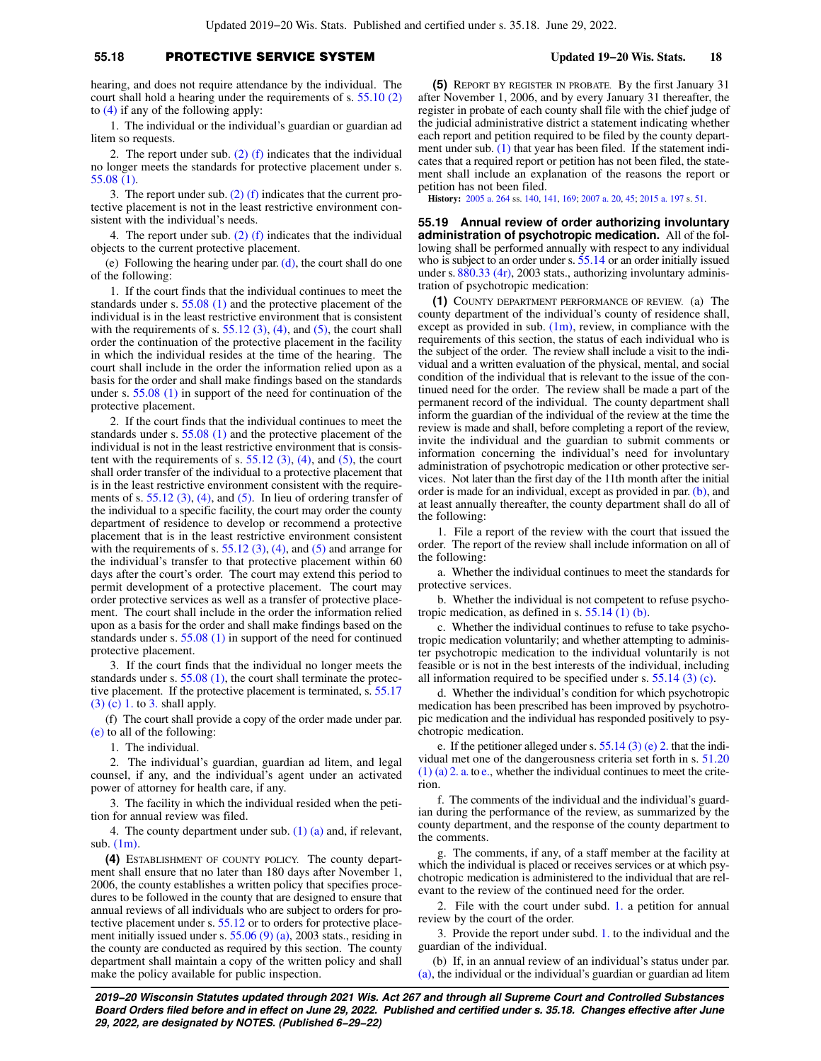# **55.18** PROTECTIVE SERVICE SYSTEM **Updated 19−20 Wis. Stats. 18**

hearing, and does not require attendance by the individual. The court shall hold a hearing under the requirements of s. [55.10 \(2\)](https://docs.legis.wisconsin.gov/document/statutes/55.10(2)) to  $(4)$  if any of the following apply:

1. The individual or the individual's guardian or guardian ad litem so requests.

2. The report under sub.  $(2)$  (f) indicates that the individual no longer meets the standards for protective placement under s. [55.08 \(1\).](https://docs.legis.wisconsin.gov/document/statutes/55.08(1))

3. The report under sub. [\(2\) \(f\)](https://docs.legis.wisconsin.gov/document/statutes/55.18(2)(f)) indicates that the current protective placement is not in the least restrictive environment consistent with the individual's needs.

4. The report under sub.  $(2)$  (f) indicates that the individual objects to the current protective placement.

(e) Following the hearing under par.  $(d)$ , the court shall do one of the following:

1. If the court finds that the individual continues to meet the standards under s. [55.08 \(1\)](https://docs.legis.wisconsin.gov/document/statutes/55.08(1)) and the protective placement of the individual is in the least restrictive environment that is consistent with the requirements of s.  $55.12$  (3), [\(4\)](https://docs.legis.wisconsin.gov/document/statutes/55.12(4)), and [\(5\),](https://docs.legis.wisconsin.gov/document/statutes/55.12(5)) the court shall order the continuation of the protective placement in the facility in which the individual resides at the time of the hearing. The court shall include in the order the information relied upon as a basis for the order and shall make findings based on the standards under s. [55.08 \(1\)](https://docs.legis.wisconsin.gov/document/statutes/55.08(1)) in support of the need for continuation of the protective placement.

2. If the court finds that the individual continues to meet the standards under s. [55.08 \(1\)](https://docs.legis.wisconsin.gov/document/statutes/55.08(1)) and the protective placement of the individual is not in the least restrictive environment that is consistent with the requirements of s.  $55.12$  (3), [\(4\)](https://docs.legis.wisconsin.gov/document/statutes/55.12(4)), and [\(5\)](https://docs.legis.wisconsin.gov/document/statutes/55.12(5)), the court shall order transfer of the individual to a protective placement that is in the least restrictive environment consistent with the requirements of s.  $55.12$  (3), [\(4\)](https://docs.legis.wisconsin.gov/document/statutes/55.12(4)), and [\(5\).](https://docs.legis.wisconsin.gov/document/statutes/55.12(5)) In lieu of ordering transfer of the individual to a specific facility, the court may order the county department of residence to develop or recommend a protective placement that is in the least restrictive environment consistent with the requirements of s. 55.12  $(3)$ ,  $(4)$ , and  $(5)$  and arrange for the individual's transfer to that protective placement within 60 days after the court's order. The court may extend this period to permit development of a protective placement. The court may order protective services as well as a transfer of protective placement. The court shall include in the order the information relied upon as a basis for the order and shall make findings based on the standards under s. [55.08 \(1\)](https://docs.legis.wisconsin.gov/document/statutes/55.08(1)) in support of the need for continued protective placement.

3. If the court finds that the individual no longer meets the standards under s. [55.08 \(1\),](https://docs.legis.wisconsin.gov/document/statutes/55.08(1)) the court shall terminate the protective placement. If the protective placement is terminated, s. [55.17](https://docs.legis.wisconsin.gov/document/statutes/55.17(3)(c)1.) [\(3\) \(c\) 1.](https://docs.legis.wisconsin.gov/document/statutes/55.17(3)(c)1.) to [3.](https://docs.legis.wisconsin.gov/document/statutes/55.17(3)(c)3.) shall apply.

(f) The court shall provide a copy of the order made under par. [\(e\)](https://docs.legis.wisconsin.gov/document/statutes/55.18(3)(e)) to all of the following:

1. The individual.

2. The individual's guardian, guardian ad litem, and legal counsel, if any, and the individual's agent under an activated power of attorney for health care, if any.

3. The facility in which the individual resided when the petition for annual review was filed.

4. The county department under sub.  $(1)$   $(a)$  and, if relevant, sub. [\(1m\)](https://docs.legis.wisconsin.gov/document/statutes/55.18(1m)).

**(4)** ESTABLISHMENT OF COUNTY POLICY. The county department shall ensure that no later than 180 days after November 1, 2006, the county establishes a written policy that specifies procedures to be followed in the county that are designed to ensure that annual reviews of all individuals who are subject to orders for protective placement under s. [55.12](https://docs.legis.wisconsin.gov/document/statutes/55.12) or to orders for protective placement initially issued under s.  $55.06(9)(a)$ , 2003 stats., residing in the county are conducted as required by this section. The county department shall maintain a copy of the written policy and shall make the policy available for public inspection.

**(5)** REPORT BY REGISTER IN PROBATE. By the first January 31 after November 1, 2006, and by every January 31 thereafter, the register in probate of each county shall file with the chief judge of the judicial administrative district a statement indicating whether each report and petition required to be filed by the county depart-ment under sub. [\(1\)](https://docs.legis.wisconsin.gov/document/statutes/55.18(1)) that year has been filed. If the statement indicates that a required report or petition has not been filed, the statement shall include an explanation of the reasons the report or petition has not been filed.

**History:** [2005 a. 264](https://docs.legis.wisconsin.gov/document/acts/2005/264) ss. [140,](https://docs.legis.wisconsin.gov/document/acts/2005/264,%20s.%20140) [141,](https://docs.legis.wisconsin.gov/document/acts/2005/264,%20s.%20141) [169;](https://docs.legis.wisconsin.gov/document/acts/2005/264,%20s.%20169) [2007 a. 20](https://docs.legis.wisconsin.gov/document/acts/2007/20), [45;](https://docs.legis.wisconsin.gov/document/acts/2007/45) [2015 a. 197](https://docs.legis.wisconsin.gov/document/acts/2015/197) s. [51](https://docs.legis.wisconsin.gov/document/acts/2015/197,%20s.%2051).

**55.19 Annual review of order authorizing involuntary administration of psychotropic medication.** All of the following shall be performed annually with respect to any individual who is subject to an order under s. [55.14](https://docs.legis.wisconsin.gov/document/statutes/55.14) or an order initially issued under s. [880.33 \(4r\)](https://docs.legis.wisconsin.gov/document/statutes/2003/880.33(4r)), 2003 stats., authorizing involuntary administration of psychotropic medication:

**(1)** COUNTY DEPARTMENT PERFORMANCE OF REVIEW. (a) The county department of the individual's county of residence shall, except as provided in sub.  $(1m)$ , review, in compliance with the requirements of this section, the status of each individual who is the subject of the order. The review shall include a visit to the individual and a written evaluation of the physical, mental, and social condition of the individual that is relevant to the issue of the continued need for the order. The review shall be made a part of the permanent record of the individual. The county department shall inform the guardian of the individual of the review at the time the review is made and shall, before completing a report of the review, invite the individual and the guardian to submit comments or information concerning the individual's need for involuntary administration of psychotropic medication or other protective services. Not later than the first day of the 11th month after the initial order is made for an individual, except as provided in par. [\(b\)](https://docs.legis.wisconsin.gov/document/statutes/55.19(1)(b)), and at least annually thereafter, the county department shall do all of the following:

1. File a report of the review with the court that issued the order. The report of the review shall include information on all of the following:

a. Whether the individual continues to meet the standards for protective services.

b. Whether the individual is not competent to refuse psychotropic medication, as defined in s. [55.14 \(1\) \(b\).](https://docs.legis.wisconsin.gov/document/statutes/55.14(1)(b))

c. Whether the individual continues to refuse to take psychotropic medication voluntarily; and whether attempting to administer psychotropic medication to the individual voluntarily is not feasible or is not in the best interests of the individual, including all information required to be specified under s. [55.14 \(3\) \(c\)](https://docs.legis.wisconsin.gov/document/statutes/55.14(3)(c)).

d. Whether the individual's condition for which psychotropic medication has been prescribed has been improved by psychotropic medication and the individual has responded positively to psychotropic medication.

e. If the petitioner alleged under s. [55.14 \(3\) \(e\) 2.](https://docs.legis.wisconsin.gov/document/statutes/55.14(3)(e)2.) that the individual met one of the dangerousness criteria set forth in s. [51.20](https://docs.legis.wisconsin.gov/document/statutes/51.20(1)(a)2.a.) [\(1\) \(a\) 2. a.](https://docs.legis.wisconsin.gov/document/statutes/51.20(1)(a)2.a.) to [e.](https://docs.legis.wisconsin.gov/document/statutes/51.20(1)(a)2.e.), whether the individual continues to meet the criterion.

f. The comments of the individual and the individual's guardian during the performance of the review, as summarized by the county department, and the response of the county department to the comments.

g. The comments, if any, of a staff member at the facility at which the individual is placed or receives services or at which psychotropic medication is administered to the individual that are relevant to the review of the continued need for the order.

2. File with the court under subd. [1.](https://docs.legis.wisconsin.gov/document/statutes/55.19(1)(a)1.) a petition for annual review by the court of the order.

3. Provide the report under subd. [1.](https://docs.legis.wisconsin.gov/document/statutes/55.19(1)(a)1.) to the individual and the guardian of the individual.

(b) If, in an annual review of an individual's status under par. [\(a\)](https://docs.legis.wisconsin.gov/document/statutes/55.19(1)(a)), the individual or the individual's guardian or guardian ad litem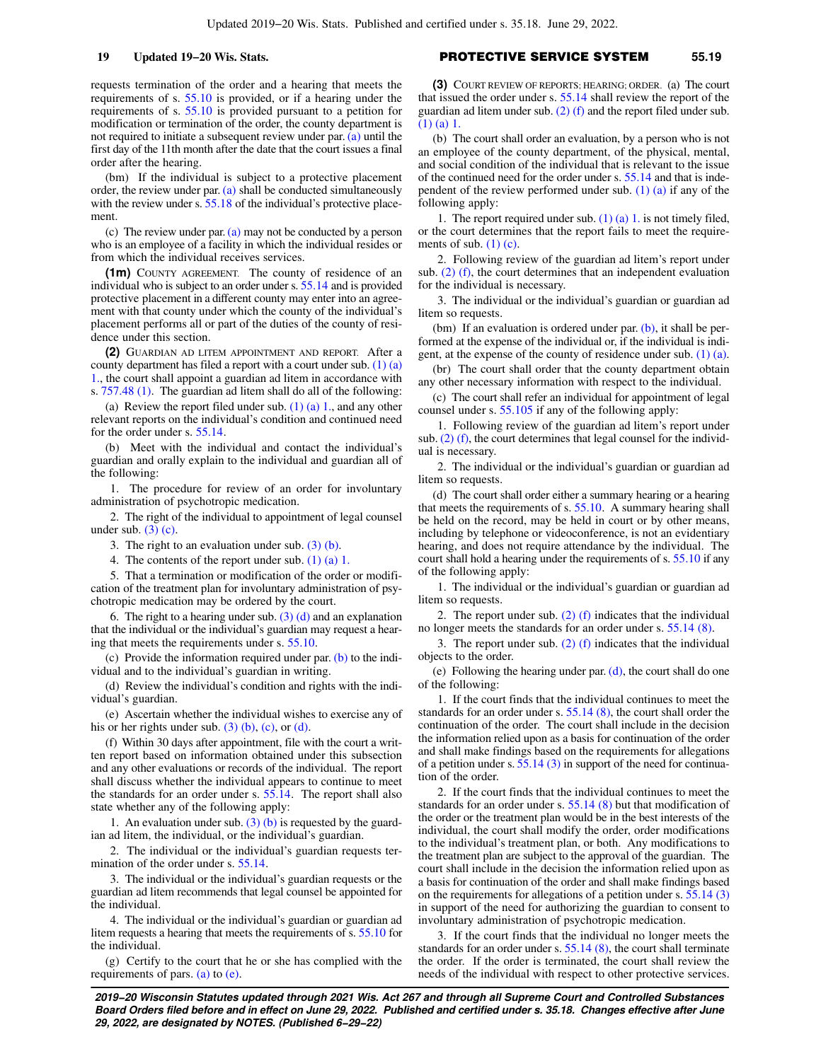requests termination of the order and a hearing that meets the requirements of s. [55.10](https://docs.legis.wisconsin.gov/document/statutes/55.10) is provided, or if a hearing under the requirements of s. [55.10](https://docs.legis.wisconsin.gov/document/statutes/55.10) is provided pursuant to a petition for modification or termination of the order, the county department is not required to initiate a subsequent review under par. [\(a\)](https://docs.legis.wisconsin.gov/document/statutes/55.19(1)(a)) until the first day of the 11th month after the date that the court issues a final order after the hearing.

(bm) If the individual is subject to a protective placement order, the review under par. [\(a\)](https://docs.legis.wisconsin.gov/document/statutes/55.19(1)(a)) shall be conducted simultaneously with the review under s. [55.18](https://docs.legis.wisconsin.gov/document/statutes/55.18) of the individual's protective placement

(c) The review under par. [\(a\)](https://docs.legis.wisconsin.gov/document/statutes/55.19(1)(a)) may not be conducted by a person who is an employee of a facility in which the individual resides or from which the individual receives services.

**(1m)** COUNTY AGREEMENT. The county of residence of an individual who is subject to an order under s. [55.14](https://docs.legis.wisconsin.gov/document/statutes/55.14) and is provided protective placement in a different county may enter into an agreement with that county under which the county of the individual's placement performs all or part of the duties of the county of residence under this section.

**(2)** GUARDIAN AD LITEM APPOINTMENT AND REPORT. After a county department has filed a report with a court under sub. [\(1\) \(a\)](https://docs.legis.wisconsin.gov/document/statutes/55.19(1)(a)1.) [1.,](https://docs.legis.wisconsin.gov/document/statutes/55.19(1)(a)1.) the court shall appoint a guardian ad litem in accordance with s. [757.48 \(1\).](https://docs.legis.wisconsin.gov/document/statutes/757.48(1)) The guardian ad litem shall do all of the following:

(a) Review the report filed under sub.  $(1)$  (a) 1, and any other relevant reports on the individual's condition and continued need for the order under s. [55.14.](https://docs.legis.wisconsin.gov/document/statutes/55.14)

(b) Meet with the individual and contact the individual's guardian and orally explain to the individual and guardian all of the following:

1. The procedure for review of an order for involuntary administration of psychotropic medication.

2. The right of the individual to appointment of legal counsel under sub.  $(3)$  (c).

3. The right to an evaluation under sub.  $(3)$  (b).

4. The contents of the report under sub. [\(1\) \(a\) 1.](https://docs.legis.wisconsin.gov/document/statutes/55.19(1)(a)1.)

5. That a termination or modification of the order or modification of the treatment plan for involuntary administration of psychotropic medication may be ordered by the court.

6. The right to a hearing under sub.  $(3)$  (d) and an explanation that the individual or the individual's guardian may request a hearing that meets the requirements under s. [55.10.](https://docs.legis.wisconsin.gov/document/statutes/55.10)

(c) Provide the information required under par.  $(b)$  to the individual and to the individual's guardian in writing.

(d) Review the individual's condition and rights with the individual's guardian.

(e) Ascertain whether the individual wishes to exercise any of his or her rights under sub.  $(3)$  (b), [\(c\)](https://docs.legis.wisconsin.gov/document/statutes/55.19(3)(c)), or [\(d\).](https://docs.legis.wisconsin.gov/document/statutes/55.19(3)(d))

(f) Within 30 days after appointment, file with the court a written report based on information obtained under this subsection and any other evaluations or records of the individual. The report shall discuss whether the individual appears to continue to meet the standards for an order under s. [55.14](https://docs.legis.wisconsin.gov/document/statutes/55.14). The report shall also state whether any of the following apply:

1. An evaluation under sub.  $(3)$  (b) is requested by the guardian ad litem, the individual, or the individual's guardian.

2. The individual or the individual's guardian requests termination of the order under s. [55.14](https://docs.legis.wisconsin.gov/document/statutes/55.14).

3. The individual or the individual's guardian requests or the guardian ad litem recommends that legal counsel be appointed for the individual.

4. The individual or the individual's guardian or guardian ad litem requests a hearing that meets the requirements of s. [55.10](https://docs.legis.wisconsin.gov/document/statutes/55.10) for the individual.

(g) Certify to the court that he or she has complied with the requirements of pars.  $(a)$  to  $(e)$ .

# **19 Updated 19−20 Wis. Stats.** PROTECTIVE SERVICE SYSTEM **55.19**

**(3)** COURT REVIEW OF REPORTS; HEARING; ORDER. (a) The court that issued the order under s. [55.14](https://docs.legis.wisconsin.gov/document/statutes/55.14) shall review the report of the guardian ad litem under sub. [\(2\) \(f\)](https://docs.legis.wisconsin.gov/document/statutes/55.19(2)(f)) and the report filed under sub. [\(1\) \(a\) 1.](https://docs.legis.wisconsin.gov/document/statutes/55.19(1)(a)1.)

(b) The court shall order an evaluation, by a person who is not an employee of the county department, of the physical, mental, and social condition of the individual that is relevant to the issue of the continued need for the order under s. [55.14](https://docs.legis.wisconsin.gov/document/statutes/55.14) and that is independent of the review performed under sub.  $(1)$   $(a)$  if any of the following apply:

1. The report required under sub.  $(1)$   $(a)$  1. is not timely filed, or the court determines that the report fails to meet the requirements of sub.  $(1)$  (c).

2. Following review of the guardian ad litem's report under sub.  $(2)$  (f), the court determines that an independent evaluation for the individual is necessary.

3. The individual or the individual's guardian or guardian ad litem so requests.

(bm) If an evaluation is ordered under par.  $(b)$ , it shall be performed at the expense of the individual or, if the individual is indigent, at the expense of the county of residence under sub. [\(1\) \(a\).](https://docs.legis.wisconsin.gov/document/statutes/55.19(1)(a))

(br) The court shall order that the county department obtain any other necessary information with respect to the individual.

(c) The court shall refer an individual for appointment of legal counsel under s. [55.105](https://docs.legis.wisconsin.gov/document/statutes/55.105) if any of the following apply:

1. Following review of the guardian ad litem's report under sub.  $(2)$  (f), the court determines that legal counsel for the individual is necessary.

2. The individual or the individual's guardian or guardian ad litem so requests.

(d) The court shall order either a summary hearing or a hearing that meets the requirements of s. [55.10.](https://docs.legis.wisconsin.gov/document/statutes/55.10) A summary hearing shall be held on the record, may be held in court or by other means, including by telephone or videoconference, is not an evidentiary hearing, and does not require attendance by the individual. The court shall hold a hearing under the requirements of s. [55.10](https://docs.legis.wisconsin.gov/document/statutes/55.10) if any of the following apply:

1. The individual or the individual's guardian or guardian ad litem so requests.

2. The report under sub.  $(2)$  (f) indicates that the individual no longer meets the standards for an order under s. [55.14 \(8\)](https://docs.legis.wisconsin.gov/document/statutes/55.14(8)).

3. The report under sub.  $(2)$  (f) indicates that the individual objects to the order.

(e) Following the hearing under par. [\(d\),](https://docs.legis.wisconsin.gov/document/statutes/55.19(3)(d)) the court shall do one of the following:

1. If the court finds that the individual continues to meet the standards for an order under s. [55.14 \(8\)](https://docs.legis.wisconsin.gov/document/statutes/55.14(8)), the court shall order the continuation of the order. The court shall include in the decision the information relied upon as a basis for continuation of the order and shall make findings based on the requirements for allegations of a petition under s.  $55.14$  (3) in support of the need for continuation of the order.

2. If the court finds that the individual continues to meet the standards for an order under s. [55.14 \(8\)](https://docs.legis.wisconsin.gov/document/statutes/55.14(8)) but that modification of the order or the treatment plan would be in the best interests of the individual, the court shall modify the order, order modifications to the individual's treatment plan, or both. Any modifications to the treatment plan are subject to the approval of the guardian. The court shall include in the decision the information relied upon as a basis for continuation of the order and shall make findings based on the requirements for allegations of a petition under s. [55.14 \(3\)](https://docs.legis.wisconsin.gov/document/statutes/55.14(3)) in support of the need for authorizing the guardian to consent to involuntary administration of psychotropic medication.

3. If the court finds that the individual no longer meets the standards for an order under s. [55.14 \(8\)](https://docs.legis.wisconsin.gov/document/statutes/55.14(8)), the court shall terminate the order. If the order is terminated, the court shall review the needs of the individual with respect to other protective services.